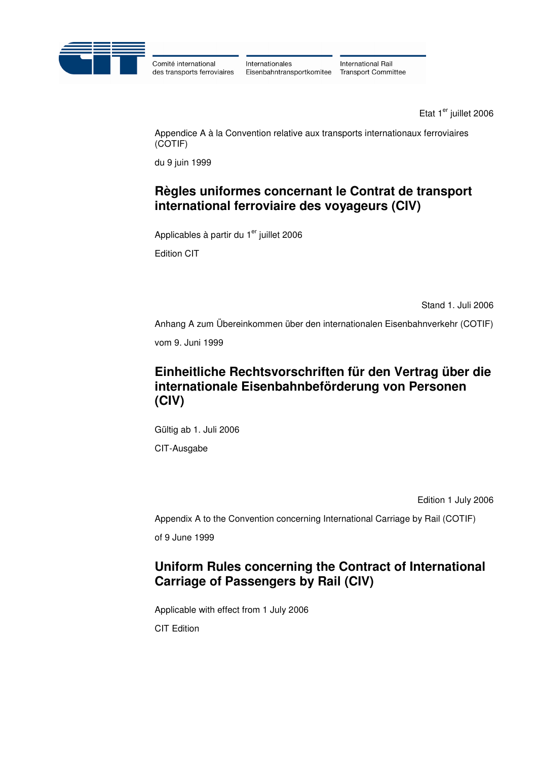

Comité international des transports ferroviaires Internationales Eisenbahntransportkomitee

International Rail **Transport Committee** 

Etat 1<sup>er</sup> juillet 2006

 Appendice A à la Convention relative aux transports internationaux ferroviaires (COTIF)

du 9 juin 1999

# **Règles uniformes concernant le Contrat de transport international ferroviaire des voyageurs (CIV)**

Applicables à partir du 1<sup>er</sup> juillet 2006

Edition CIT

Stand 1. Juli 2006

Anhang A zum Übereinkommen über den internationalen Eisenbahnverkehr (COTIF)

vom 9. Juni 1999

# **Einheitliche Rechtsvorschriften für den Vertrag über die internationale Eisenbahnbeförderung von Personen (CIV)**

 Gültig ab 1. Juli 2006 CIT-Ausgabe

Edition 1 July 2006

Appendix A to the Convention concerning International Carriage by Rail (COTIF)

of 9 June 1999

# **Uniform Rules concerning the Contract of International Carriage of Passengers by Rail (CIV)**

Applicable with effect from 1 July 2006

CIT Edition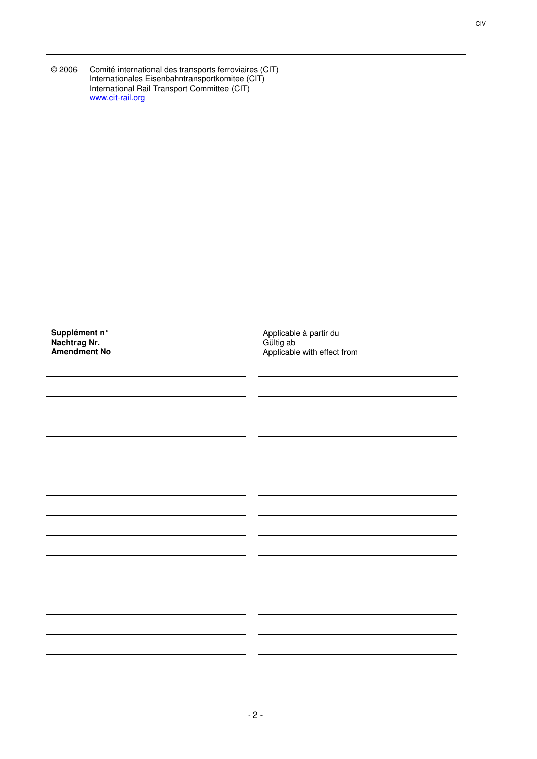| © 2006 | Comité international des transports ferroviaires (CIT) |
|--------|--------------------------------------------------------|
|        | Internationales Eisenbahntransportkomitee (CIT)        |
|        | International Rail Transport Committee (CIT)           |
|        | www.cit-rail.org                                       |

| Supplément n°<br>Nachtrag Nr.<br>Amendment No | Applicable à partir du<br>Gültig ab<br>Applicable with effect from |
|-----------------------------------------------|--------------------------------------------------------------------|
|                                               |                                                                    |
|                                               |                                                                    |
|                                               |                                                                    |
|                                               |                                                                    |
|                                               |                                                                    |
|                                               |                                                                    |
|                                               |                                                                    |
|                                               |                                                                    |
|                                               |                                                                    |
|                                               |                                                                    |
|                                               |                                                                    |
|                                               |                                                                    |
|                                               |                                                                    |
|                                               |                                                                    |
|                                               |                                                                    |
|                                               |                                                                    |
|                                               |                                                                    |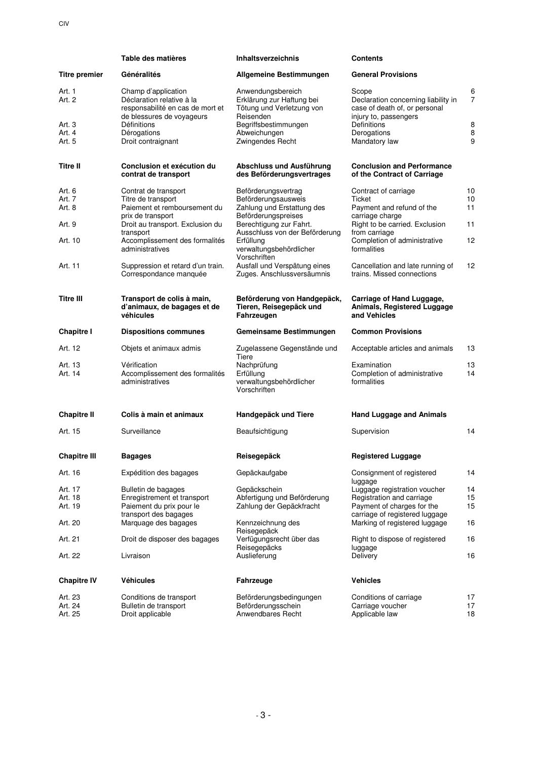|                      | Table des matières                                                                                                | <b>Inhaltsverzeichnis</b>                                                                | <b>Contents</b>                                                                                        |                     |
|----------------------|-------------------------------------------------------------------------------------------------------------------|------------------------------------------------------------------------------------------|--------------------------------------------------------------------------------------------------------|---------------------|
| <b>Titre premier</b> | Généralités                                                                                                       | Allgemeine Bestimmungen                                                                  | <b>General Provisions</b>                                                                              |                     |
| Art. 1<br>Art. 2     | Champ d'application<br>Déclaration relative à la<br>responsabilité en cas de mort et<br>de blessures de voyageurs | Anwendungsbereich<br>Erklärung zur Haftung bei<br>Tötung und Verletzung von<br>Reisenden | Scope<br>Declaration concerning liability in<br>case of death of, or personal<br>injury to, passengers | 6<br>$\overline{7}$ |
| Art. 3               | Définitions                                                                                                       | Begriffsbestimmungen                                                                     | Definitions                                                                                            | 8                   |
| Art. 4<br>Art. 5     | Dérogations<br>Droit contraignant                                                                                 | Abweichungen<br>Zwingendes Recht                                                         | Derogations<br>Mandatory law                                                                           | 8<br>9              |
| <b>Titre II</b>      | Conclusion et exécution du<br>contrat de transport                                                                | Abschluss und Ausführung<br>des Beförderungsvertrages                                    | <b>Conclusion and Performance</b><br>of the Contract of Carriage                                       |                     |
| Art. 6               | Contrat de transport                                                                                              | Beförderungsvertrag                                                                      | Contract of carriage                                                                                   | 10                  |
| Art. 7               | Titre de transport                                                                                                | Beförderungsausweis                                                                      | Ticket                                                                                                 | 10                  |
| Art. 8               | Paiement et remboursement du<br>prix de transport                                                                 | Zahlung und Erstattung des<br>Beförderungspreises                                        | Payment and refund of the<br>carriage charge                                                           | 11                  |
| Art. 9               | Droit au transport. Exclusion du<br>transport                                                                     | Berechtigung zur Fahrt.<br>Ausschluss von der Beförderung                                | Right to be carried. Exclusion<br>from carriage                                                        | 11                  |
| Art. 10              | Accomplissement des formalités<br>administratives                                                                 | Erfüllung<br>verwaltungsbehördlicher<br>Vorschriften                                     | Completion of administrative<br>formalities                                                            | 12                  |
| Art. 11              | Suppression et retard d'un train.<br>Correspondance manquée                                                       | Ausfall und Verspätung eines<br>Zuges. Anschlussversäumnis                               | Cancellation and late running of<br>trains. Missed connections                                         | 12                  |
| <b>Titre III</b>     | Transport de colis à main,<br>d'animaux, de bagages et de<br>véhicules                                            | Beförderung von Handgepäck,<br>Tieren, Reisegepäck und<br>Fahrzeugen                     | Carriage of Hand Luggage,<br>Animals, Registered Luggage<br>and Vehicles                               |                     |
| Chapitre I           | <b>Dispositions communes</b>                                                                                      | Gemeinsame Bestimmungen                                                                  | <b>Common Provisions</b>                                                                               |                     |
| Art. 12              | Objets et animaux admis                                                                                           | Zugelassene Gegenstände und<br>Tiere                                                     | Acceptable articles and animals                                                                        | 13                  |
| Art. 13<br>Art. 14   | Vérification<br>Accomplissement des formalités<br>administratives                                                 | Nachprüfung<br>Erfüllung<br>verwaltungsbehördlicher<br>Vorschriften                      | Examination<br>Completion of administrative<br>formalities                                             | 13<br>14            |
| <b>Chapitre II</b>   | Colis à main et animaux                                                                                           | Handgepäck und Tiere                                                                     | <b>Hand Luggage and Animals</b>                                                                        |                     |
| Art. 15              | Surveillance                                                                                                      | Beaufsichtigung                                                                          | Supervision                                                                                            | 14                  |
| <b>Chapitre III</b>  | <b>Bagages</b>                                                                                                    | Reisegepäck                                                                              | <b>Registered Luggage</b>                                                                              |                     |
| Art. 16              | Expédition des bagages                                                                                            | Gepäckaufgabe                                                                            | Consignment of registered<br>luggage                                                                   | 14                  |
| Art. 17              | Bulletin de bagages                                                                                               | Gepäckschein                                                                             | Luggage registration voucher                                                                           | 14                  |
| Art. 18              | Enregistrement et transport                                                                                       | Abfertigung und Beförderung                                                              | Registration and carriage                                                                              | 15                  |
| Art. 19              | Paiement du prix pour le                                                                                          | Zahlung der Gepäckfracht                                                                 | Payment of charges for the                                                                             | 15                  |
| Art. 20              | transport des bagages<br>Marquage des bagages                                                                     | Kennzeichnung des                                                                        | carriage of registered luggage<br>Marking of registered luggage                                        | 16                  |
| Art. 21              | Droit de disposer des bagages                                                                                     | Reisegepäck<br>Verfügungsrecht über das                                                  | Right to dispose of registered                                                                         | 16                  |
| Art. 22              | Livraison                                                                                                         | Reisegepäcks<br>Auslieferung                                                             | luggage<br>Delivery                                                                                    | 16                  |
| <b>Chapitre IV</b>   | <b>Véhicules</b>                                                                                                  | Fahrzeuge                                                                                | <b>Vehicles</b>                                                                                        |                     |
|                      |                                                                                                                   |                                                                                          |                                                                                                        | 17                  |
| Art. 23<br>Art. 24   | Conditions de transport<br>Bulletin de transport                                                                  | Beförderungsbedingungen<br>Beförderungsschein                                            | Conditions of carriage<br>Carriage voucher                                                             | 17                  |
| Art. 25              | Droit applicable                                                                                                  | Anwendbares Recht                                                                        | Applicable law                                                                                         | 18                  |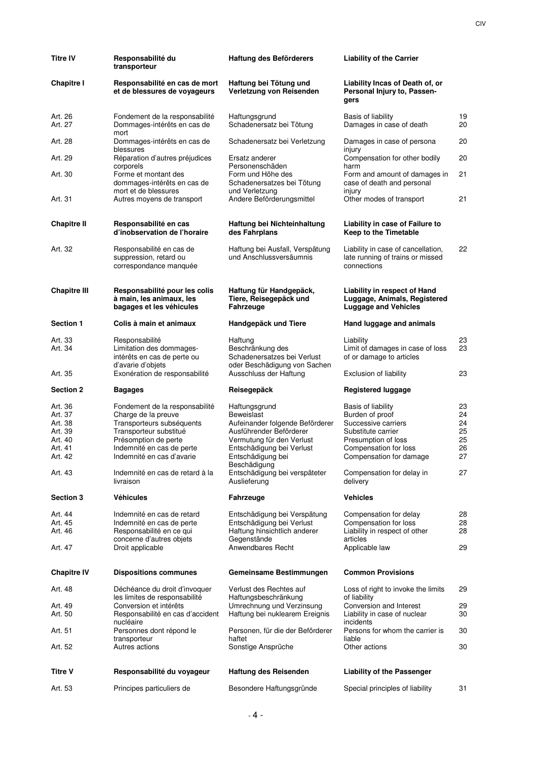| <b>Titre IV</b>                                                           | Responsabilité du<br>transporteur                                                                                                                                                              | Haftung des Beförderers                                                                                                                                                                  | <b>Liability of the Carrier</b>                                                                                                                               |                                        |
|---------------------------------------------------------------------------|------------------------------------------------------------------------------------------------------------------------------------------------------------------------------------------------|------------------------------------------------------------------------------------------------------------------------------------------------------------------------------------------|---------------------------------------------------------------------------------------------------------------------------------------------------------------|----------------------------------------|
| <b>Chapitre I</b>                                                         | Responsabilité en cas de mort<br>et de blessures de voyageurs                                                                                                                                  | Haftung bei Tötung und<br>Verletzung von Reisenden                                                                                                                                       | Liability Incas of Death of, or<br>Personal Injury to, Passen-<br>gers                                                                                        |                                        |
| Art. 26<br>Art. 27                                                        | Fondement de la responsabilité<br>Dommages-intérêts en cas de                                                                                                                                  | Haftungsgrund<br>Schadenersatz bei Tötung                                                                                                                                                | Basis of liability<br>Damages in case of death                                                                                                                | 19<br>20                               |
| Art. 28                                                                   | mort<br>Dommages-intérêts en cas de<br>blessures                                                                                                                                               | Schadenersatz bei Verletzung                                                                                                                                                             | Damages in case of persona<br>injury                                                                                                                          | 20                                     |
| Art. 29                                                                   | Réparation d'autres préjudices<br>corporels                                                                                                                                                    | Ersatz anderer<br>Personenschäden                                                                                                                                                        | Compensation for other bodily<br>harm                                                                                                                         | 20                                     |
| Art. 30                                                                   | Forme et montant des<br>dommages-intérêts en cas de<br>mort et de blessures                                                                                                                    | Form und Höhe des<br>Schadenersatzes bei Tötung<br>und Verletzung                                                                                                                        | Form and amount of damages in<br>case of death and personal<br>injury                                                                                         | 21                                     |
| Art. 31                                                                   | Autres moyens de transport                                                                                                                                                                     | Andere Beförderungsmittel                                                                                                                                                                | Other modes of transport                                                                                                                                      | 21                                     |
| <b>Chapitre II</b>                                                        | Responsabilité en cas<br>d'inobservation de l'horaire                                                                                                                                          | Haftung bei Nichteinhaltung<br>des Fahrplans                                                                                                                                             | Liability in case of Failure to<br>Keep to the Timetable                                                                                                      |                                        |
| Art. 32                                                                   | Responsabilité en cas de<br>suppression, retard ou<br>correspondance manquée                                                                                                                   | Haftung bei Ausfall, Verspätung<br>und Anschlussversäumnis                                                                                                                               | Liability in case of cancellation,<br>late running of trains or missed<br>connections                                                                         | 22                                     |
| <b>Chapitre III</b>                                                       | Responsabilité pour les colis<br>à main, les animaux, les<br>bagages et les véhicules                                                                                                          | Haftung für Handgepäck,<br>Tiere, Reisegepäck und<br>Fahrzeuge                                                                                                                           | Liability in respect of Hand<br>Luggage, Animals, Registered<br><b>Luggage and Vehicles</b>                                                                   |                                        |
| <b>Section 1</b>                                                          | Colis à main et animaux                                                                                                                                                                        | Handgepäck und Tiere                                                                                                                                                                     | Hand luggage and animals                                                                                                                                      |                                        |
| Art. 33<br>Art. 34                                                        | Responsabilité<br>Limitation des dommages-<br>intérêts en cas de perte ou<br>d'avarie d'objets                                                                                                 | Haftung<br>Beschränkung des<br>Schadenersatzes bei Verlust<br>oder Beschädigung von Sachen                                                                                               | Liability<br>Limit of damages in case of loss<br>of or damage to articles                                                                                     | 23<br>23                               |
| Art. 35                                                                   | Exonération de responsabilité                                                                                                                                                                  | Ausschluss der Haftung                                                                                                                                                                   | Exclusion of liability                                                                                                                                        | 23                                     |
| <b>Section 2</b>                                                          | <b>Bagages</b>                                                                                                                                                                                 | Reisegepäck                                                                                                                                                                              | <b>Registered luggage</b>                                                                                                                                     |                                        |
| Art. 36<br>Art. 37<br>Art. 38<br>Art. 39<br>Art. 40<br>Art. 41<br>Art. 42 | Fondement de la responsabilité<br>Charge de la preuve<br>Transporteurs subséquents<br>Transporteur substitué<br>Présomption de perte<br>Indemnité en cas de perte<br>Indemnité en cas d'avarie | Haftungsgrund<br>Beweislast<br>Aufeinander folgende Beförderer<br>Ausführender Beförderer<br>Vermutung für den Verlust<br>Entschädigung bei Verlust<br>Entschädigung bei<br>Beschädigung | Basis of liability<br>Burden of proof<br>Successive carriers<br>Substitute carrier<br>Presumption of loss<br>Compensation for loss<br>Compensation for damage | 23<br>24<br>24<br>25<br>25<br>26<br>27 |
| Art. 43                                                                   | Indemnité en cas de retard à la<br>livraison                                                                                                                                                   | Entschädigung bei verspäteter<br>Auslieferung                                                                                                                                            | Compensation for delay in<br>delivery                                                                                                                         | 27                                     |
| <b>Section 3</b>                                                          | <b>Véhicules</b>                                                                                                                                                                               | Fahrzeuge                                                                                                                                                                                | <b>Vehicles</b>                                                                                                                                               |                                        |
| Art. 44<br>Art. 45                                                        | Indemnité en cas de retard<br>Indemnité en cas de perte                                                                                                                                        | Entschädigung bei Verspätung<br>Entschädigung bei Verlust                                                                                                                                | Compensation for delay<br>Compensation for loss                                                                                                               | 28<br>28                               |
| Art. 46                                                                   | Responsabilité en ce qui<br>concerne d'autres objets                                                                                                                                           | Haftung hinsichtlich anderer<br>Gegenstände                                                                                                                                              | Liability in respect of other<br>articles                                                                                                                     | 28                                     |
| Art. 47                                                                   | Droit applicable                                                                                                                                                                               | Anwendbares Recht                                                                                                                                                                        | Applicable law                                                                                                                                                | 29                                     |
| <b>Chapitre IV</b>                                                        | <b>Dispositions communes</b>                                                                                                                                                                   | Gemeinsame Bestimmungen                                                                                                                                                                  | <b>Common Provisions</b>                                                                                                                                      |                                        |
| Art. 48                                                                   | Déchéance du droit d'invoquer<br>les limites de responsabilité                                                                                                                                 | Verlust des Rechtes auf<br>Haftungsbeschränkung                                                                                                                                          | Loss of right to invoke the limits<br>of liability                                                                                                            | 29                                     |
| Art. 49<br>Art. 50                                                        | Conversion et intérêts<br>Responsabilité en cas d'accident<br>nucléaire                                                                                                                        | Umrechnung und Verzinsung<br>Haftung bei nuklearem Ereignis                                                                                                                              | Conversion and Interest<br>Liability in case of nuclear<br>incidents                                                                                          | 29<br>30                               |
| Art. 51                                                                   | Personnes dont répond le<br>transporteur                                                                                                                                                       | Personen, für die der Beförderer<br>haftet                                                                                                                                               | Persons for whom the carrier is<br>liable                                                                                                                     | 30                                     |
| Art. 52                                                                   | Autres actions                                                                                                                                                                                 | Sonstige Ansprüche                                                                                                                                                                       | Other actions                                                                                                                                                 | 30                                     |
| Titre V                                                                   | Responsabilité du voyageur                                                                                                                                                                     | Haftung des Reisenden                                                                                                                                                                    | <b>Liability of the Passenger</b>                                                                                                                             |                                        |
| Art. 53                                                                   | Principes particuliers de                                                                                                                                                                      | Besondere Haftungsgründe                                                                                                                                                                 | Special principles of liability                                                                                                                               | 31                                     |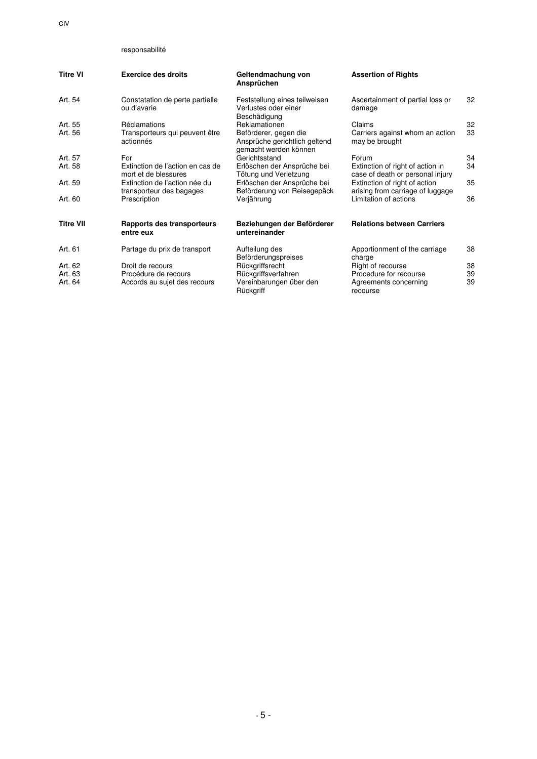CIV

# responsabilité

| <b>Titre VI</b>  | <b>Exercice des droits</b>                                | Geltendmachung von<br>Ansprüchen                                                | <b>Assertion of Rights</b>                                           |    |
|------------------|-----------------------------------------------------------|---------------------------------------------------------------------------------|----------------------------------------------------------------------|----|
| Art. 54          | Constatation de perte partielle<br>ou d'avarie            | Feststellung eines teilweisen<br>Verlustes oder einer<br>Beschädigung           | Ascertainment of partial loss or<br>damage                           | 32 |
| Art. 55          | Réclamations                                              | Reklamationen                                                                   | Claims                                                               | 32 |
| Art. 56          | Transporteurs qui peuvent être<br>actionnés               | Beförderer, gegen die<br>Ansprüche gerichtlich geltend<br>gemacht werden können | Carriers against whom an action<br>may be brought                    | 33 |
| Art. 57          | For                                                       | Gerichtsstand                                                                   | Forum                                                                | 34 |
| Art. 58          | Extinction de l'action en cas de<br>mort et de blessures  | Erlöschen der Ansprüche bei<br>Tötung und Verletzung                            | Extinction of right of action in<br>case of death or personal injury | 34 |
| Art. 59          | Extinction de l'action née du<br>transporteur des bagages | Erlöschen der Ansprüche bei<br>Beförderung von Reisegepäck                      | Extinction of right of action<br>arising from carriage of luggage    | 35 |
| Art. 60          | Prescription                                              | Verjährung                                                                      | Limitation of actions                                                | 36 |
| <b>Titre VII</b> | Rapports des transporteurs<br>entre eux                   | Beziehungen der Beförderer<br>untereinander                                     | <b>Relations between Carriers</b>                                    |    |
| Art. 61          | Partage du prix de transport                              | Aufteilung des<br>Beförderungspreises                                           | Apportionment of the carriage<br>charge                              | 38 |
| Art. 62          | Droit de recours                                          | Rückgriffsrecht                                                                 | Right of recourse                                                    | 38 |
| Art. 63          | Procédure de recours                                      | Rückgriffsverfahren                                                             | Procedure for recourse                                               | 39 |
| Art. 64          | Accords au sujet des recours                              | Vereinbarungen über den<br>Rückgriff                                            | Agreements concerning<br>recourse                                    | 39 |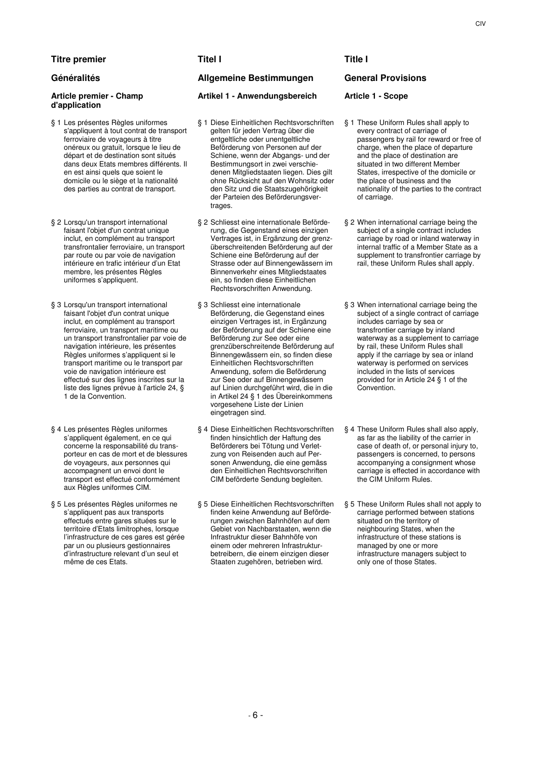# **Titre premier Titel I Title I Title I**

### **Article premier - Champ d'application**

- § 1 Les présentes Règles uniformes s'appliquent à tout contrat de transport ferroviaire de voyageurs à titre onéreux ou gratuit, lorsque le lieu de départ et de destination sont situés dans deux Etats membres différents. Il en est ainsi quels que soient le domicile ou le siège et la nationalité des parties au contrat de transport.
- § 2 Lorsqu'un transport international faisant l'objet d'un contrat unique inclut, en complément au transport transfrontalier ferroviaire, un transport par route ou par voie de navigation intérieure en trafic intérieur d'un Etat membre, les présentes Règles uniformes s'appliquent.
- § 3 Lorsqu'un transport international faisant l'objet d'un contrat unique inclut, en complément au transport ferroviaire, un transport maritime ou un transport transfrontalier par voie de navigation intérieure, les présentes Règles uniformes s'appliquent si le transport maritime ou le transport par voie de navigation intérieure est effectué sur des lignes inscrites sur la liste des lignes prévue à l'article 24, § 1 de la Convention.
- § 4 Les présentes Règles uniformes s'appliquent également, en ce qui concerne la responsabilité du transporteur en cas de mort et de blessures de voyageurs, aux personnes qui accompagnent un envoi dont le transport est effectué conformément aux Règles uniformes CIM.
- § 5 Les présentes Règles uniformes ne s'appliquent pas aux transports effectués entre gares situées sur le territoire d'Etats limitrophes, lorsque l'infrastructure de ces gares est gérée par un ou plusieurs gestionnaires d'infrastructure relevant d'un seul et même de ces Etats.

# **Généralités Allgemeine Bestimmungen General Provisions**

# **Artikel 1 - Anwendungsbereich Article 1 - Scope**

- § 1 Diese Einheitlichen Rechtsvorschriften gelten für jeden Vertrag über die entgeltliche oder unentgeltliche Beförderung von Personen auf der Schiene, wenn der Abgangs- und der Bestimmungsort in zwei verschiedenen Mitgliedstaaten liegen. Dies gilt ohne Rücksicht auf den Wohnsitz oder den Sitz und die Staatszugehörigkeit der Parteien des Beförderungsvertrages
- § 2 Schliesst eine internationale Beförderung, die Gegenstand eines einzigen Vertrages ist, in Ergänzung der grenzüberschreitenden Beförderung auf der Schiene eine Beförderung auf der Strasse oder auf Binnengewässern im Binnenverkehr eines Mitgliedstaates ein, so finden diese Einheitlichen Rechtsvorschriften Anwendung.
- § 3 Schliesst eine internationale Beförderung, die Gegenstand eines einzigen Vertrages ist, in Ergänzung der Beförderung auf der Schiene eine Beförderung zur See oder eine grenzüberschreitende Beförderung auf Binnengewässern ein, so finden diese Einheitlichen Rechtsvorschriften Anwendung, sofern die Beförderung zur See oder auf Binnengewässern auf Linien durchgeführt wird, die in die in Artikel 24 § 1 des Übereinkommens vorgesehene Liste der Linien eingetragen sind.
- § 4 Diese Einheitlichen Rechtsvorschriften finden hinsichtlich der Haftung des Beförderers bei Tötung und Verletzung von Reisenden auch auf Personen Anwendung, die eine gemäss den Einheitlichen Rechtsvorschriften CIM beförderte Sendung begleiten.
- § 5 Diese Einheitlichen Rechtsvorschriften finden keine Anwendung auf Beförderungen zwischen Bahnhöfen auf dem Gebiet von Nachbarstaaten, wenn die Infrastruktur dieser Bahnhöfe von einem oder mehreren Infrastrukturbetreibern, die einem einzigen dieser Staaten zugehören, betrieben wird.

- § 1 These Uniform Rules shall apply to every contract of carriage of passengers by rail for reward or free of charge, when the place of departure and the place of destination are situated in two different Member States, irrespective of the domicile or the place of business and the nationality of the parties to the contract of carriage.
- § 2 When international carriage being the subject of a single contract includes carriage by road or inland waterway in internal traffic of a Member State as a supplement to transfrontier carriage by rail, these Uniform Rules shall apply.
- § 3 When international carriage being the subject of a single contract of carriage includes carriage by sea or transfrontier carriage by inland waterway as a supplement to carriage by rail, these Uniform Rules shall apply if the carriage by sea or inland waterway is performed on services included in the lists of services provided for in Article 24 § 1 of the Convention.
- § 4 These Uniform Rules shall also apply, as far as the liability of the carrier in case of death of, or personal injury to, passengers is concerned, to persons accompanying a consignment whose carriage is effected in accordance with the CIM Uniform Rules.
- § 5 These Uniform Rules shall not apply to carriage performed between stations situated on the territory of neighbouring States, when the infrastructure of these stations is managed by one or more infrastructure managers subject to only one of those States.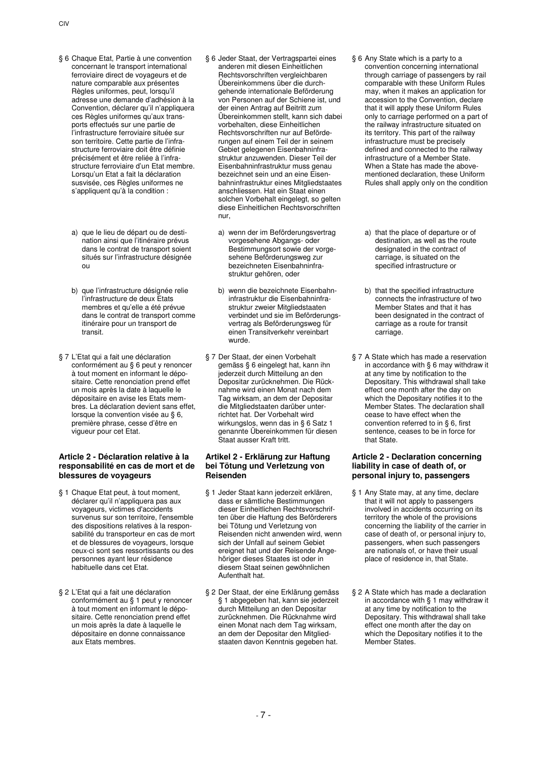- § 6 Chaque Etat, Partie à une convention concernant le transport international ferroviaire direct de voyageurs et de nature comparable aux présentes Règles uniformes, peut, lorsqu'il adresse une demande d'adhésion à la Convention, déclarer qu'il n'appliquera ces Règles uniformes qu'aux transports effectués sur une partie de l'infrastructure ferroviaire située sur son territoire. Cette partie de l'infrastructure ferroviaire doit être définie précisément et être reliée à l'infrastructure ferroviaire d'un Etat membre. Lorsqu'un Etat a fait la déclaration susvisée, ces Règles uniformes ne s'appliquent qu'à la condition :
	- a) que le lieu de départ ou de destination ainsi que l'itinéraire prévus dans le contrat de transport soient situés sur l'infrastructure désignée ou
	- b) que l'infrastructure désignée relie l'infrastructure de deux Etats membres et qu'elle a été prévue dans le contrat de transport comme itinéraire pour un transport de transit.
- § 7 L'Etat qui a fait une déclaration conformément au § 6 peut y renoncer à tout moment en informant le dépositaire. Cette renonciation prend effet un mois après la date à laquelle le dépositaire en avise les Etats membres. La déclaration devient sans effet, lorsque la convention visée au § 6, première phrase, cesse d'être en vigueur pour cet Etat.

### **Article 2 - Déclaration relative à la responsabilité en cas de mort et de blessures de voyageurs**

- § 1 Chaque Etat peut, à tout moment, déclarer qu'il n'appliquera pas aux voyageurs, victimes d'accidents survenus sur son territoire, l'ensemble des dispositions relatives à la responsabilité du transporteur en cas de mort et de blessures de voyageurs, lorsque ceux-ci sont ses ressortissants ou des personnes ayant leur résidence habituelle dans cet Etat.
- § 2 L'Etat qui a fait une déclaration conformément au § 1 peut y renoncer à tout moment en informant le dépositaire. Cette renonciation prend effet un mois après la date à laquelle le dépositaire en donne connaissance aux Etats membres.
- § 6 Jeder Staat, der Vertragspartei eines anderen mit diesen Einheitlichen Rechtsvorschriften vergleichbaren Übereinkommens über die durchgehende internationale Beförderung von Personen auf der Schiene ist, und der einen Antrag auf Beitritt zum Übereinkommen stellt, kann sich dabei vorbehalten, diese Einheitlichen Rechtsvorschriften nur auf Beförderungen auf einem Teil der in seinem Gebiet gelegenen Eisenbahninfrastruktur anzuwenden. Dieser Teil der Eisenbahninfrastruktur muss genau bezeichnet sein und an eine Eisenbahninfrastruktur eines Mitgliedstaates anschliessen. Hat ein Staat einen solchen Vorbehalt eingelegt, so gelten diese Einheitlichen Rechtsvorschriften nur,
	- a) wenn der im Beförderungsvertrag vorgesehene Abgangs- oder Bestimmungsort sowie der vorgesehene Beförderungsweg zur bezeichneten Eisenbahninfrastruktur gehören, oder
	- b) wenn die bezeichnete Eisenbahninfrastruktur die Eisenbahninfrastruktur zweier Mitgliedstaaten verbindet und sie im Beförderungsvertrag als Beförderungsweg für einen Transitverkehr vereinbart wurde.
- § 7 Der Staat, der einen Vorbehalt gemäss § 6 eingelegt hat, kann ihn jederzeit durch Mitteilung an den Depositar zurücknehmen. Die Rücknahme wird einen Monat nach dem Tag wirksam, an dem der Depositar die Mitgliedstaaten darüber unterrichtet hat. Der Vorbehalt wird wirkungslos, wenn das in § 6 Satz 1 genannte Übereinkommen für diesen Staat ausser Kraft tritt.

### **Artikel 2 - Erklärung zur Haftung bei Tötung und Verletzung von Reisenden**

- § 1 Jeder Staat kann jederzeit erklären, dass er sämtliche Bestimmungen dieser Einheitlichen Rechtsvorschriften über die Haftung des Beförderers bei Tötung und Verletzung von Reisenden nicht anwenden wird, wenn sich der Unfall auf seinem Gebiet ereignet hat und der Reisende Angehöriger dieses Staates ist oder in diesem Staat seinen gewöhnlichen Aufenthalt hat.
- § 2 Der Staat, der eine Erklärung gemäss § 1 abgegeben hat, kann sie jederzeit durch Mitteilung an den Depositar zurücknehmen. Die Rücknahme wird einen Monat nach dem Tag wirksam, an dem der Depositar den Mitgliedstaaten davon Kenntnis gegeben hat.
- § 6 Any State which is a party to a convention concerning international through carriage of passengers by rail comparable with these Uniform Rules may, when it makes an application for accession to the Convention, declare that it will apply these Uniform Rules only to carriage performed on a part of the railway infrastructure situated on its territory. This part of the railway infrastructure must be precisely defined and connected to the railway infrastructure of a Member State. When a State has made the abovementioned declaration, these Uniform Rules shall apply only on the condition
	- a) that the place of departure or of destination, as well as the route designated in the contract of carriage, is situated on the specified infrastructure or
	- b) that the specified infrastructure connects the infrastructure of two Member States and that it has been designated in the contract of carriage as a route for transit carriage.
- § 7 A State which has made a reservation in accordance with § 6 may withdraw it at any time by notification to the Depositary. This withdrawal shall take effect one month after the day on which the Depositary notifies it to the Member States. The declaration shall cease to have effect when the convention referred to in § 6, first sentence, ceases to be in force for that State.

# **Article 2 - Declaration concerning liability in case of death of, or personal injury to, passengers**

- § 1 Any State may, at any time, declare that it will not apply to passengers involved in accidents occurring on its territory the whole of the provisions concerning the liability of the carrier in case of death of, or personal injury to, passengers, when such passengers are nationals of, or have their usual place of residence in, that State.
- § 2 A State which has made a declaration in accordance with § 1 may withdraw it at any time by notification to the Depositary. This withdrawal shall take effect one month after the day on which the Depositary notifies it to the Member States.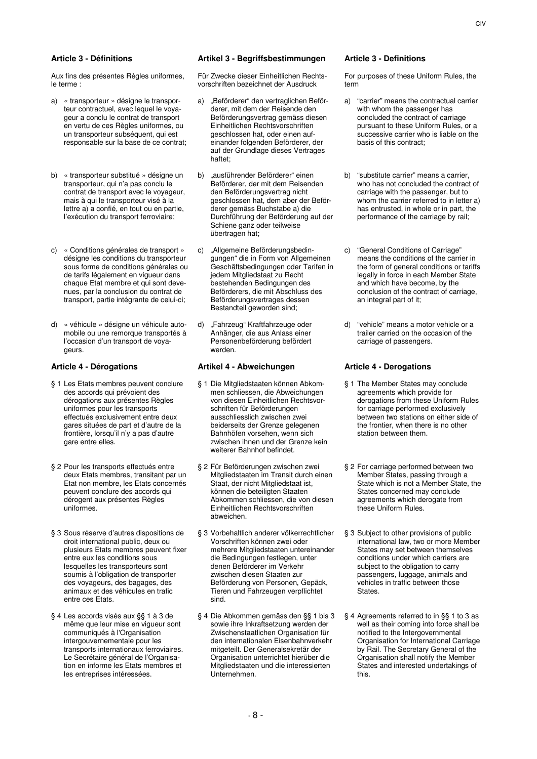Aux fins des présentes Règles uniformes, le terme :

- a) « transporteur » désigne le transporteur contractuel, avec lequel le voyageur a conclu le contrat de transport en vertu de ces Règles uniformes, ou un transporteur subséquent, qui est responsable sur la base de ce contrat;
- b) « transporteur substitué » désigne un transporteur, qui n'a pas conclu le contrat de transport avec le voyageur, mais à qui le transporteur visé à la lettre a) a confié, en tout ou en partie, l'exécution du transport ferroviaire;
- c) « Conditions générales de transport » désigne les conditions du transporteur sous forme de conditions générales ou de tarifs légalement en vigueur dans chaque Etat membre et qui sont devenues, par la conclusion du contrat de transport, partie intégrante de celui-ci;
- d) « véhicule » désigne un véhicule automobile ou une remorque transportés à l'occasion d'un transport de voyageurs.

- § 1 Les Etats membres peuvent conclure des accords qui prévoient des dérogations aux présentes Règles uniformes pour les transports effectués exclusivement entre deux gares situées de part et d'autre de la frontière, lorsqu'il n'y a pas d'autre gare entre elles.
- § 2 Pour les transports effectués entre deux Etats membres, transitant par un Etat non membre, les Etats concernés peuvent conclure des accords qui dérogent aux présentes Règles uniformes.
- § 3 Sous réserve d'autres dispositions de droit international public, deux ou plusieurs Etats membres peuvent fixer entre eux les conditions sous lesquelles les transporteurs sont soumis à l'obligation de transporter des voyageurs, des bagages, des animaux et des véhicules en trafic entre ces Etats.
- § 4 Les accords visés aux §§ 1 à 3 de même que leur mise en vigueur sont communiqués à l'Organisation intergouvernementale pour les transports internationaux ferroviaires. Le Secrétaire général de l'Organisation en informe les Etats membres et les entreprises intéressées.

# **Article 3 - Définitions Artikel 3 - Begriffsbestimmungen Article 3 - Definitions**

Für Zwecke dieser Einheitlichen Rechtsvorschriften bezeichnet der Ausdruck

- a) "Beförderer" den vertraglichen Beförderer, mit dem der Reisende den Beförderungsvertrag gemäss diesen Einheitlichen Rechtsvorschriften geschlossen hat, oder einen aufeinander folgenden Beförderer, der auf der Grundlage dieses Vertrages haftet;
- b) "ausführender Beförderer" einen Beförderer, der mit dem Reisenden den Beförderungsvertrag nicht geschlossen hat, dem aber der Beförderer gemäss Buchstabe a) die Durchführung der Beförderung auf der Schiene ganz oder teilweise übertragen hat;
- c) "Allgemeine Beförderungsbedingungen" die in Form von Allgemeinen Geschäftsbedingungen oder Tarifen in jedem Mitgliedstaat zu Recht bestehenden Bedingungen des Beförderers, die mit Abschluss des Beförderungsvertrages dessen Bestandteil geworden sind;
- d) "Fahrzeug" Kraftfahrzeuge oder Anhänger, die aus Anlass einer Personenbeförderung befördert werden.

### **Article 4 - Dérogations Artikel 4 - Abweichungen Article 4 - Derogations**

- § 1 Die Mitgliedstaaten können Abkommen schliessen, die Abweichungen von diesen Einheitlichen Rechtsvorschriften für Beförderungen ausschliesslich zwischen zwei beiderseits der Grenze gelegenen Bahnhöfen vorsehen, wenn sich zwischen ihnen und der Grenze kein weiterer Bahnhof befindet.
- § 2 Für Beförderungen zwischen zwei Mitgliedstaaten im Transit durch einen Staat, der nicht Mitgliedstaat ist, können die beteiligten Staaten Abkommen schliessen, die von diesen Einheitlichen Rechtsvorschriften abweichen.
- § 3 Vorbehaltlich anderer völkerrechtlicher Vorschriften können zwei oder mehrere Mitgliedstaaten untereinander die Bedingungen festlegen, unter denen Beförderer im Verkehr zwischen diesen Staaten zur Beförderung von Personen, Gepäck, Tieren und Fahrzeugen verpflichtet sind.
- § 4 Die Abkommen gemäss den §§ 1 bis 3 sowie ihre Inkraftsetzung werden der Zwischenstaatlichen Organisation für den internationalen Eisenbahnverkehr mitgeteilt. Der Generalsekretär der Organisation unterrichtet hierüber die Mitgliedstaaten und die interessierten Unternehmen.

For purposes of these Uniform Rules, the term

- a) "carrier" means the contractual carrier with whom the passenger has concluded the contract of carriage pursuant to these Uniform Rules, or a successive carrier who is liable on the basis of this contract;
- b) "substitute carrier" means a carrier, who has not concluded the contract of carriage with the passenger, but to whom the carrier referred to in letter a) has entrusted, in whole or in part, the performance of the carriage by rail;
- c) "General Conditions of Carriage" means the conditions of the carrier in the form of general conditions or tariffs legally in force in each Member State and which have become, by the conclusion of the contract of carriage, an integral part of it;
- d) "vehicle" means a motor vehicle or a trailer carried on the occasion of the carriage of passengers.

- § 1 The Member States may conclude agreements which provide for derogations from these Uniform Rules for carriage performed exclusively between two stations on either side of the frontier, when there is no other station between them.
- § 2 For carriage performed between two Member States, passing through a State which is not a Member State, the States concerned may conclude agreements which derogate from these Uniform Rules.
- § 3 Subject to other provisions of public international law, two or more Member States may set between themselves conditions under which carriers are subject to the obligation to carry passengers, luggage, animals and vehicles in traffic between those States.
- § 4 Agreements referred to in §§ 1 to 3 as well as their coming into force shall be notified to the Intergovernmental Organisation for International Carriage by Rail. The Secretary General of the Organisation shall notify the Member States and interested undertakings of this.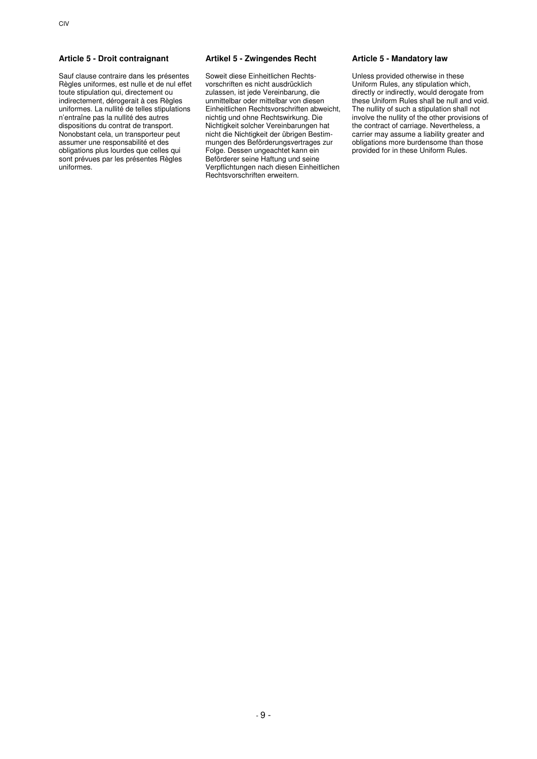Sauf clause contraire dans les présentes Règles uniformes, est nulle et de nul effet toute stipulation qui, directement ou indirectement, dérogerait à ces Règles uniformes. La nullité de telles stipulations n'entraîne pas la nullité des autres dispositions du contrat de transport. Nonobstant cela, un transporteur peut assumer une responsabilité et des obligations plus lourdes que celles qui sont prévues par les présentes Règles uniformes.

### **Article 5 - Droit contraignant Artikel 5 - Zwingendes Recht Article 5 - Mandatory law**

Soweit diese Einheitlichen Rechtsvorschriften es nicht ausdrücklich zulassen, ist jede Vereinbarung, die unmittelbar oder mittelbar von diesen Einheitlichen Rechtsvorschriften abweicht, nichtig und ohne Rechtswirkung. Die Nichtigkeit solcher Vereinbarungen hat nicht die Nichtigkeit der übrigen Bestimmungen des Beförderungsvertrages zur Folge. Dessen ungeachtet kann ein Beförderer seine Haftung und seine Verpflichtungen nach diesen Einheitlichen Rechtsvorschriften erweitern.

Unless provided otherwise in these Uniform Rules, any stipulation which, directly or indirectly, would derogate from these Uniform Rules shall be null and void. The nullity of such a stipulation shall not involve the nullity of the other provisions of the contract of carriage. Nevertheless, a carrier may assume a liability greater and obligations more burdensome than those provided for in these Uniform Rules.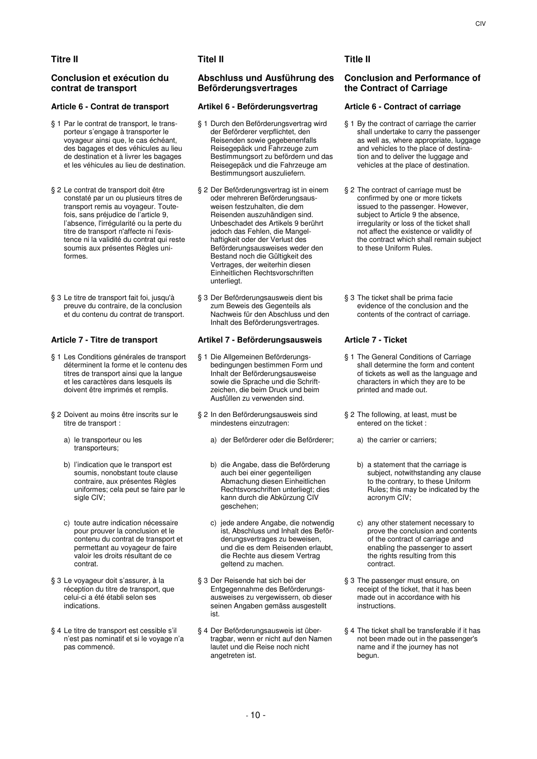# **Titre II Titel II Title II**

# **Conclusion et exécution du contrat de transport**

- § 1 Par le contrat de transport, le transporteur s'engage à transporter le voyageur ainsi que, le cas échéant, des bagages et des véhicules au lieu de destination et à livrer les bagages et les véhicules au lieu de destination.
- § 2 Le contrat de transport doit être constaté par un ou plusieurs titres de transport remis au voyageur. Toutefois, sans préjudice de l'article 9, l'absence, l'irrégularité ou la perte du titre de transport n'affecte ni l'existence ni la validité du contrat qui reste soumis aux présentes Règles uniformes.
- § 3 Le titre de transport fait foi, jusqu'à preuve du contraire, de la conclusion et du contenu du contrat de transport.

- § 1 Les Conditions générales de transport déterminent la forme et le contenu des titres de transport ainsi que la langue et les caractères dans lesquels ils doivent être imprimés et remplis.
- § 2 Doivent au moins être inscrits sur le titre de transport :
	- a) le transporteur ou les transporteurs;
	- b) l'indication que le transport est soumis, nonobstant toute clause contraire, aux présentes Règles uniformes; cela peut se faire par le sigle CIV;
	- c) toute autre indication nécessaire pour prouver la conclusion et le contenu du contrat de transport et permettant au voyageur de faire valoir les droits résultant de ce contrat.
- § 3 Le voyageur doit s'assurer, à la réception du titre de transport, que celui-ci a été établi selon ses indications.
- § 4 Le titre de transport est cessible s'il n'est pas nominatif et si le voyage n'a pas commencé.

# **Abschluss und Ausführung des Beförderungsvertrages**

# **Article 6 - Contrat de transport Artikel 6 - Beförderungsvertrag Article 6 - Contract of carriage**

- § 1 Durch den Beförderungsvertrag wird der Beförderer verpflichtet, den Reisenden sowie gegebenenfalls Reisegepäck und Fahrzeuge zum Bestimmungsort zu befördern und das Reisegepäck und die Fahrzeuge am Bestimmungsort auszuliefern.
- § 2 Der Beförderungsvertrag ist in einem oder mehreren Beförderungsausweisen festzuhalten, die dem Reisenden auszuhändigen sind. Unbeschadet des Artikels 9 berührt jedoch das Fehlen, die Mangelhaftigkeit oder der Verlust des Beförderungsausweises weder den Bestand noch die Gültigkeit des Vertrages, der weiterhin diesen Einheitlichen Rechtsvorschriften unterliegt.
- § 3 Der Beförderungsausweis dient bis zum Beweis des Gegenteils als Nachweis für den Abschluss und den Inhalt des Beförderungsvertrages.

# **Article 7 - Titre de transport Artikel 7 - Beförderungsausweis Article 7 - Ticket**

- § 1 Die Allgemeinen Beförderungsbedingungen bestimmen Form und Inhalt der Beförderungsausweise sowie die Sprache und die Schriftzeichen, die beim Druck und beim Ausfüllen zu verwenden sind.
- § 2 In den Beförderungsausweis sind mindestens einzutragen:
	- a) der Beförderer oder die Beförderer; a) the carrier or carriers;
	- b) die Angabe, dass die Beförderung auch bei einer gegenteiligen Abmachung diesen Einheitlichen Rechtsvorschriften unterliegt; dies kann durch die Abkürzung CIV geschehen;
	- c) jede andere Angabe, die notwendig ist, Abschluss und Inhalt des Beförderungsvertrages zu beweisen, und die es dem Reisenden erlaubt, die Rechte aus diesem Vertrag geltend zu machen.
- § 3 Der Reisende hat sich bei der Entgegennahme des Beförderungsausweises zu vergewissern, ob dieser seinen Angaben gemäss ausgestellt ist.
- § 4 Der Beförderungsausweis ist übertragbar, wenn er nicht auf den Namen lautet und die Reise noch nicht angetreten ist.

# **Conclusion and Performance of the Contract of Carriage**

- § 1 By the contract of carriage the carrier shall undertake to carry the passenger as well as, where appropriate, luggage and vehicles to the place of destination and to deliver the luggage and vehicles at the place of destination.
- § 2 The contract of carriage must be confirmed by one or more tickets issued to the passenger. However, subject to Article 9 the absence, irregularity or loss of the ticket shall not affect the existence or validity of the contract which shall remain subject to these Uniform Rules.
- § 3 The ticket shall be prima facie evidence of the conclusion and the contents of the contract of carriage.

- § 1 The General Conditions of Carriage shall determine the form and content of tickets as well as the language and characters in which they are to be printed and made out.
- § 2 The following, at least, must be entered on the ticket :
	-
	- b) a statement that the carriage is subject, notwithstanding any clause to the contrary, to these Uniform Rules; this may be indicated by the acronym CIV;
	- c) any other statement necessary to prove the conclusion and contents of the contract of carriage and enabling the passenger to assert the rights resulting from this contract.
- § 3 The passenger must ensure, on receipt of the ticket, that it has been made out in accordance with his instructions.
- § 4 The ticket shall be transferable if it has not been made out in the passenger's name and if the journey has not begun.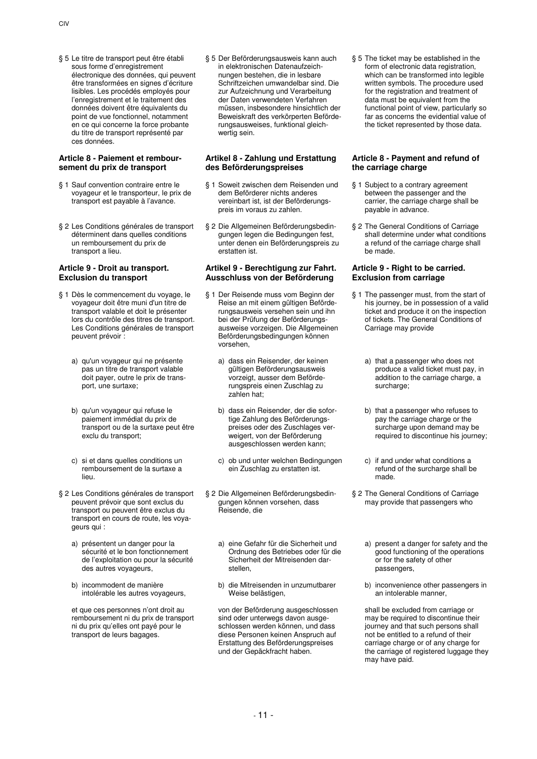§ 5 Le titre de transport peut être établi sous forme d'enregistrement électronique des données, qui peuvent être transformées en signes d'écriture lisibles. Les procédés employés pour l'enregistrement et le traitement des données doivent être équivalents du point de vue fonctionnel, notamment en ce qui concerne la force probante du titre de transport représenté par ces données.

### **Article 8 - Paiement et remboursement du prix de transport**

- § 1 Sauf convention contraire entre le voyageur et le transporteur, le prix de transport est payable à l'avance.
- § 2 Les Conditions générales de transport déterminent dans quelles conditions un remboursement du prix de transport a lieu.

# **Article 9 - Droit au transport. Exclusion du transport**

- § 1 Dès le commencement du voyage, le voyageur doit être muni d'un titre de transport valable et doit le présenter lors du contrôle des titres de transport. Les Conditions générales de transport peuvent prévoir :
	- a) qu'un voyageur qui ne présente pas un titre de transport valable doit payer, outre le prix de transport, une surtaxe;
	- b) qu'un voyageur qui refuse le paiement immédiat du prix de transport ou de la surtaxe peut être exclu du transport;
	- c) si et dans quelles conditions un remboursement de la surtaxe a lieu.
- § 2 Les Conditions générales de transport peuvent prévoir que sont exclus du transport ou peuvent être exclus du transport en cours de route, les voyageurs qui :
	- a) présentent un danger pour la sécurité et le bon fonctionnement de l'exploitation ou pour la sécurité des autres voyageurs,
	- b) incommodent de manière intolérable les autres voyageurs,

 et que ces personnes n'ont droit au remboursement ni du prix de transport ni du prix qu'elles ont payé pour le transport de leurs bagages.

§ 5 Der Beförderungsausweis kann auch in elektronischen Datenaufzeichnungen bestehen, die in lesbare Schriftzeichen umwandelbar sind. Die zur Aufzeichnung und Verarbeitung der Daten verwendeten Verfahren müssen, insbesondere hinsichtlich der Beweiskraft des verkörperten Beförderungsausweises, funktional gleichwertig sein.

### **Artikel 8 - Zahlung und Erstattung des Beförderungspreises**

- § 1 Soweit zwischen dem Reisenden und dem Beförderer nichts anderes vereinbart ist, ist der Beförderungspreis im voraus zu zahlen.
- § 2 Die Allgemeinen Beförderungsbedingungen legen die Bedingungen fest, unter denen ein Beförderungspreis zu erstatten ist.

### **Artikel 9 - Berechtigung zur Fahrt. Ausschluss von der Beförderung**

- § 1 Der Reisende muss vom Beginn der Reise an mit einem gültigen Beförderungsausweis versehen sein und ihn bei der Prüfung der Beförderungsausweise vorzeigen. Die Allgemeinen Beförderungsbedingungen können vorsehen,
	- a) dass ein Reisender, der keinen gültigen Beförderungsausweis vorzeigt, ausser dem Beförderungspreis einen Zuschlag zu zahlen hat;
	- b) dass ein Reisender, der die sofortige Zahlung des Beförderungspreises oder des Zuschlages verweigert, von der Beförderung ausgeschlossen werden kann;
	- c) ob und unter welchen Bedingungen ein Zuschlag zu erstatten ist.
- § 2 Die Allgemeinen Beförderungsbedingungen können vorsehen, dass Reisende, die
	- a) eine Gefahr für die Sicherheit und Ordnung des Betriebes oder für die Sicherheit der Mitreisenden darstellen,
	- b) die Mitreisenden in unzumutbarer Weise belästigen,

 von der Beförderung ausgeschlossen sind oder unterwegs davon ausgeschlossen werden können, und dass diese Personen keinen Anspruch auf Erstattung des Beförderungspreises und der Gepäckfracht haben.

§ 5 The ticket may be established in the form of electronic data registration. which can be transformed into legible written symbols. The procedure used for the registration and treatment of data must be equivalent from the functional point of view, particularly so far as concerns the evidential value of the ticket represented by those data.

# **Article 8 - Payment and refund of the carriage charge**

- § 1 Subject to a contrary agreement between the passenger and the carrier, the carriage charge shall be payable in advance.
- § 2 The General Conditions of Carriage shall determine under what conditions a refund of the carriage charge shall be made.

# **Article 9 - Right to be carried. Exclusion from carriage**

- § 1 The passenger must, from the start of his journey, be in possession of a valid ticket and produce it on the inspection of tickets. The General Conditions of Carriage may provide
	- a) that a passenger who does not produce a valid ticket must pay, in addition to the carriage charge, a surcharge:
	- b) that a passenger who refuses to pay the carriage charge or the surcharge upon demand may be required to discontinue his journey;
	- c) if and under what conditions a refund of the surcharge shall be made.
- § 2 The General Conditions of Carriage may provide that passengers who
	- a) present a danger for safety and the good functioning of the operations or for the safety of other passengers,
	- b) inconvenience other passengers in an intolerable manner,

 shall be excluded from carriage or may be required to discontinue their journey and that such persons shall not be entitled to a refund of their carriage charge or of any charge for the carriage of registered luggage they may have paid.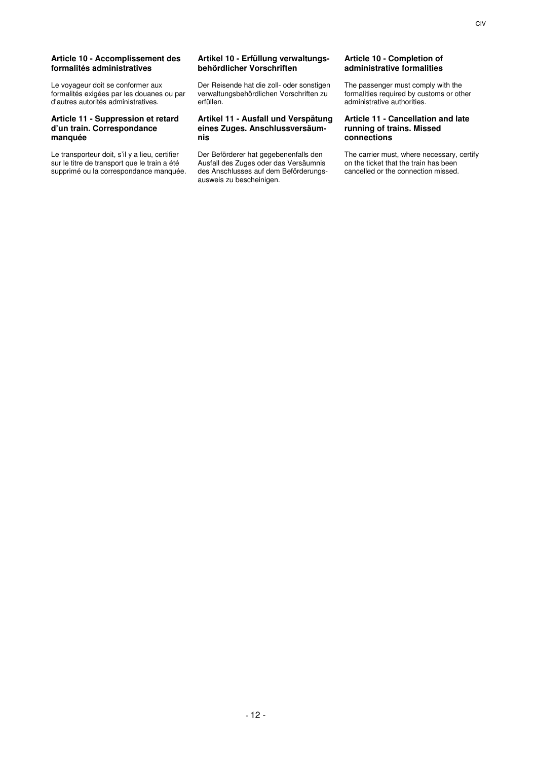### **Article 10 - Accomplissement des formalités administratives**

Le voyageur doit se conformer aux formalités exigées par les douanes ou par d'autres autorités administratives.

### **Article 11 - Suppression et retard d'un train. Correspondance manquée**

Le transporteur doit, s'il y a lieu, certifier sur le titre de transport que le train a été supprimé ou la correspondance manquée.

# **Artikel 10 - Erfüllung verwaltungsbehördlicher Vorschriften**

Der Reisende hat die zoll- oder sonstigen verwaltungsbehördlichen Vorschriften zu erfüllen.

### **Artikel 11 - Ausfall und Verspätung eines Zuges. Anschlussversäumnis**

Der Beförderer hat gegebenenfalls den Ausfall des Zuges oder das Versäumnis des Anschlusses auf dem Beförderungsausweis zu bescheinigen.

# **Article 10 - Completion of administrative formalities**

The passenger must comply with the formalities required by customs or other administrative authorities.

### **Article 11 - Cancellation and late running of trains. Missed connections**

The carrier must, where necessary, certify on the ticket that the train has been cancelled or the connection missed.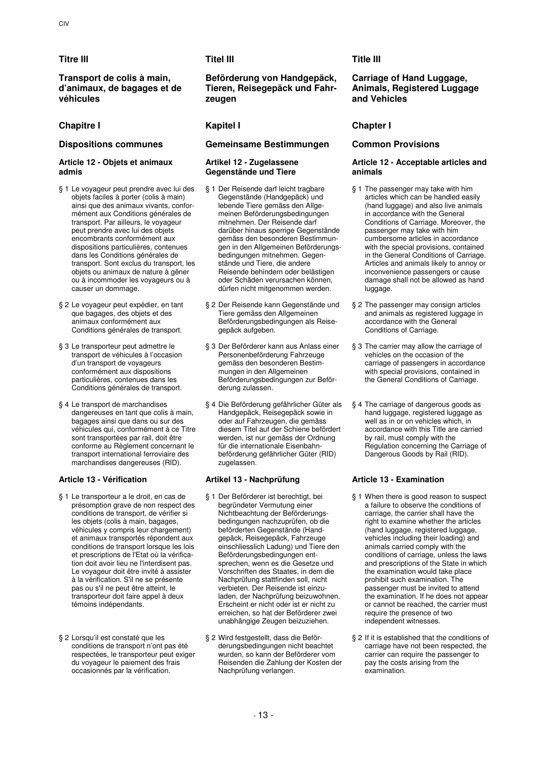**Transport de colis à main, d'animaux, de bagages et de véhicules** 

# **Chapitre I Kapitel I Chapter I**

# **Article 12 - Objets et animaux admis**

- § 1 Le voyageur peut prendre avec lui des objets faciles à porter (colis à main) ainsi que des animaux vivants, conformément aux Conditions générales de transport. Par ailleurs, le voyageur peut prendre avec lui des objets encombrants conformément aux dispositions particulières, contenues dans les Conditions générales de transport. Sont exclus du transport, les objets ou animaux de nature à gêner ou à incommoder les voyageurs ou à causer un dommage.
- § 2 Le voyageur peut expédier, en tant que bagages, des objets et des animaux conformément aux Conditions générales de transport.
- § 3 Le transporteur peut admettre le transport de véhicules à l'occasion d'un transport de voyageurs conformément aux dispositions particulières, contenues dans les Conditions générales de transport.
- § 4 Le transport de marchandises dangereuses en tant que colis à main. bagages ainsi que dans ou sur des véhicules qui, conformément à ce Titre sont transportées par rail, doit être conforme au Règlement concernant le transport international ferroviaire des marchandises dangereuses (RID).

- § 1 Le transporteur a le droit, en cas de présomption grave de non respect des conditions de transport, de vérifier si les objets (colis à main, bagages, véhicules y compris leur chargement) et animaux transportés répondent aux conditions de transport lorsque les lois et prescriptions de l'Etat où la vérification doit avoir lieu ne l'interdisent pas. Le voyageur doit être invité à assister à la vérification. S'il ne se présente pas ou s'il ne peut être atteint, le transporteur doit faire appel à deux témoins indépendants.
- § 2 Lorsqu'il est constaté que les conditions de transport n'ont pas été respectées, le transporteur peut exiger du voyageur le paiement des frais occasionnés par la vérification.

# **Titre III Titel III Title III**

**Beförderung von Handgepäck, Tieren, Reisegepäck und Fahrzeugen** 

# **Dispositions communes Gemeinsame Bestimmungen Common Provisions**

# **Artikel 12 - Zugelassene Gegenstände und Tiere**

- § 1 Der Reisende darf leicht tragbare Gegenstände (Handgepäck) und lebende Tiere gemäss den Allgemeinen Beförderungsbedingungen mitnehmen. Der Reisende darf darüber hinaus sperrige Gegenstände gemäss den besonderen Bestimmungen in den Allgemeinen Beförderungsbedingungen mitnehmen. Gegenstände und Tiere, die andere Reisende behindern oder belästigen oder Schäden verursachen können, dürfen nicht mitgenommen werden.
- § 2 Der Reisende kann Gegenstände und Tiere gemäss den Allgemeinen Beförderungsbedingungen als Reisegepäck aufgeben.
- § 3 Der Beförderer kann aus Anlass einer Personenbeförderung Fahrzeuge gemäss den besonderen Bestimmungen in den Allgemeinen Beförderungsbedingungen zur Beförderung zulassen.
- § 4 Die Beförderung gefährlicher Güter als Handgepäck, Reisegepäck sowie in oder auf Fahrzeugen, die gemäss diesem Titel auf der Schiene befördert werden, ist nur gemäss der Ordnung für die internationale Eisenbahnbeförderung gefährlicher Güter (RID) zugelassen.

# **Article 13 - Vérification Artikel 13 - Nachprüfung Article 13 - Examination**

- § 1 Der Beförderer ist berechtigt, bei begründeter Vermutung einer Nichtbeachtung der Beförderungsbedingungen nachzuprüfen, ob die beförderten Gegenstände (Handgepäck, Reisegepäck, Fahrzeuge einschliesslich Ladung) und Tiere den Beförderungsbedingungen entsprechen, wenn es die Gesetze und Vorschriften des Staates, in dem die Nachprüfung stattfinden soll, nicht verbieten. Der Reisende ist einzuladen, der Nachprüfung beizuwohnen. Erscheint er nicht oder ist er nicht zu erreichen, so hat der Beförderer zwei unabhängige Zeugen beizuziehen.
- § 2 Wird festgestellt, dass die Beförderungsbedingungen nicht beachtet wurden, so kann der Beförderer vom Reisenden die Zahlung der Kosten der Nachprüfung verlangen.

# **Carriage of Hand Luggage, Animals, Registered Luggage and Vehicles**

# **Article 12 - Acceptable articles and animals**

- § 1 The passenger may take with him articles which can be handled easily (hand luggage) and also live animals in accordance with the General Conditions of Carriage. Moreover, the passenger may take with him cumbersome articles in accordance with the special provisions, contained in the General Conditions of Carriage. Articles and animals likely to annoy or inconvenience passengers or cause damage shall not be allowed as hand luggage.
- § 2 The passenger may consign articles and animals as registered luggage in accordance with the General Conditions of Carriage.
- § 3 The carrier may allow the carriage of vehicles on the occasion of the carriage of passengers in accordance with special provisions, contained in the General Conditions of Carriage.
- § 4 The carriage of dangerous goods as hand luggage, registered luggage as well as in or on vehicles which, in accordance with this Title are carried by rail, must comply with the Regulation concerning the Carriage of Dangerous Goods by Rail (RID).

- § 1 When there is good reason to suspect a failure to observe the conditions of carriage, the carrier shall have the right to examine whether the articles (hand luggage, registered luggage, vehicles including their loading) and animals carried comply with the conditions of carriage, unless the laws and prescriptions of the State in which the examination would take place prohibit such examination. The passenger must be invited to attend the examination. If he does not appear or cannot be reached, the carrier must require the presence of two independent witnesses.
- § 2 If it is established that the conditions of carriage have not been respected, the carrier can require the passenger to pay the costs arising from the .<br>examination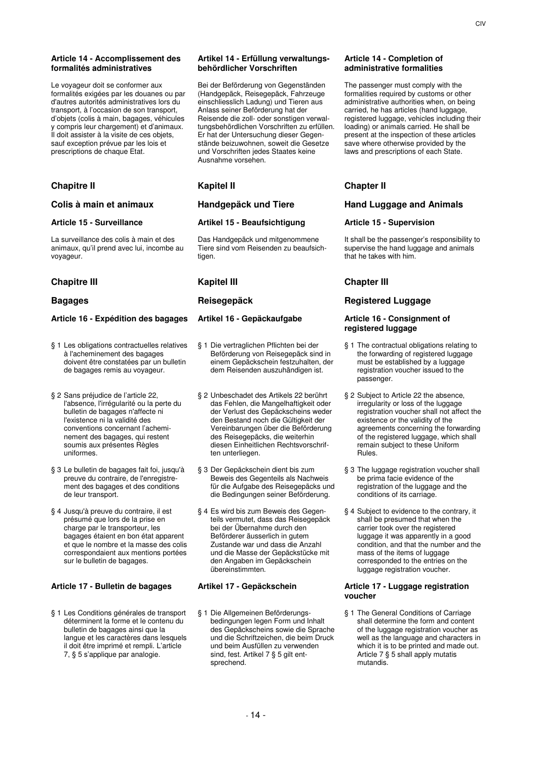# **Article 14 - Accomplissement des formalités administratives**

Le voyageur doit se conformer aux formalités exigées par les douanes ou par d'autres autorités administratives lors du transport, à l'occasion de son transport, d'objets (colis à main, bagages, véhicules y compris leur chargement) et d'animaux. Il doit assister à la visite de ces objets, sauf exception prévue par les lois et prescriptions de chaque Etat.

# **Chapitre II Kapitel II Chapter II**

La surveillance des colis à main et des animaux, qu'il prend avec lui, incombe au voyageur.

# **Chapitre III Kapitel III Chapter III**

# **Article 16 - Expédition des bagages Artikel 16 - Gepäckaufgabe Article 16 - Consignment of**

- § 1 Les obligations contractuelles relatives à l'acheminement des bagages doivent être constatées par un bulletin de bagages remis au voyageur.
- § 2 Sans préjudice de l'article 22, l'absence, l'irrégularité ou la perte du bulletin de bagages n'affecte ni l'existence ni la validité des conventions concernant l'acheminement des bagages, qui restent soumis aux présentes Règles uniformes.
- § 3 Le bulletin de bagages fait foi, jusqu'à preuve du contraire, de l'enregistrement des bagages et des conditions de leur transport.
- § 4 Jusqu'à preuve du contraire, il est présumé que lors de la prise en charge par le transporteur, les bagages étaient en bon état apparent et que le nombre et la masse des colis correspondaient aux mentions portées sur le bulletin de bagages.

# **Article 17 - Bulletin de bagages Artikel 17 - Gepäckschein Article 17 - Luggage registration**

§ 1 Les Conditions générales de transport déterminent la forme et le contenu du bulletin de bagages ainsi que la langue et les caractères dans lesquels il doit être imprimé et rempli. L'article 7, § 5 s'applique par analogie.

### **Artikel 14 - Erfüllung verwaltungsbehördlicher Vorschriften**

Bei der Beförderung von Gegenständen (Handgepäck, Reisegepäck, Fahrzeuge einschliesslich Ladung) und Tieren aus Anlass seiner Beförderung hat der Reisende die zoll- oder sonstigen verwaltungsbehördlichen Vorschriften zu erfüllen. Er hat der Untersuchung dieser Gegenstände beizuwohnen, soweit die Gesetze und Vorschriften jedes Staates keine Ausnahme vorsehen.

# **Article 15 - Surveillance Artikel 15 - Beaufsichtigung Article 15 - Supervision**

Das Handgepäck und mitgenommene Tiere sind vom Reisenden zu beaufsichtigen.

- § 1 Die vertraglichen Pflichten bei der Beförderung von Reisegepäck sind in einem Gepäckschein festzuhalten, der dem Reisenden auszuhändigen ist.
- § 2 Unbeschadet des Artikels 22 berührt das Fehlen, die Mangelhaftigkeit oder der Verlust des Gepäckscheins weder den Bestand noch die Gültigkeit der Vereinbarungen über die Beförderung des Reisegepäcks, die weiterhin diesen Einheitlichen Rechtsvorschriften unterliegen.
- § 3 Der Gepäckschein dient bis zum Beweis des Gegenteils als Nachweis für die Aufgabe des Reisegepäcks und die Bedingungen seiner Beförderung.
- § 4 Es wird bis zum Beweis des Gegenteils vermutet, dass das Reisegepäck bei der Übernahme durch den Beförderer äusserlich in gutem Zustande war und dass die Anzahl und die Masse der Gepäckstücke mit den Angaben im Gepäckschein übereinstimmten.

§ 1 Die Allgemeinen Beförderungsbedingungen legen Form und Inhalt des Gepäckscheins sowie die Sprache und die Schriftzeichen, die beim Druck und beim Ausfüllen zu verwenden sind, fest. Artikel 7 § 5 gilt entsprechend.

# **Article 14 - Completion of administrative formalities**

The passenger must comply with the formalities required by customs or other administrative authorities when, on being carried, he has articles (hand luggage, registered luggage, vehicles including their loading) or animals carried. He shall be present at the inspection of these articles save where otherwise provided by the laws and prescriptions of each State.

# **Colis à main et animaux Handgepäck und Tiere Hand Luggage and Animals**

It shall be the passenger's responsibility to supervise the hand luggage and animals that he takes with him.

# **Bagages Reisegepäck Registered Luggage**

# **registered luggage**

- § 1 The contractual obligations relating to the forwarding of registered luggage must be established by a luggage registration voucher issued to the passenger.
- § 2 Subject to Article 22 the absence, irregularity or loss of the luggage registration voucher shall not affect the existence or the validity of the agreements concerning the forwarding of the registered luggage, which shall remain subject to these Uniform Rules.
- § 3 The luggage registration voucher shall be prima facie evidence of the registration of the luggage and the conditions of its carriage.
- § 4 Subject to evidence to the contrary, it shall be presumed that when the carrier took over the registered luggage it was apparently in a good condition, and that the number and the mass of the items of luggage corresponded to the entries on the luggage registration voucher.

# **voucher**

§ 1 The General Conditions of Carriage shall determine the form and content of the luggage registration voucher as well as the language and characters in which it is to be printed and made out. Article 7 § 5 shall apply mutatis mutandis.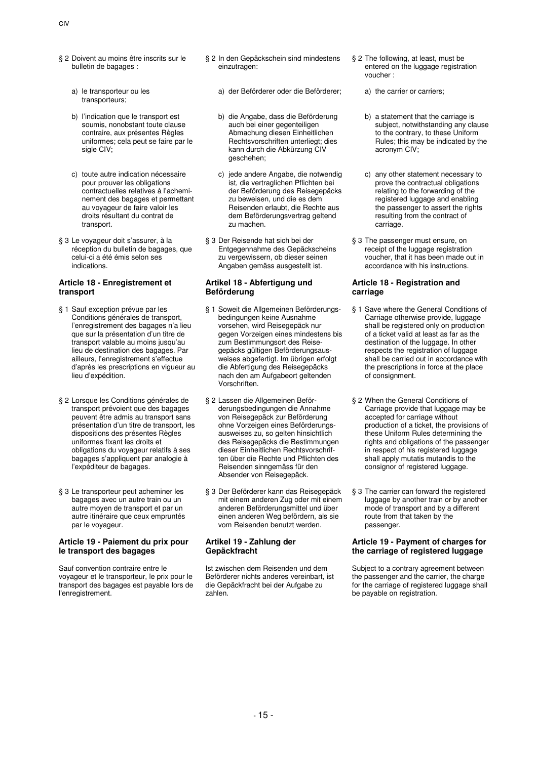- § 2 Doivent au moins être inscrits sur le bulletin de bagages :
	- a) le transporteur ou les transporteurs;
	- b) l'indication que le transport est soumis, nonobstant toute clause contraire, aux présentes Règles uniformes; cela peut se faire par le sigle CIV;
	- c) toute autre indication nécessaire pour prouver les obligations contractuelles relatives à l'acheminement des bagages et permettant au voyageur de faire valoir les droits résultant du contrat de transport.
- § 3 Le voyageur doit s'assurer, à la réception du bulletin de bagages, que celui-ci a été émis selon ses indications.

# **Article 18 - Enregistrement et transport**

- § 1 Sauf exception prévue par les Conditions générales de transport, l'enregistrement des bagages n'a lieu que sur la présentation d'un titre de transport valable au moins jusqu'au lieu de destination des bagages. Par ailleurs, l'enregistrement s'effectue d'après les prescriptions en vigueur au lieu d'expédition.
- § 2 Lorsque les Conditions générales de transport prévoient que des bagages peuvent être admis au transport sans présentation d'un titre de transport, les dispositions des présentes Règles uniformes fixant les droits et obligations du voyageur relatifs à ses bagages s'appliquent par analogie à l'expéditeur de bagages.
- § 3 Le transporteur peut acheminer les bagages avec un autre train ou un autre moyen de transport et par un autre itinéraire que ceux empruntés par le voyageur.

### **Article 19 - Paiement du prix pour le transport des bagages**

Sauf convention contraire entre le voyageur et le transporteur, le prix pour le transport des bagages est payable lors de l'enregistrement.

- § 2 In den Gepäckschein sind mindestens einzutragen:
	- a) der Beförderer oder die Beförderer; a) the carrier or carriers;
	- b) die Angabe, dass die Beförderung auch bei einer gegenteiligen Abmachung diesen Einheitlichen Rechtsvorschriften unterliegt; dies kann durch die Abkürzung CIV geschehen;
	- c) jede andere Angabe, die notwendig ist, die vertraglichen Pflichten bei der Beförderung des Reisegepäcks zu beweisen, und die es dem Reisenden erlaubt, die Rechte aus dem Beförderungsvertrag geltend zu machen.
- § 3 Der Reisende hat sich bei der Entgegennahme des Gepäckscheins zu vergewissern, ob dieser seinen Angaben gemäss ausgestellt ist.

# **Artikel 18 - Abfertigung und Beförderung**

- § 1 Soweit die Allgemeinen Beförderungsbedingungen keine Ausnahme vorsehen, wird Reisegepäck nur gegen Vorzeigen eines mindestens bis zum Bestimmungsort des Reisegepäcks gültigen Beförderungsausweises abgefertigt. Im übrigen erfolgt die Abfertigung des Reisegepäcks nach den am Aufgabeort geltenden Vorschriften.
- § 2 Lassen die Allgemeinen Beförderungsbedingungen die Annahme von Reisegepäck zur Beförderung ohne Vorzeigen eines Beförderungsausweises zu, so gelten hinsichtlich des Reisegepäcks die Bestimmungen dieser Einheitlichen Rechtsvorschriften über die Rechte und Pflichten des Reisenden sinngemäss für den Absender von Reisegepäck.
- § 3 Der Beförderer kann das Reisegepäck mit einem anderen Zug oder mit einem anderen Beförderungsmittel und über einen anderen Weg befördern, als sie vom Reisenden benutzt werden.

# **Artikel 19 - Zahlung der Gepäckfracht**

Ist zwischen dem Reisenden und dem Beförderer nichts anderes vereinbart, ist die Gepäckfracht bei der Aufgabe zu zahlen.

- § 2 The following, at least, must be entered on the luggage registration voucher :
	-
	- b) a statement that the carriage is subject, notwithstanding any clause to the contrary, to these Uniform Rules; this may be indicated by the acronym CIV;
	- c) any other statement necessary to prove the contractual obligations relating to the forwarding of the registered luggage and enabling the passenger to assert the rights resulting from the contract of carriage.
- § 3 The passenger must ensure, on receipt of the luggage registration voucher, that it has been made out in accordance with his instructions.

# **Article 18 - Registration and carriage**

- § 1 Save where the General Conditions of Carriage otherwise provide, luggage shall be registered only on production of a ticket valid at least as far as the destination of the luggage. In other respects the registration of luggage shall be carried out in accordance with the prescriptions in force at the place of consignment.
- § 2 When the General Conditions of Carriage provide that luggage may be accepted for carriage without production of a ticket, the provisions of these Uniform Rules determining the rights and obligations of the passenger in respect of his registered luggage shall apply mutatis mutandis to the consignor of registered luggage.
- § 3 The carrier can forward the registered luggage by another train or by another mode of transport and by a different route from that taken by the passenger.

# **Article 19 - Payment of charges for the carriage of registered luggage**

Subject to a contrary agreement between the passenger and the carrier, the charge for the carriage of registered luggage shall be payable on registration.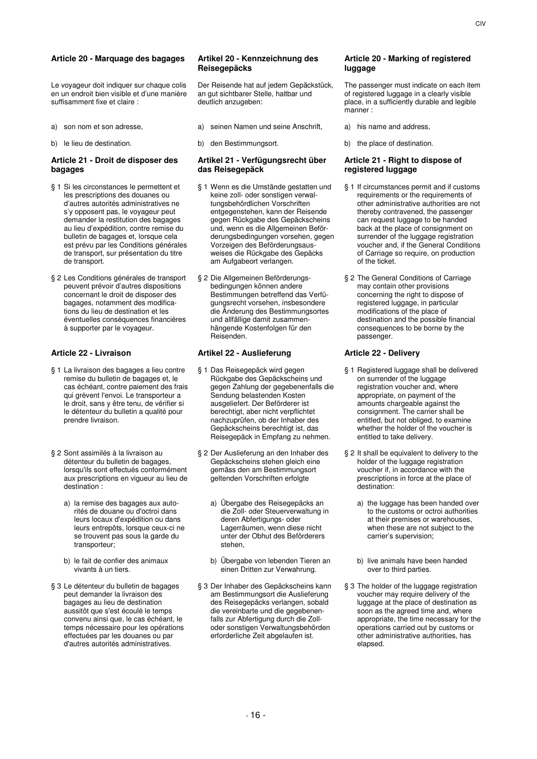# **Article 20 - Marquage des bagages Artikel 20 - Kennzeichnung des**

Le voyageur doit indiquer sur chaque colis en un endroit bien visible et d'une manière suffisamment fixe et claire :

- 
- 

### **Article 21 - Droit de disposer des bagages**

- § 1 Si les circonstances le permettent et les prescriptions des douanes ou d'autres autorités administratives ne s'y opposent pas, le voyageur peut demander la restitution des bagages au lieu d'expédition, contre remise du bulletin de bagages et, lorsque cela est prévu par les Conditions générales de transport, sur présentation du titre de transport.
- § 2 Les Conditions générales de transport peuvent prévoir d'autres dispositions concernant le droit de disposer des bagages, notamment des modifications du lieu de destination et les éventuelles conséquences financières à supporter par le voyageur.

- § 1 La livraison des bagages a lieu contre remise du bulletin de bagages et, le cas échéant, contre paiement des frais qui grèvent l'envoi. Le transporteur a le droit, sans y être tenu, de vérifier si le détenteur du bulletin a qualité pour prendre livraison.
- § 2 Sont assimilés à la livraison au détenteur du bulletin de bagages, lorsqu'ils sont effectués conformément aux prescriptions en vigueur au lieu de destination :
	- a) la remise des bagages aux autorités de douane ou d'octroi dans leurs locaux d'expédition ou dans leurs entrepôts, lorsque ceux-ci ne se trouvent pas sous la garde du transporteur;
	- b) le fait de confier des animaux vivants à un tiers.
- § 3 Le détenteur du bulletin de bagages peut demander la livraison des bagages au lieu de destination aussitôt que s'est écoulé le temps convenu ainsi que, le cas échéant, le temps nécessaire pour les opérations effectuées par les douanes ou par d'autres autorités administratives.

# **Reisegepäcks**

Der Reisende hat auf jedem Gepäckstück, an gut sichtbarer Stelle, haltbar und deutlich anzugeben:

- a) son nom et son adresse, a) seinen Namen und seine Anschrift, a) his name and address,
	-

### **Artikel 21 - Verfügungsrecht über das Reisegepäck**

- § 1 Wenn es die Umstände gestatten und keine zoll- oder sonstigen verwaltungsbehördlichen Vorschriften entgegenstehen, kann der Reisende gegen Rückgabe des Gepäckscheins und, wenn es die Allgemeinen Beförderungsbedingungen vorsehen, gegen Vorzeigen des Beförderungsausweises die Rückgabe des Gepäcks am Aufgabeort verlangen.
- § 2 Die Allgemeinen Beförderungsbedingungen können andere Bestimmungen betreffend das Verfügungsrecht vorsehen, insbesondere die Änderung des Bestimmungsortes und allfällige damit zusammenhängende Kostenfolgen für den Reisenden.

# **Article 22 - Livraison Artikel 22 - Auslieferung Article 22 - Delivery**

- § 1 Das Reisegepäck wird gegen Rückgabe des Gepäckscheins und gegen Zahlung der gegebenenfalls die Sendung belastenden Kosten ausgeliefert. Der Beförderer ist berechtigt, aber nicht verpflichtet nachzuprüfen, ob der Inhaber des Gepäckscheins berechtigt ist, das Reisegepäck in Empfang zu nehmen.
- § 2 Der Auslieferung an den Inhaber des Gepäckscheins stehen gleich eine gemäss den am Bestimmungsort geltenden Vorschriften erfolgte
	- a) Übergabe des Reisegepäcks an die Zoll- oder Steuerverwaltung in deren Abfertigungs- oder Lagerräumen, wenn diese nicht unter der Obhut des Beförderers stehen,
	- b) Übergabe von lebenden Tieren an einen Dritten zur Verwahrung.
- § 3 Der Inhaber des Gepäckscheins kann am Bestimmungsort die Auslieferung des Reisegepäcks verlangen, sobald die vereinbarte und die gegebenenfalls zur Abfertigung durch die Zolloder sonstigen Verwaltungsbehörden erforderliche Zeit abgelaufen ist.

# **Article 20 - Marking of registered luggage**

The passenger must indicate on each item of registered luggage in a clearly visible place, in a sufficiently durable and legible manner :

- 
- b) le lieu de destination. b) den Bestimmungsort. b) the place of destination.

### **Article 21 - Right to dispose of registered luggage**

- § 1 If circumstances permit and if customs requirements or the requirements of other administrative authorities are not thereby contravened, the passenger can request luggage to be handed back at the place of consignment on surrender of the luggage registration voucher and, if the General Conditions of Carriage so require, on production of the ticket.
- § 2 The General Conditions of Carriage may contain other provisions concerning the right to dispose of registered luggage, in particular modifications of the place of destination and the possible financial consequences to be borne by the passenger.

- § 1 Registered luggage shall be delivered on surrender of the luggage registration voucher and, where appropriate, on payment of the amounts chargeable against the consignment. The carrier shall be entitled, but not obliged, to examine whether the holder of the voucher is entitled to take delivery.
- § 2 It shall be equivalent to delivery to the holder of the luggage registration voucher if, in accordance with the prescriptions in force at the place of destination:
	- a) the luggage has been handed over to the customs or octroi authorities at their premises or warehouses, when these are not subject to the carrier's supervision;
	- b) live animals have been handed over to third parties.
- § 3 The holder of the luggage registration voucher may require delivery of the luggage at the place of destination as soon as the agreed time and, where appropriate, the time necessary for the operations carried out by customs or other administrative authorities, has elapsed.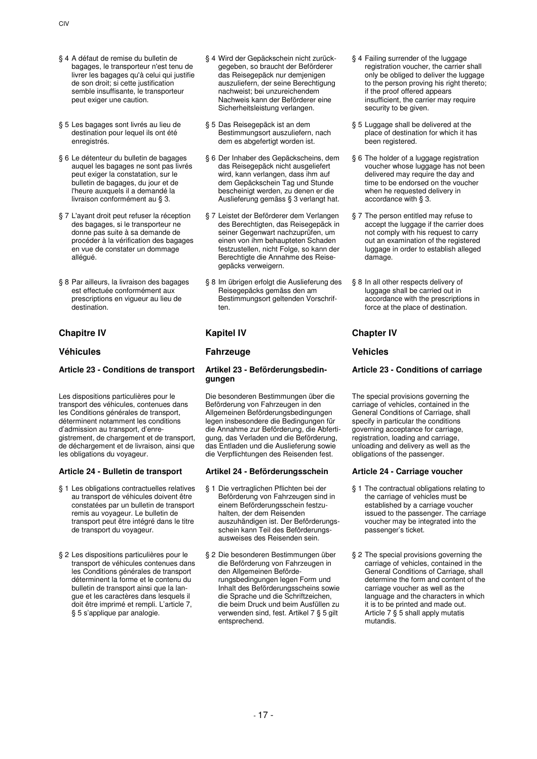- § 4 A défaut de remise du bulletin de bagages, le transporteur n'est tenu de livrer les bagages qu'à celui qui justifie de son droit; si cette justification semble insuffisante, le transporteur peut exiger une caution.
- § 5 Les bagages sont livrés au lieu de destination pour lequel ils ont été enregistrés.
- § 6 Le détenteur du bulletin de bagages auquel les bagages ne sont pas livrés peut exiger la constatation, sur le bulletin de bagages, du jour et de l'heure auxquels il a demandé la livraison conformément au § 3.
- § 7 L'ayant droit peut refuser la réception des bagages, si le transporteur ne donne pas suite à sa demande de procéder à la vérification des bagages en vue de constater un dommage allégué.
- § 8 Par ailleurs, la livraison des bagages est effectuée conformément aux prescriptions en vigueur au lieu de destination.

# **Chapitre IV Kapitel IV Chapter IV**

# **Article 23 - Conditions de transport Artikel 23 - Beförderungsbedin-**

Les dispositions particulières pour le transport des véhicules, contenues dans les Conditions générales de transport, déterminent notamment les conditions d'admission au transport, d'enregistrement, de chargement et de transport, de déchargement et de livraison, ainsi que les obligations du voyageur.

# **Article 24 - Bulletin de transport Artikel 24 - Beförderungsschein Article 24 - Carriage voucher**

- § 1 Les obligations contractuelles relatives au transport de véhicules doivent être constatées par un bulletin de transport remis au voyageur. Le bulletin de transport peut être intégré dans le titre de transport du voyageur.
- § 2 Les dispositions particulières pour le transport de véhicules contenues dans les Conditions générales de transport déterminent la forme et le contenu du bulletin de transport ainsi que la langue et les caractères dans lesquels il doit être imprimé et rempli. L'article 7, § 5 s'applique par analogie.
- § 4 Wird der Gepäckschein nicht zurückgegeben, so braucht der Beförderer das Reisegepäck nur demjenigen auszuliefern, der seine Berechtigung nachweist; bei unzureichendem Nachweis kann der Beförderer eine Sicherheitsleistung verlangen.
- § 5 Das Reisegepäck ist an dem Bestimmungsort auszuliefern, nach dem es abgefertigt worden ist.
- § 6 Der Inhaber des Gepäckscheins, dem das Reisegepäck nicht ausgeliefert wird, kann verlangen, dass ihm auf dem Gepäckschein Tag und Stunde bescheinigt werden, zu denen er die Auslieferung gemäss § 3 verlangt hat.
- § 7 Leistet der Beförderer dem Verlangen des Berechtigten, das Reisegepäck in seiner Gegenwart nachzuprüfen, um einen von ihm behaupteten Schaden festzustellen, nicht Folge, so kann der Berechtigte die Annahme des Reisegepäcks verweigern.
- § 8 Im übrigen erfolgt die Auslieferung des Reisegepäcks gemäss den am Bestimmungsort geltenden Vorschriften.

# **Véhicules Fahrzeuge Vehicles**

# **gungen**

Die besonderen Bestimmungen über die Beförderung von Fahrzeugen in den Allgemeinen Beförderungsbedingungen legen insbesondere die Bedingungen für die Annahme zur Beförderung, die Abfertigung, das Verladen und die Beförderung, das Entladen und die Auslieferung sowie die Verpflichtungen des Reisenden fest.

- § 1 Die vertraglichen Pflichten bei der Beförderung von Fahrzeugen sind in einem Beförderungsschein festzuhalten, der dem Reisenden auszuhändigen ist. Der Beförderungsschein kann Teil des Beförderungsausweises des Reisenden sein.
- § 2 Die besonderen Bestimmungen über die Beförderung von Fahrzeugen in den Allgemeinen Beförderungsbedingungen legen Form und Inhalt des Beförderungsscheins sowie die Sprache und die Schriftzeichen, die beim Druck und beim Ausfüllen zu verwenden sind, fest. Artikel 7 § 5 gilt entsprechend.
- § 4 Failing surrender of the luggage registration voucher, the carrier shall only be obliged to deliver the luggage to the person proving his right thereto; if the proof offered appears insufficient, the carrier may require security to be given.
- § 5 Luggage shall be delivered at the place of destination for which it has been registered.
- § 6 The holder of a luggage registration voucher whose luggage has not been delivered may require the day and time to be endorsed on the voucher when he requested delivery in accordance with § 3.
- § 7 The person entitled may refuse to accept the luggage if the carrier does not comply with his request to carry out an examination of the registered luggage in order to establish alleged damage.
- § 8 In all other respects delivery of luggage shall be carried out in accordance with the prescriptions in force at the place of destination.

# **Article 23 - Conditions of carriage**

The special provisions governing the carriage of vehicles, contained in the General Conditions of Carriage, shall specify in particular the conditions governing acceptance for carriage, registration, loading and carriage, unloading and delivery as well as the obligations of the passenger.

- § 1 The contractual obligations relating to the carriage of vehicles must be established by a carriage voucher issued to the passenger. The carriage voucher may be integrated into the passenger's ticket.
- § 2 The special provisions governing the carriage of vehicles, contained in the General Conditions of Carriage, shall determine the form and content of the carriage voucher as well as the language and the characters in which it is to be printed and made out. Article 7 § 5 shall apply mutatis mutandis.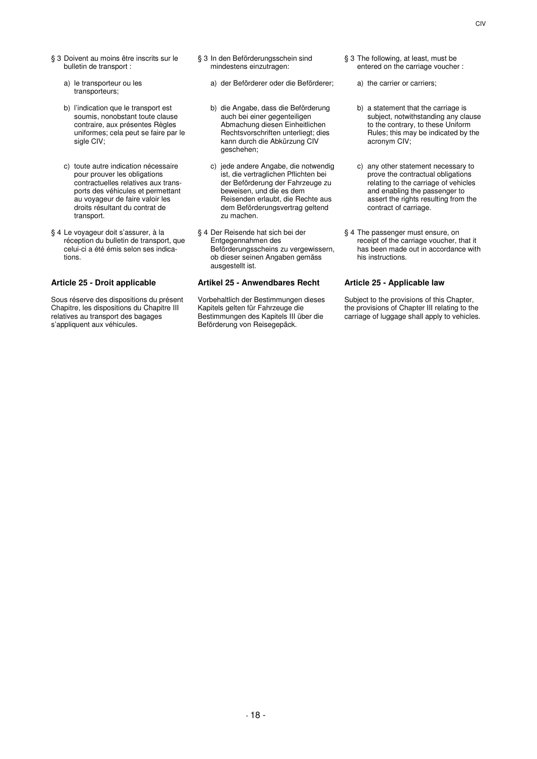- § 3 Doivent au moins être inscrits sur le bulletin de transport :
	- a) le transporteur ou les transporteurs;
	- b) l'indication que le transport est soumis, nonobstant toute clause contraire, aux présentes Règles uniformes; cela peut se faire par le sigle CIV;
	- c) toute autre indication nécessaire pour prouver les obligations contractuelles relatives aux transports des véhicules et permettant au voyageur de faire valoir les droits résultant du contrat de transport.
- § 4 Le voyageur doit s'assurer, à la réception du bulletin de transport, que celui-ci a été émis selon ses indications.

Sous réserve des dispositions du présent Chapitre, les dispositions du Chapitre III relatives au transport des bagages s'appliquent aux véhicules.

- § 3 In den Beförderungsschein sind mindestens einzutragen:
	- a) der Beförderer oder die Beförderer; a) the carrier or carriers;
	- b) die Angabe, dass die Beförderung auch bei einer gegenteiligen Abmachung diesen Einheitlichen Rechtsvorschriften unterliegt; dies kann durch die Abkürzung CIV geschehen;
	- c) jede andere Angabe, die notwendig ist, die vertraglichen Pflichten bei der Beförderung der Fahrzeuge zu beweisen, und die es dem Reisenden erlaubt, die Rechte aus dem Beförderungsvertrag geltend zu machen.
- § 4 Der Reisende hat sich bei der Entgegennahmen des Beförderungsscheins zu vergewissern, ob dieser seinen Angaben gemäss ausgestellt ist.

# **Article 25 - Droit applicable Artikel 25 - Anwendbares Recht Article 25 - Applicable law**

Vorbehaltlich der Bestimmungen dieses Kapitels gelten für Fahrzeuge die Bestimmungen des Kapitels III über die Beförderung von Reisegepäck.

- § 3 The following, at least, must be entered on the carriage voucher :
	-
	- b) a statement that the carriage is subject, notwithstanding any clause to the contrary, to these Uniform Rules; this may be indicated by the acronym CIV;
	- c) any other statement necessary to prove the contractual obligations relating to the carriage of vehicles and enabling the passenger to assert the rights resulting from the contract of carriage.
- § 4 The passenger must ensure, on receipt of the carriage voucher, that it has been made out in accordance with his instructions.

Subject to the provisions of this Chapter, the provisions of Chapter III relating to the carriage of luggage shall apply to vehicles.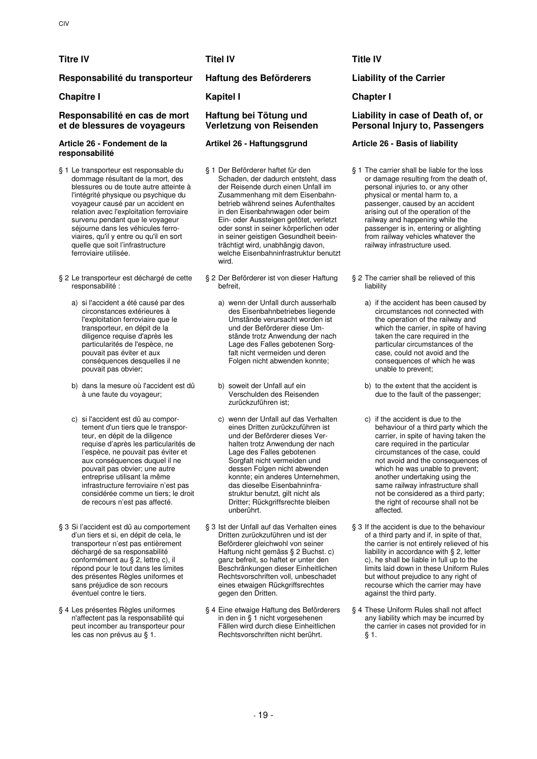# **Titre IV Titel IV Title IV**

# **Responsabilité du transporteur Haftung des Beförderers Liability of the Carrier**

# **Chapitre I Kapitel I Chapter I**

# **Responsabilité en cas de mort et de blessures de voyageurs**

### **Article 26 - Fondement de la responsabilité**

- § 1 Le transporteur est responsable du dommage résultant de la mort, des blessures ou de toute autre atteinte à l'intégrité physique ou psychique du voyageur causé par un accident en relation avec l'exploitation ferroviaire survenu pendant que le voyageur séjourne dans les véhicules ferroviaires, qu'il y entre ou qu'il en sort quelle que soit l'infrastructure ferroviaire utilisée.
- § 2 Le transporteur est déchargé de cette responsabilité :
	- a) si l'accident a été causé par des circonstances extérieures à l'exploitation ferroviaire que le transporteur, en dépit de la diligence requise d'après les particularités de l'espèce, ne pouvait pas éviter et aux conséquences desquelles il ne pouvait pas obvier;
	- b) dans la mesure où l'accident est dû à une faute du voyageur;
	- c) si l'accident est dû au comportement d'un tiers que le transporteur, en dépit de la diligence requise d'après les particularités de l'espèce, ne pouvait pas éviter et aux conséquences duquel il ne pouvait pas obvier; une autre entreprise utilisant la même infrastructure ferroviaire n'est pas considérée comme un tiers; le droit de recours n'est pas affecté.
- § 3 Si l'accident est dû au comportement d'un tiers et si, en dépit de cela, le transporteur n'est pas entièrement déchargé de sa responsabilité conformément au § 2, lettre c), il répond pour le tout dans les limites des présentes Règles uniformes et sans préjudice de son recours éventuel contre le tiers.
- § 4 Les présentes Règles uniformes n'affectent pas la responsabilité qui peut incomber au transporteur pour les cas non prévus au § 1.

# **Haftung bei Tötung und Verletzung von Reisenden**

- § 1 Der Beförderer haftet für den Schaden, der dadurch entsteht, dass der Reisende durch einen Unfall im Zusammenhang mit dem Eisenbahnbetrieb während seines Aufenthaltes in den Eisenbahnwagen oder beim Ein- oder Aussteigen getötet, verletzt oder sonst in seiner körperlichen oder in seiner geistigen Gesundheit beeinträchtigt wird, unabhängig davon, welche Eisenbahninfrastruktur benutzt wird.
- § 2 Der Beförderer ist von dieser Haftung befreit,
	- a) wenn der Unfall durch ausserhalb des Eisenbahnbetriebes liegende Umstände verursacht worden ist und der Beförderer diese Umstände trotz Anwendung der nach Lage des Falles gebotenen Sorgfalt nicht vermeiden und deren Folgen nicht abwenden konnte;
	- b) soweit der Unfall auf ein Verschulden des Reisenden zurückzuführen ist;
	- c) wenn der Unfall auf das Verhalten eines Dritten zurückzuführen ist und der Beförderer dieses Verhalten trotz Anwendung der nach Lage des Falles gebotenen Sorgfalt nicht vermeiden und dessen Folgen nicht abwenden konnte; ein anderes Unternehmen, das dieselbe Eisenbahninfrastruktur benutzt, gilt nicht als Dritter; Rückgriffsrechte bleiben unberührt.
- § 3 Ist der Unfall auf das Verhalten eines Dritten zurückzuführen und ist der Beförderer gleichwohl von seiner Haftung nicht gemäss § 2 Buchst. c) ganz befreit, so haftet er unter den Beschränkungen dieser Einheitlichen Rechtsvorschriften voll, unbeschadet eines etwaigen Rückgriffsrechtes gegen den Dritten.
- § 4 Eine etwaige Haftung des Beförderers in den in § 1 nicht vorgesehenen Fällen wird durch diese Einheitlichen Rechtsvorschriften nicht berührt.

# **Liability in case of Death of, or Personal Injury to, Passengers**

# **Artikel 26 - Haftungsgrund Article 26 - Basis of liability**

- § 1 The carrier shall be liable for the loss or damage resulting from the death of, personal injuries to, or any other physical or mental harm to, a passenger, caused by an accident arising out of the operation of the railway and happening while the passenger is in, entering or alighting from railway vehicles whatever the railway infrastructure used.
- § 2 The carrier shall be relieved of this liability
	- a) if the accident has been caused by circumstances not connected with the operation of the railway and which the carrier, in spite of having taken the care required in the particular circumstances of the case, could not avoid and the consequences of which he was unable to prevent;
	- b) to the extent that the accident is due to the fault of the passenger;
	- c) if the accident is due to the behaviour of a third party which the carrier, in spite of having taken the care required in the particular circumstances of the case, could not avoid and the consequences of which he was unable to prevent: another undertaking using the same railway infrastructure shall not be considered as a third party; the right of recourse shall not be affected.
- § 3 If the accident is due to the behaviour of a third party and if, in spite of that, the carrier is not entirely relieved of his liability in accordance with § 2, letter c), he shall be liable in full up to the limits laid down in these Uniform Rules but without prejudice to any right of recourse which the carrier may have against the third party.
- § 4 These Uniform Rules shall not affect any liability which may be incurred by the carrier in cases not provided for in § 1.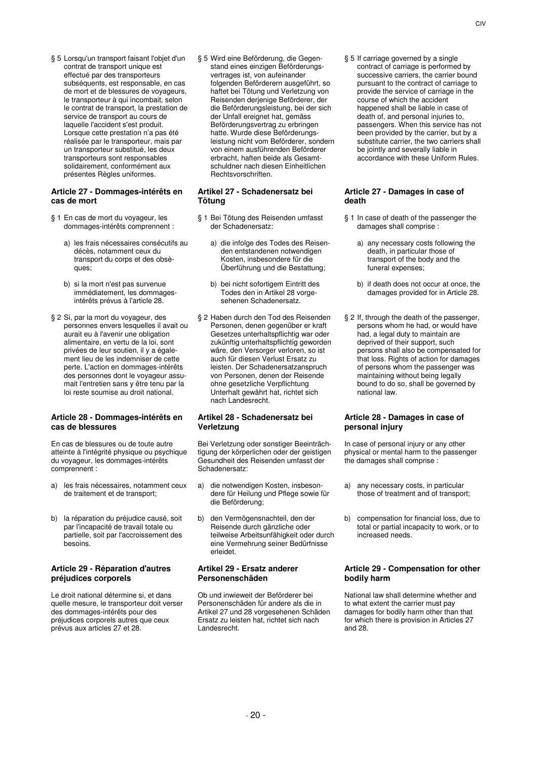§ 5 Lorsqu'un transport faisant l'objet d'un contrat de transport unique est effectué par des transporteurs subséquents, est responsable, en cas de mort et de blessures de voyageurs, le transporteur à qui incombait, selon le contrat de transport, la prestation de service de transport au cours de laquelle l'accident s'est produit. Lorsque cette prestation n'a pas été réalisée par le transporteur, mais par un transporteur substitué, les deux transporteurs sont responsables solidairement, conformément aux présentes Règles uniformes.

### **Article 27 - Dommages-intérêts en cas de mort**

- § 1 En cas de mort du voyageur, les dommages-intérêts comprennent :
	- a) les frais nécessaires consécutifs au décès, notamment ceux du transport du corps et des obsèques;
	- b) si la mort n'est pas survenue immédiatement, les dommagesintérêts prévus à l'article 28.
- § 2 Si, par la mort du voyageur, des personnes envers lesquelles il avait ou aurait eu à l'avenir une obligation alimentaire, en vertu de la loi, sont privées de leur soutien, il y a également lieu de les indemniser de cette perte. L'action en dommages-intérêts des personnes dont le voyageur assumait l'entretien sans y être tenu par la loi reste soumise au droit national.

# **Article 28 - Dommages-intérêts en cas de blessures**

En cas de blessures ou de toute autre atteinte à l'intégrité physique ou psychique du voyageur, les dommages-intérêts comprennent :

- a) les frais nécessaires, notamment ceux de traitement et de transport;
- b) la réparation du préjudice causé, soit par l'incapacité de travail totale ou partielle, soit par l'accroissement des besoins.

# **Article 29 - Réparation d'autres préjudices corporels**

Le droit national détermine si, et dans quelle mesure, le transporteur doit verser des dommages-intérêts pour des préjudices corporels autres que ceux prévus aux articles 27 et 28.

§ 5 Wird eine Beförderung, die Gegenstand eines einzigen Beförderungsvertrages ist, von aufeinander folgenden Beförderern ausgeführt, so haftet bei Tötung und Verletzung von Reisenden derjenige Beförderer, der die Beförderungsleistung, bei der sich der Unfall ereignet hat, gemäss Beförderungsvertrag zu erbringen hatte. Wurde diese Beförderungsleistung nicht vom Beförderer, sondern von einem ausführenden Beförderer erbracht, haften beide als Gesamtschuldner nach diesen Einheitlichen Rechtsvorschriften.

# **Artikel 27 - Schadenersatz bei Tötung**

- § 1 Bei Tötung des Reisenden umfasst der Schadenersatz:
	- a) die infolge des Todes des Reisenden entstandenen notwendigen Kosten, insbesondere für die Überführung und die Bestattung;
	- b) bei nicht sofortigem Eintritt des Todes den in Artikel 28 vorgesehenen Schadenersatz.
- § 2 Haben durch den Tod des Reisenden Personen, denen gegenüber er kraft Gesetzes unterhaltspflichtig war oder zukünftig unterhaltspflichtig geworden wäre, den Versorger verloren, so ist auch für diesen Verlust Ersatz zu leisten. Der Schadenersatzanspruch von Personen, denen der Reisende ohne gesetzliche Verpflichtung Unterhalt gewährt hat, richtet sich nach Landesrecht.

# **Artikel 28 - Schadenersatz bei Verletzung**

Bei Verletzung oder sonstiger Beeinträchtigung der körperlichen oder der geistigen Gesundheit des Reisenden umfasst der Schadenersatz:

- a) die notwendigen Kosten, insbesondere für Heilung und Pflege sowie für die Beförderung;
- b) den Vermögensnachteil, den der Reisende durch gänzliche oder teilweise Arbeitsunfähigkeit oder durch eine Vermehrung seiner Bedürfnisse erleidet.

### **Artikel 29 - Ersatz anderer Personenschäden**

Ob und inwieweit der Beförderer bei Personenschäden für andere als die in Artikel 27 und 28 vorgesehenen Schäden Ersatz zu leisten hat, richtet sich nach Landesrecht.

§ 5 If carriage governed by a single contract of carriage is performed by successive carriers, the carrier bound pursuant to the contract of carriage to provide the service of carriage in the course of which the accident happened shall be liable in case of death of, and personal injuries to, passengers. When this service has not been provided by the carrier, but by a substitute carrier, the two carriers shall be jointly and severally liable in accordance with these Uniform Rules.

### **Article 27 - Damages in case of death**

- § 1 In case of death of the passenger the damages shall comprise :
	- a) any necessary costs following the death, in particular those of transport of the body and the funeral expenses;
	- b) if death does not occur at once, the damages provided for in Article 28.
- § 2 If, through the death of the passenger, persons whom he had, or would have .<br>had, a legal duty to maintain are deprived of their support, such persons shall also be compensated for that loss. Rights of action for damages of persons whom the passenger was maintaining without being legally bound to do so, shall be governed by national law.

# **Article 28 - Damages in case of personal injury**

In case of personal injury or any other physical or mental harm to the passenger the damages shall comprise :

- a) any necessary costs, in particular those of treatment and of transport;
- b) compensation for financial loss, due to total or partial incapacity to work, or to increased needs.

# **Article 29 - Compensation for other bodily harm**

National law shall determine whether and to what extent the carrier must pay damages for bodily harm other than that for which there is provision in Articles 27 and 28.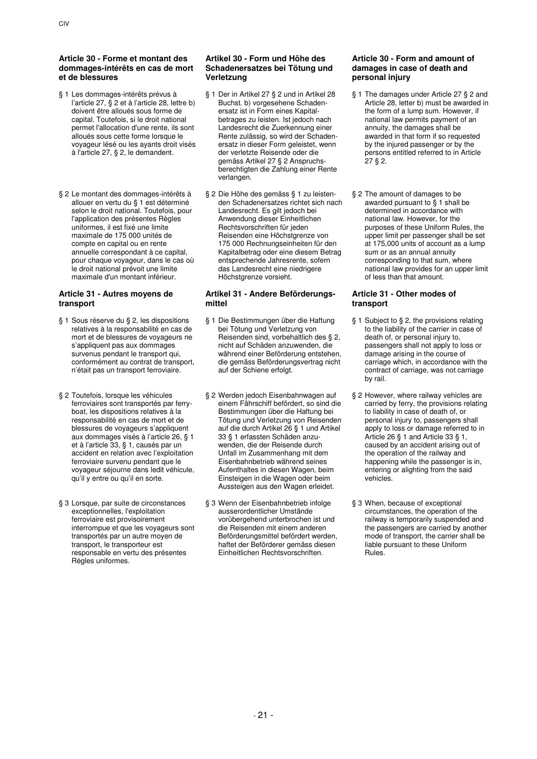- § 1 Les dommages-intérêts prévus à l'article 27, § 2 et à l'article 28, lettre b) doivent être alloués sous forme de capital. Toutefois, si le droit national permet l'allocation d'une rente, ils sont alloués sous cette forme lorsque le voyageur lésé ou les ayants droit visés à l'article 27, § 2, le demandent.
- § 2 Le montant des dommages-intérêts à allouer en vertu du § 1 est déterminé selon le droit national. Toutefois, pour l'application des présentes Règles uniformes, il est fixé une limite maximale de 175 000 unités de compte en capital ou en rente annuelle correspondant à ce capital, pour chaque voyageur, dans le cas où le droit national prévoit une limite maximale d'un montant inférieur.

# **Article 31 - Autres moyens de transport**

- § 1 Sous réserve du § 2, les dispositions relatives à la responsabilité en cas de mort et de blessures de voyageurs ne s'appliquent pas aux dommages survenus pendant le transport qui, conformément au contrat de transport, n'était pas un transport ferroviaire.
- § 2 Toutefois, lorsque les véhicules ferroviaires sont transportés par ferryboat, les dispositions relatives à la responsabilité en cas de mort et de blessures de voyageurs s'appliquent aux dommages visés à l'article 26, § 1 et à l'article 33, § 1, causés par un accident en relation avec l'exploitation ferroviaire survenu pendant que le voyageur séjourne dans ledit véhicule, qu'il y entre ou qu'il en sorte.
- § 3 Lorsque, par suite de circonstances exceptionnelles, l'exploitation ferroviaire est provisoirement interrompue et que les voyageurs sont transportés par un autre moyen de transport, le transporteur est responsable en vertu des présentes Règles uniformes.

# **Artikel 30 - Form und Höhe des Schadenersatzes bei Tötung und Verletzung**

- § 1 Der in Artikel 27 § 2 und in Artikel 28 Buchst. b) vorgesehene Schadenersatz ist in Form eines Kapitalbetrages zu leisten. Ist jedoch nach Landesrecht die Zuerkennung einer Rente zulässig, so wird der Schadenersatz in dieser Form geleistet, wenn der verletzte Reisende oder die gemäss Artikel 27 § 2 Anspruchsberechtigten die Zahlung einer Rente verlangen.
- § 2 Die Höhe des gemäss § 1 zu leistenden Schadenersatzes richtet sich nach Landesrecht. Es gilt jedoch bei Anwendung dieser Einheitlichen Rechtsvorschriften für jeden Reisenden eine Höchstgrenze von 175 000 Rechnungseinheiten für den Kapitalbetrag oder eine diesem Betrag entsprechende Jahresrente, sofern das Landesrecht eine niedrigere Höchstgrenze vorsieht.

# **Artikel 31 - Andere Beförderungsmittel**

- § 1 Die Bestimmungen über die Haftung bei Tötung und Verletzung von Reisenden sind, vorbehaltlich des § 2, nicht auf Schäden anzuwenden, die während einer Beförderung entstehen, die gemäss Beförderungsvertrag nicht auf der Schiene erfolgt.
- § 2 Werden jedoch Eisenbahnwagen auf einem Fährschiff befördert, so sind die Bestimmungen über die Haftung bei Tötung und Verletzung von Reisenden auf die durch Artikel 26 § 1 und Artikel 33 § 1 erfassten Schäden anzuwenden, die der Reisende durch Unfall im Zusammenhang mit dem Eisenbahnbetrieb während seines Aufenthaltes in diesen Wagen, beim Einsteigen in die Wagen oder beim Aussteigen aus den Wagen erleidet.
- § 3 Wenn der Eisenbahnbetrieb infolge ausserordentlicher Umstände vorübergehend unterbrochen ist und die Reisenden mit einem anderen Beförderungsmittel befördert werden, haftet der Beförderer gemäss diesen Einheitlichen Rechtsvorschriften.

# **Article 30 - Form and amount of damages in case of death and personal injury**

- § 1 The damages under Article 27 § 2 and Article 28, letter b) must be awarded in the form of a lump sum. However, if national law permits payment of an annuity, the damages shall be awarded in that form if so requested by the injured passenger or by the persons entitled referred to in Article 27 § 2.
- § 2 The amount of damages to be awarded pursuant to § 1 shall be determined in accordance with national law. However, for the purposes of these Uniform Rules, the upper limit per passenger shall be set at 175,000 units of account as a lump sum or as an annual annuity corresponding to that sum, where national law provides for an upper limit of less than that amount.

# **Article 31 - Other modes of transport**

- § 1 Subject to § 2, the provisions relating to the liability of the carrier in case of death of, or personal injury to, passengers shall not apply to loss or damage arising in the course of carriage which, in accordance with the contract of carriage, was not carriage by rail.
- § 2 However, where railway vehicles are carried by ferry, the provisions relating to liability in case of death of, or personal injury to, passengers shall apply to loss or damage referred to in Article 26 § 1 and Article 33 § 1, caused by an accident arising out of the operation of the railway and happening while the passenger is in, entering or alighting from the said vehicles.
- § 3 When, because of exceptional circumstances, the operation of the railway is temporarily suspended and the passengers are carried by another mode of transport, the carrier shall be liable pursuant to these Uniform Rules.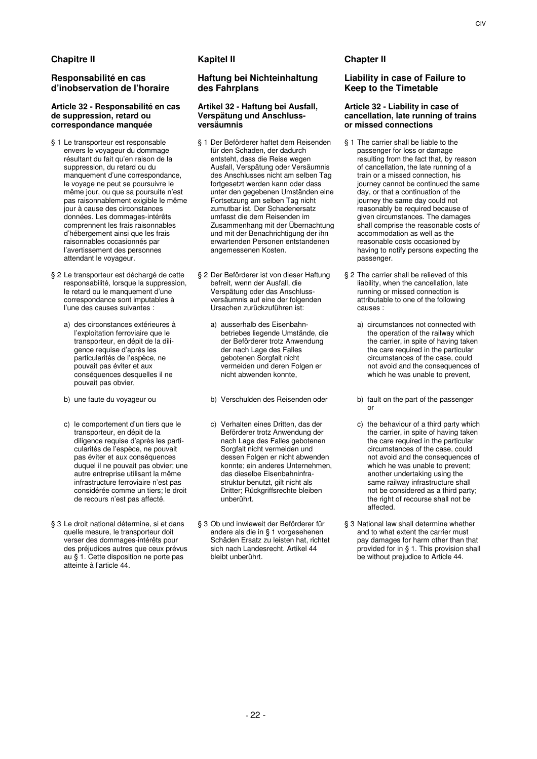# **Responsabilité en cas d'inobservation de l'horaire**

### **Article 32 - Responsabilité en cas de suppression, retard ou correspondance manquée**

- § 1 Le transporteur est responsable envers le voyageur du dommage résultant du fait qu'en raison de la suppression, du retard ou du manquement d'une correspondance, le voyage ne peut se poursuivre le même jour, ou que sa poursuite n'est pas raisonnablement exigible le même jour à cause des circonstances données. Les dommages-intérêts comprennent les frais raisonnables d'hébergement ainsi que les frais raisonnables occasionnés par l'avertissement des personnes attendant le voyageur.
- § 2 Le transporteur est déchargé de cette responsabilité, lorsque la suppression, le retard ou le manquement d'une correspondance sont imputables à l'une des causes suivantes :
	- a) des circonstances extérieures à l'exploitation ferroviaire que le transporteur, en dépit de la diligence requise d'après les particularités de l'espèce, ne pouvait pas éviter et aux conséquences desquelles il ne pouvait pas obvier,
	-
	- c) le comportement d'un tiers que le transporteur, en dépit de la diligence requise d'après les particularités de l'espèce, ne pouvait pas éviter et aux conséquences duquel il ne pouvait pas obvier; une autre entreprise utilisant la même infrastructure ferroviaire n'est pas considérée comme un tiers; le droit de recours n'est pas affecté.
- § 3 Le droit national détermine, si et dans quelle mesure, le transporteur doit verser des dommages-intérêts pour des préjudices autres que ceux prévus au § 1. Cette disposition ne porte pas atteinte à l'article 44.

# **Haftung bei Nichteinhaltung des Fahrplans**

### **Artikel 32 - Haftung bei Ausfall, Verspätung und Anschlussversäumnis**

- § 1 Der Beförderer haftet dem Reisenden für den Schaden, der dadurch entsteht, dass die Reise wegen Ausfall, Verspätung oder Versäumnis des Anschlusses nicht am selben Tag fortgesetzt werden kann oder dass unter den gegebenen Umständen eine Fortsetzung am selben Tag nicht zumutbar ist. Der Schadenersatz umfasst die dem Reisenden im Zusammenhang mit der Übernachtung und mit der Benachrichtigung der ihn erwartenden Personen entstandenen angemessenen Kosten.
- § 2 Der Beförderer ist von dieser Haftung befreit, wenn der Ausfall, die Verspätung oder das Anschlussversäumnis auf eine der folgenden Ursachen zurückzuführen ist:
	- a) ausserhalb des Eisenbahnbetriebes liegende Umstände, die der Beförderer trotz Anwendung der nach Lage des Falles gebotenen Sorgfalt nicht vermeiden und deren Folgen er nicht abwenden konnte,
	-
	- c) Verhalten eines Dritten, das der Beförderer trotz Anwendung der nach Lage des Falles gebotenen Sorgfalt nicht vermeiden und dessen Folgen er nicht abwenden konnte; ein anderes Unternehmen, das dieselbe Eisenbahninfrastruktur benutzt, gilt nicht als Dritter; Rückgriffsrechte bleiben unberührt.
- § 3 Ob und inwieweit der Beförderer für andere als die in § 1 vorgesehenen Schäden Ersatz zu leisten hat, richtet sich nach Landesrecht. Artikel 44 bleibt unberührt.

# **Liability in case of Failure to Keep to the Timetable**

### **Article 32 - Liability in case of cancellation, late running of trains or missed connections**

- § 1 The carrier shall be liable to the passenger for loss or damage resulting from the fact that, by reason of cancellation, the late running of a train or a missed connection, his journey cannot be continued the same day, or that a continuation of the journey the same day could not reasonably be required because of given circumstances. The damages shall comprise the reasonable costs of accommodation as well as the reasonable costs occasioned by having to notify persons expecting the passenger.
- § 2 The carrier shall be relieved of this liability, when the cancellation, late running or missed connection is attributable to one of the following causes :
	- a) circumstances not connected with the operation of the railway which the carrier, in spite of having taken the care required in the particular circumstances of the case, could not avoid and the consequences of which he was unable to prevent,
- b) une faute du voyageur ou b) Verschulden des Reisenden oder b) fault on the part of the passenger or
	- c) the behaviour of a third party which the carrier, in spite of having taken the care required in the particular circumstances of the case, could not avoid and the consequences of which he was unable to prevent; another undertaking using the same railway infrastructure shall not be considered as a third party; the right of recourse shall not be affected.
	- § 3 National law shall determine whether and to what extent the carrier must pay damages for harm other than that provided for in § 1. This provision shall be without prejudice to Article 44.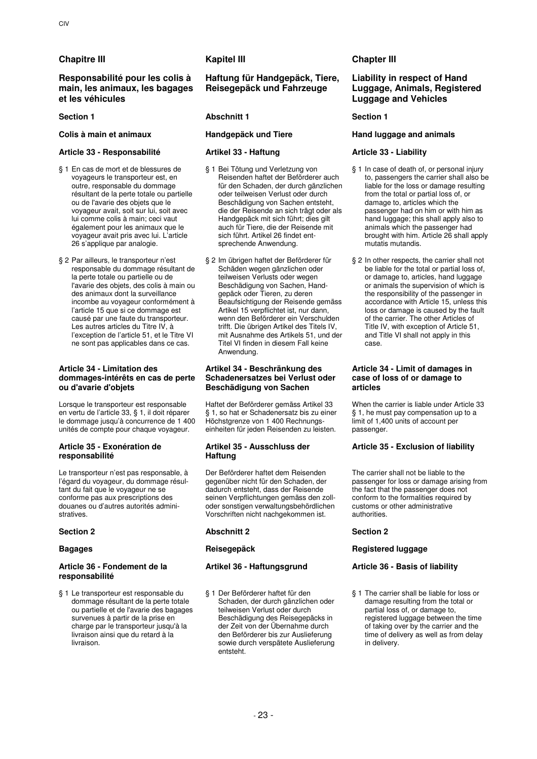# **Chapitre III Kapitel III Chapter III**

# **Responsabilité pour les colis à main, les animaux, les bagages et les véhicules**

# **Article 33 - Responsabilité Artikel 33 - Haftung Article 33 - Liability**

- § 1 En cas de mort et de blessures de voyageurs le transporteur est, en outre, responsable du dommage résultant de la perte totale ou partielle ou de l'avarie des objets que le voyageur avait, soit sur lui, soit avec lui comme colis à main; ceci vaut également pour les animaux que le voyageur avait pris avec lui. L'article 26 s'applique par analogie.
- § 2 Par ailleurs, le transporteur n'est responsable du dommage résultant de la perte totale ou partielle ou de l'avarie des objets, des colis à main ou des animaux dont la surveillance incombe au voyageur conformément à l'article 15 que si ce dommage est causé par une faute du transporteur. Les autres articles du Titre IV, à l'exception de l'article 51, et le Titre VI ne sont pas applicables dans ce cas.

# **Article 34 - Limitation des dommages-intérêts en cas de perte ou d'avarie d'objets**

Lorsque le transporteur est responsable en vertu de l'article 33, § 1, il doit réparer le dommage jusqu'à concurrence de 1 400 unités de compte pour chaque voyageur.

### **Article 35 - Exonération de responsabilité**

Le transporteur n'est pas responsable, à l'égard du voyageur, du dommage résultant du fait que le voyageur ne se conforme pas aux prescriptions des douanes ou d'autres autorités administratives.

# **Article 36 - Fondement de la responsabilité**

§ 1 Le transporteur est responsable du dommage résultant de la perte totale ou partielle et de l'avarie des bagages survenues à partir de la prise en charge par le transporteur jusqu'à la livraison ainsi que du retard à la livraison.

# **Haftung für Handgepäck, Tiere, Reisegepäck und Fahrzeuge**

# **Section 1 Abschnitt 1 Section 1 Section 1**

- § 1 Bei Tötung und Verletzung von Reisenden haftet der Beförderer auch für den Schaden, der durch gänzlichen oder teilweisen Verlust oder durch Beschädigung von Sachen entsteht, die der Reisende an sich trägt oder als Handgepäck mit sich führt; dies gilt auch für Tiere, die der Reisende mit sich führt. Artikel 26 findet entsprechende Anwendung.
- § 2 Im übrigen haftet der Beförderer für Schäden wegen gänzlichen oder teilweisen Verlusts oder wegen Beschädigung von Sachen, Handgepäck oder Tieren, zu deren Beaufsichtigung der Reisende gemäss Artikel 15 verpflichtet ist, nur dann, wenn den Beförderer ein Verschulden trifft. Die übrigen Artikel des Titels IV, mit Ausnahme des Artikels 51, und der Titel VI finden in diesem Fall keine Anwendung.

# **Artikel 34 - Beschränkung des Schadenersatzes bei Verlust oder Beschädigung von Sachen**

Haftet der Beförderer gemäss Artikel 33 § 1, so hat er Schadenersatz bis zu einer Höchstgrenze von 1 400 Rechnungseinheiten für jeden Reisenden zu leisten.

# **Artikel 35 - Ausschluss der Haftung**

Der Beförderer haftet dem Reisenden gegenüber nicht für den Schaden, der dadurch entsteht, dass der Reisende seinen Verpflichtungen gemäss den zolloder sonstigen verwaltungsbehördlichen Vorschriften nicht nachgekommen ist.

# **Section 2 Abschnitt 2 Section 2**

§ 1 Der Beförderer haftet für den Schaden, der durch gänzlichen oder teilweisen Verlust oder durch Beschädigung des Reisegepäcks in der Zeit von der Übernahme durch den Beförderer bis zur Auslieferung sowie durch verspätete Auslieferung entsteht.

# **Liability in respect of Hand Luggage, Animals, Registered Luggage and Vehicles**

# **Colis à main et animaux Handgepäck und Tiere Hand luggage and animals**

- § 1 In case of death of, or personal injury to, passengers the carrier shall also be liable for the loss or damage resulting from the total or partial loss of, or damage to, articles which the passenger had on him or with him as hand luggage; this shall apply also to animals which the passenger had brought with him. Article 26 shall apply mutatis mutandis.
- § 2 In other respects, the carrier shall not be liable for the total or partial loss of, or damage to, articles, hand luggage or animals the supervision of which is the responsibility of the passenger in accordance with Article 15, unless this loss or damage is caused by the fault of the carrier. The other Articles of Title IV, with exception of Article 51, and Title VI shall not apply in this case.

# **Article 34 - Limit of damages in case of loss of or damage to articles**

When the carrier is liable under Article 33 § 1, he must pay compensation up to a limit of 1,400 units of account per passenger.

# **Article 35 - Exclusion of liability**

The carrier shall not be liable to the passenger for loss or damage arising from the fact that the passenger does not conform to the formalities required by customs or other administrative authorities.

# **Bagages Reisegepäck Registered luggage**

# **Artikel 36 - Haftungsgrund Article 36 - Basis of liability**

§ 1 The carrier shall be liable for loss or damage resulting from the total or partial loss of, or damage to, registered luggage between the time of taking over by the carrier and the time of delivery as well as from delay in delivery.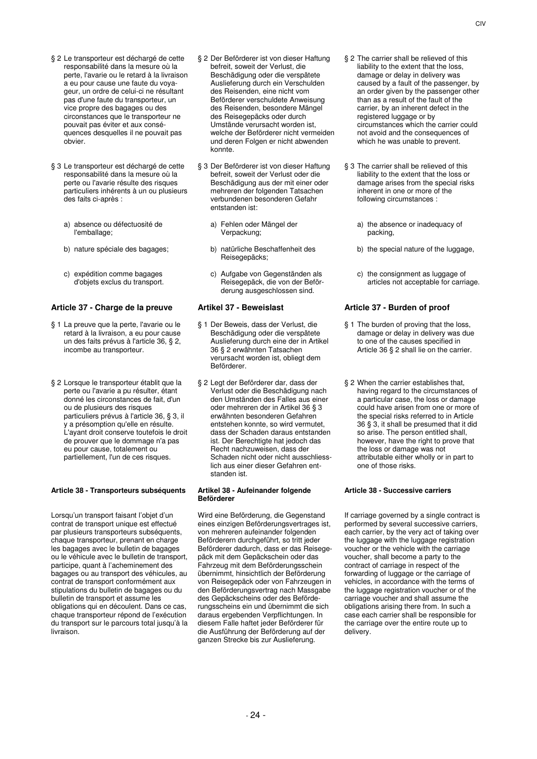- § 2 Le transporteur est déchargé de cette responsabilité dans la mesure où la perte, l'avarie ou le retard à la livraison a eu pour cause une faute du voyageur, un ordre de celui-ci ne résultant pas d'une faute du transporteur, un vice propre des bagages ou des circonstances que le transporteur ne pouvait pas éviter et aux conséquences desquelles il ne pouvait pas obvier.
- § 3 Le transporteur est déchargé de cette responsabilité dans la mesure où la perte ou l'avarie résulte des risques particuliers inhérents à un ou plusieurs des faits ci-après :
	- a) absence ou défectuosité de l'emballage;
	-
	- c) expédition comme bagages d'objets exclus du transport.

# **Article 37 - Charge de la preuve Artikel 37 - Beweislast Article 37 - Burden of proof**

- § 1 La preuve que la perte, l'avarie ou le retard à la livraison, a eu pour cause un des faits prévus à l'article 36, § 2, incombe au transporteur.
- § 2 Lorsque le transporteur établit que la perte ou l'avarie a pu résulter, étant donné les circonstances de fait, d'un ou de plusieurs des risques particuliers prévus à l'article 36, § 3, il y a présomption qu'elle en résulte. L'ayant droit conserve toutefois le droit de prouver que le dommage n'a pas eu pour cause, totalement ou partiellement, l'un de ces risques.

# **Article 38 - Transporteurs subséquents Artikel 38 - Aufeinander folgende**

Lorsqu'un transport faisant l'objet d'un contrat de transport unique est effectué par plusieurs transporteurs subséquents, chaque transporteur, prenant en charge les bagages avec le bulletin de bagages ou le véhicule avec le bulletin de transport, participe, quant à l'acheminement des bagages ou au transport des véhicules, au contrat de transport conformément aux stipulations du bulletin de bagages ou du bulletin de transport et assume les obligations qui en découlent. Dans ce cas, chaque transporteur répond de l'exécution du transport sur le parcours total jusqu'à la livraison.

- § 2 Der Beförderer ist von dieser Haftung befreit, soweit der Verlust, die Beschädigung oder die verspätete Auslieferung durch ein Verschulden des Reisenden, eine nicht vom Beförderer verschuldete Anweisung des Reisenden, besondere Mängel des Reisegepäcks oder durch Umstände verursacht worden ist, welche der Beförderer nicht vermeiden und deren Folgen er nicht abwenden konnte.
- § 3 Der Beförderer ist von dieser Haftung befreit, soweit der Verlust oder die Beschädigung aus der mit einer oder mehreren der folgenden Tatsachen verbundenen besonderen Gefahr entstanden ist:
	- a) Fehlen oder Mängel der Verpackung;
- b) nature spéciale des bagages; b) natürliche Beschaffenheit des Reisegepäcks;
	- c) Aufgabe von Gegenständen als Reisegepäck, die von der Beförderung ausgeschlossen sind.

- § 1 Der Beweis, dass der Verlust, die Beschädigung oder die verspätete Auslieferung durch eine der in Artikel 36 § 2 erwähnten Tatsachen verursacht worden ist, obliegt dem Beförderer.
- § 2 Legt der Beförderer dar, dass der Verlust oder die Beschädigung nach den Umständen des Falles aus einer oder mehreren der in Artikel 36 § 3 erwähnten besonderen Gefahren entstehen konnte, so wird vermutet, dass der Schaden daraus entstanden ist. Der Berechtigte hat jedoch das Recht nachzuweisen, dass der Schaden nicht oder nicht ausschliesslich aus einer dieser Gefahren entstanden ist.

# **Beförderer**

Wird eine Beförderung, die Gegenstand eines einzigen Beförderungsvertrages ist, von mehreren aufeinander folgenden Beförderern durchgeführt, so tritt jeder Beförderer dadurch, dass er das Reisegepäck mit dem Gepäckschein oder das Fahrzeug mit dem Beförderungsschein übernimmt, hinsichtlich der Beförderung von Reisegepäck oder von Fahrzeugen in den Beförderungsvertrag nach Massgabe des Gepäckscheins oder des Beförderungsscheins ein und übernimmt die sich daraus ergebenden Verpflichtungen. In diesem Falle haftet jeder Beförderer für die Ausführung der Beförderung auf der ganzen Strecke bis zur Auslieferung.

- § 2 The carrier shall be relieved of this liability to the extent that the loss, damage or delay in delivery was caused by a fault of the passenger, by an order given by the passenger other than as a result of the fault of the carrier, by an inherent defect in the registered luggage or by circumstances which the carrier could not avoid and the consequences of which he was unable to prevent.
- § 3 The carrier shall be relieved of this liability to the extent that the loss or damage arises from the special risks inherent in one or more of the following circumstances :
	- a) the absence or inadequacy of packing,
	- b) the special nature of the luggage,
	- c) the consignment as luggage of articles not acceptable for carriage.

- § 1 The burden of proving that the loss, damage or delay in delivery was due to one of the causes specified in Article 36 § 2 shall lie on the carrier.
- § 2 When the carrier establishes that, having regard to the circumstances of a particular case, the loss or damage could have arisen from one or more of the special risks referred to in Article 36 § 3, it shall be presumed that it did so arise. The person entitled shall, however, have the right to prove that the loss or damage was not attributable either wholly or in part to one of those risks.

### **Article 38 - Successive carriers**

If carriage governed by a single contract is performed by several successive carriers, each carrier, by the very act of taking over the luggage with the luggage registration voucher or the vehicle with the carriage voucher, shall become a party to the contract of carriage in respect of the forwarding of luggage or the carriage of vehicles, in accordance with the terms of the luggage registration voucher or of the carriage voucher and shall assume the obligations arising there from. In such a case each carrier shall be responsible for the carriage over the entire route up to delivery.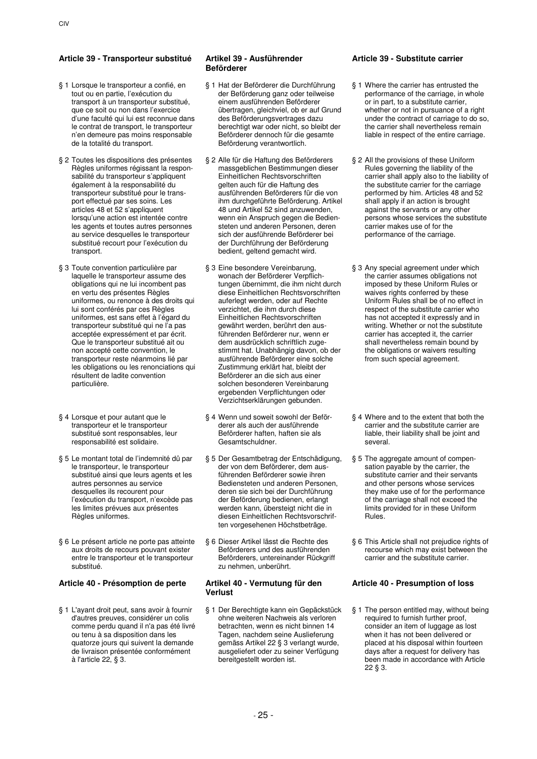# **Article 39 - Transporteur substitué Artikel 39 - Ausführender**

- § 1 Lorsque le transporteur a confié, en tout ou en partie, l'exécution du transport à un transporteur substitué, que ce soit ou non dans l'exercice d'une faculté qui lui est reconnue dans le contrat de transport, le transporteur n'en demeure pas moins responsable de la totalité du transport.
- § 2 Toutes les dispositions des présentes Règles uniformes régissant la responsabilité du transporteur s'appliquent également à la responsabilité du transporteur substitué pour le transport effectué par ses soins. Les articles 48 et 52 s'appliquent lorsqu'une action est intentée contre les agents et toutes autres personnes au service desquelles le transporteur substitué recourt pour l'exécution du transport.
- § 3 Toute convention particulière par laquelle le transporteur assume des obligations qui ne lui incombent pas en vertu des présentes Règles uniformes, ou renonce à des droits qui lui sont conférés par ces Règles uniformes, est sans effet à l'égard du transporteur substitué qui ne l'a pas acceptée expressément et par écrit. Que le transporteur substitué ait ou non accepté cette convention, le transporteur reste néanmoins lié par les obligations ou les renonciations qui résultent de ladite convention particulière.
- § 4 Lorsque et pour autant que le transporteur et le transporteur substitué sont responsables, leur responsabilité est solidaire.
- § 5 Le montant total de l'indemnité dû par le transporteur, le transporteur substitué ainsi que leurs agents et les autres personnes au service desquelles ils recourent pour l'exécution du transport, n'excède pas les limites prévues aux présentes Règles uniformes.
- § 6 Le présent article ne porte pas atteinte aux droits de recours pouvant exister entre le transporteur et le transporteur substitué.

# **Article 40 - Présomption de perte Artikel 40 - Vermutung für den**

§ 1 L'ayant droit peut, sans avoir à fournir d'autres preuves, considérer un colis comme perdu quand il n'a pas été livré ou tenu à sa disposition dans les quatorze jours qui suivent la demande de livraison présentée conformément à l'article 22, § 3.

# **Beförderer**

- § 1 Hat der Beförderer die Durchführung der Beförderung ganz oder teilweise einem ausführenden Beförderer übertragen, gleichviel, ob er auf Grund des Beförderungsvertrages dazu berechtigt war oder nicht, so bleibt der Beförderer dennoch für die gesamte Beförderung verantwortlich.
- § 2 Alle für die Haftung des Beförderers massgeblichen Bestimmungen dieser Einheitlichen Rechtsvorschriften gelten auch für die Haftung des ausführenden Beförderers für die von ihm durchgeführte Beförderung. Artikel 48 und Artikel 52 sind anzuwenden, wenn ein Anspruch gegen die Bediensteten und anderen Personen, deren sich der ausführende Beförderer bei der Durchführung der Beförderung bedient, geltend gemacht wird.
- § 3 Eine besondere Vereinbarung, wonach der Beförderer Verpflichtungen übernimmt, die ihm nicht durch diese Einheitlichen Rechtsvorschriften auferlegt werden, oder auf Rechte verzichtet, die ihm durch diese Einheitlichen Rechtsvorschriften gewährt werden, berührt den ausführenden Beförderer nur, wenn er dem ausdrücklich schriftlich zugestimmt hat. Unabhängig davon, ob der ausführende Beförderer eine solche Zustimmung erklärt hat, bleibt der Beförderer an die sich aus einer solchen besonderen Vereinbarung ergebenden Verpflichtungen oder Verzichtserklärungen gebunden.
- § 4 Wenn und soweit sowohl der Beförderer als auch der ausführende Beförderer haften, haften sie als Gesamtschuldner.
- § 5 Der Gesamtbetrag der Entschädigung, der von dem Beförderer, dem ausführenden Beförderer sowie ihren Bediensteten und anderen Personen, deren sie sich bei der Durchführung der Beförderung bedienen, erlangt werden kann, übersteigt nicht die in diesen Einheitlichen Rechtsvorschriften vorgesehenen Höchstbeträge.
- § 6 Dieser Artikel lässt die Rechte des Beförderers und des ausführenden Beförderers, untereinander Rückgriff zu nehmen, unberührt.

# **Verlust**

§ 1 Der Berechtigte kann ein Gepäckstück ohne weiteren Nachweis als verloren betrachten, wenn es nicht binnen 14 Tagen, nachdem seine Auslieferung gemäss Artikel 22 § 3 verlangt wurde, ausgeliefert oder zu seiner Verfügung bereitgestellt worden ist.

# **Article 39 - Substitute carrier**

- § 1 Where the carrier has entrusted the performance of the carriage, in whole or in part, to a substitute carrier, whether or not in pursuance of a right under the contract of carriage to do so, the carrier shall nevertheless remain liable in respect of the entire carriage.
- § 2 All the provisions of these Uniform Rules governing the liability of the carrier shall apply also to the liability of the substitute carrier for the carriage performed by him. Articles 48 and 52 shall apply if an action is brought against the servants or any other persons whose services the substitute carrier makes use of for the performance of the carriage.
- § 3 Any special agreement under which the carrier assumes obligations not imposed by these Uniform Rules or waives rights conferred by these Uniform Rules shall be of no effect in respect of the substitute carrier who has not accepted it expressly and in writing. Whether or not the substitute carrier has accepted it, the carrier shall nevertheless remain bound by the obligations or waivers resulting from such special agreement.
- § 4 Where and to the extent that both the carrier and the substitute carrier are liable, their liability shall be joint and several.
- § 5 The aggregate amount of compensation payable by the carrier, the substitute carrier and their servants and other persons whose services they make use of for the performance of the carriage shall not exceed the limits provided for in these Uniform Rules.
- § 6 This Article shall not prejudice rights of recourse which may exist between the carrier and the substitute carrier.

# **Article 40 - Presumption of loss**

§ 1 The person entitled may, without being required to furnish further proof, consider an item of luggage as lost when it has not been delivered or placed at his disposal within fourteen days after a request for delivery has been made in accordance with Article 22 § 3.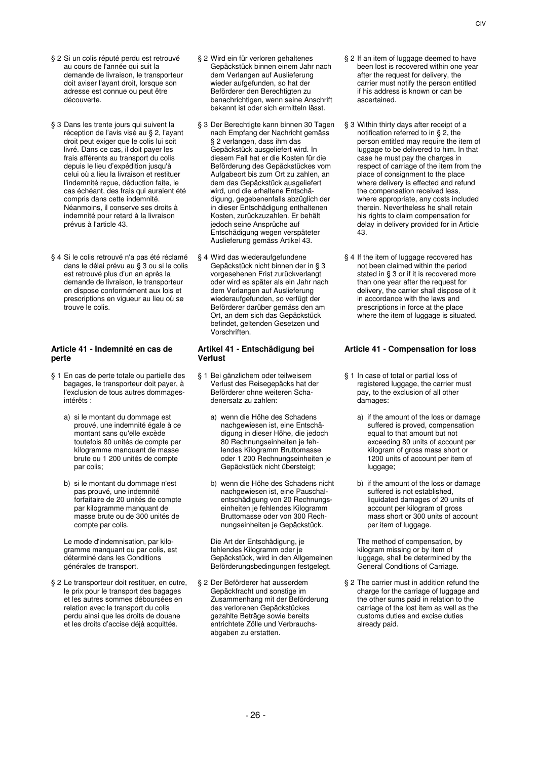- § 2 Si un colis réputé perdu est retrouvé au cours de l'année qui suit la demande de livraison, le transporteur doit aviser l'ayant droit, lorsque son adresse est connue ou peut être découverte.
- § 3 Dans les trente jours qui suivent la réception de l'avis visé au § 2, l'ayant droit peut exiger que le colis lui soit livré. Dans ce cas, il doit payer les frais afférents au transport du colis depuis le lieu d'expédition jusqu'à celui où a lieu la livraison et restituer l'indemnité reçue, déduction faite, le cas échéant, des frais qui auraient été compris dans cette indemnité. Néanmoins, il conserve ses droits à indemnité pour retard à la livraison prévus à l'article 43.
- § 4 Si le colis retrouvé n'a pas été réclamé dans le délai prévu au § 3 ou si le colis est retrouvé plus d'un an après la demande de livraison, le transporteur en dispose conformément aux lois et prescriptions en vigueur au lieu où se trouve le colis.

### **Article 41 - Indemnité en cas de perte**

- § 1 En cas de perte totale ou partielle des bagages, le transporteur doit payer, à l'exclusion de tous autres dommagesintérêts :
	- a) si le montant du dommage est prouvé, une indemnité égale à ce montant sans qu'elle excède toutefois 80 unités de compte par kilogramme manquant de masse brute ou 1 200 unités de compte par colis;
	- b) si le montant du dommage n'est pas prouvé, une indemnité forfaitaire de 20 unités de compte par kilogramme manquant de masse brute ou de 300 unités de compte par colis.

 Le mode d'indemnisation, par kilogramme manquant ou par colis, est déterminé dans les Conditions générales de transport.

§ 2 Le transporteur doit restituer, en outre, le prix pour le transport des bagages et les autres sommes déboursées en relation avec le transport du colis perdu ainsi que les droits de douane et les droits d'accise déjà acquittés.

- § 2 Wird ein für verloren gehaltenes Gepäckstück binnen einem Jahr nach dem Verlangen auf Auslieferung wieder aufgefunden, so hat der Beförderer den Berechtigten zu benachrichtigen, wenn seine Anschrift bekannt ist oder sich ermitteln lässt.
- § 3 Der Berechtigte kann binnen 30 Tagen nach Empfang der Nachricht gemäss § 2 verlangen, dass ihm das Gepäckstück ausgeliefert wird. In diesem Fall hat er die Kosten für die Beförderung des Gepäckstückes vom Aufgabeort bis zum Ort zu zahlen, an dem das Gepäckstück ausgeliefert wird, und die erhaltene Entschädigung, gegebenenfalls abzüglich der in dieser Entschädigung enthaltenen Kosten, zurückzuzahlen. Er behält jedoch seine Ansprüche auf Entschädigung wegen verspäteter Auslieferung gemäss Artikel 43.
- § 4 Wird das wiederaufgefundene Gepäckstück nicht binnen der in § 3 vorgesehenen Frist zurückverlangt oder wird es später als ein Jahr nach dem Verlangen auf Auslieferung wiederaufgefunden, so verfügt der Beförderer darüber gemäss den am Ort, an dem sich das Gepäckstück befindet, geltenden Gesetzen und Vorschriften.

### **Artikel 41 - Entschädigung bei Verlust**

- § 1 Bei gänzlichem oder teilweisem Verlust des Reisegepäcks hat der Beförderer ohne weiteren Schadenersatz zu zahlen:
	- a) wenn die Höhe des Schadens nachgewiesen ist, eine Entschädigung in dieser Höhe, die jedoch 80 Rechnungseinheiten je fehlendes Kilogramm Bruttomasse oder 1 200 Rechnungseinheiten je Gepäckstück nicht übersteigt;
	- b) wenn die Höhe des Schadens nicht nachgewiesen ist, eine Pauschalentschädigung von 20 Rechnungseinheiten je fehlendes Kilogramm Bruttomasse oder von 300 Rechnungseinheiten je Gepäckstück.

 Die Art der Entschädigung, je fehlendes Kilogramm oder je Gepäckstück, wird in den Allgemeinen Beförderungsbedingungen festgelegt.

§ 2 Der Beförderer hat ausserdem Gepäckfracht und sonstige im Zusammenhang mit der Beförderung des verlorenen Gepäckstückes gezahlte Beträge sowie bereits entrichtete Zölle und Verbrauchsabgaben zu erstatten.

- § 2 If an item of luggage deemed to have been lost is recovered within one year after the request for delivery, the carrier must notify the person entitled if his address is known or can be ascertained.
- § 3 Within thirty days after receipt of a notification referred to in § 2, the person entitled may require the item of luggage to be delivered to him. In that case he must pay the charges in respect of carriage of the item from the place of consignment to the place where delivery is effected and refund the compensation received less, where appropriate, any costs included therein. Nevertheless he shall retain his rights to claim compensation for delay in delivery provided for in Article 43.
- § 4 If the item of luggage recovered has not been claimed within the period stated in § 3 or if it is recovered more than one year after the request for delivery, the carrier shall dispose of it in accordance with the laws and prescriptions in force at the place where the item of luggage is situated.

# **Article 41 - Compensation for loss**

- § 1 In case of total or partial loss of registered luggage, the carrier must pay, to the exclusion of all other damages:
	- a) if the amount of the loss or damage suffered is proved, compensation equal to that amount but not exceeding 80 units of account per kilogram of gross mass short or 1200 units of account per item of luggage;
	- b) if the amount of the loss or damage suffered is not established. liquidated damages of 20 units of account per kilogram of gross mass short or 300 units of account per item of luggage.

 The method of compensation, by kilogram missing or by item of luggage, shall be determined by the General Conditions of Carriage.

§ 2 The carrier must in addition refund the charge for the carriage of luggage and the other sums paid in relation to the carriage of the lost item as well as the customs duties and excise duties already paid.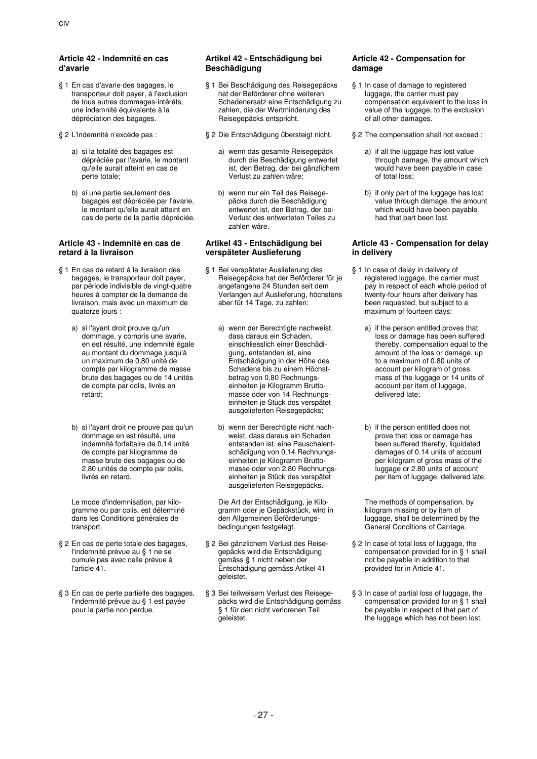# **Article 42 - Indemnité en cas d'avarie**

- § 1 En cas d'avarie des bagages, le transporteur doit payer, à l'exclusion de tous autres dommages-intérêts, une indemnité équivalente à la dépréciation des bagages.
- - a) si la totalité des bagages est dépréciée par l'avarie, le montant qu'elle aurait atteint en cas de perte totale;
	- b) si une partie seulement des bagages est dépréciée par l'avarie, le montant qu'elle aurait atteint en cas de perte de la partie dépréciée.

# **Article 43 - Indemnité en cas de retard à la livraison**

- § 1 En cas de retard à la livraison des bagages, le transporteur doit payer, par période indivisible de vingt-quatre heures à compter de la demande de livraison, mais avec un maximum de quatorze jours :
	- a) si l'ayant droit prouve qu'un dommage, y compris une avarie, en est résulté, une indemnité égale au montant du dommage jusqu'à un maximum de 0,80 unité de compte par kilogramme de masse brute des bagages ou de 14 unités de compte par colis, livrés en retard;
	- b) si l'ayant droit ne prouve pas qu'un dommage en est résulté, une indemnité forfaitaire de 0,14 unité de compte par kilogramme de masse brute des bagages ou de 2,80 unités de compte par colis, livrés en retard.

 Le mode d'indemnisation, par kilogramme ou par colis, est déterminé dans les Conditions générales de transport.

- § 2 En cas de perte totale des bagages, l'indemnité prévue au § 1 ne se cumule pas avec celle prévue à l'article 41.
- § 3 En cas de perte partielle des bagages, l'indemnité prévue au § 1 est payée pour la partie non perdue.

# **Artikel 42 - Entschädigung bei Beschädigung**

- § 1 Bei Beschädigung des Reisegepäcks hat der Beförderer ohne weiteren Schadenersatz eine Entschädigung zu zahlen, die der Wertminderung des Reisegepäcks entspricht.
- - a) wenn das gesamte Reisegepäck durch die Beschädigung entwertet ist, den Betrag, der bei gänzlichem Verlust zu zahlen wäre;
	- b) wenn nur ein Teil des Reisegepäcks durch die Beschädigung entwertet ist, den Betrag, der bei Verlust des entwerteten Teiles zu zahlen wäre.

# **Artikel 43 - Entschädigung bei verspäteter Auslieferung**

- § 1 Bei verspäteter Auslieferung des Reisegepäcks hat der Beförderer für je angefangene 24 Stunden seit dem Verlangen auf Auslieferung, höchstens aber für 14 Tage, zu zahlen:
	- a) wenn der Berechtigte nachweist, dass daraus ein Schaden, einschliesslich einer Beschädigung, entstanden ist, eine Entschädigung in der Höhe des Schadens bis zu einem Höchstbetrag von 0,80 Rechnungseinheiten je Kilogramm Bruttomasse oder von 14 Rechnungseinheiten je Stück des verspätet ausgelieferten Reisegepäcks;
	- b) wenn der Berechtigte nicht nachweist, dass daraus ein Schaden entstanden ist, eine Pauschalentschädigung von 0,14 Rechnungseinheiten je Kilogramm Bruttomasse oder von 2,80 Rechnungseinheiten je Stück des verspätet ausgelieferten Reisegepäcks.

 Die Art der Entschädigung, je Kilogramm oder je Gepäckstück, wird in den Allgemeinen Beförderungsbedingungen festgelegt.

- § 2 Bei gänzlichem Verlust des Reisegepäcks wird die Entschädigung gemäss § 1 nicht neben der Entschädigung gemäss Artikel 41 geleistet.
- § 3 Bei teilweisem Verlust des Reisegepäcks wird die Entschädigung gemäss § 1 für den nicht verlorenen Teil geleistet.

# **Article 42 - Compensation for damage**

- § 1 In case of damage to registered luggage, the carrier must pay compensation equivalent to the loss in value of the luggage, to the exclusion of all other damages.
- § 2 L'indemnité n'excède pas : <br>§ 2 Die Entschädigung übersteigt nicht, § 2 The compensation shall not exceed :
	- a) if all the luggage has lost value through damage, the amount which would have been payable in case of total loss;
	- b) if only part of the luggage has lost value through damage, the amount which would have been payable had that part been lost.

# **Article 43 - Compensation for delay in delivery**

- § 1 In case of delay in delivery of registered luggage, the carrier must pay in respect of each whole period of twenty-four hours after delivery has been requested, but subject to a maximum of fourteen days:
	- a) if the person entitled proves that loss or damage has been suffered thereby, compensation equal to the amount of the loss or damage, up to a maximum of 0.80 units of account per kilogram of gross mass of the luggage or 14 units of account per item of luggage, delivered late;
	- b) if the person entitled does not prove that loss or damage has been suffered thereby, liquidated damages of 0.14 units of account per kilogram of gross mass of the luggage or 2.80 units of account per item of luggage, delivered late.

 The methods of compensation, by kilogram missing or by item of luggage, shall be determined by the General Conditions of Carriage.

- § 2 In case of total loss of luggage, the compensation provided for in § 1 shall not be payable in addition to that provided for in Article 41.
- § 3 In case of partial loss of luggage, the compensation provided for in § 1 shall be payable in respect of that part of the luggage which has not been lost.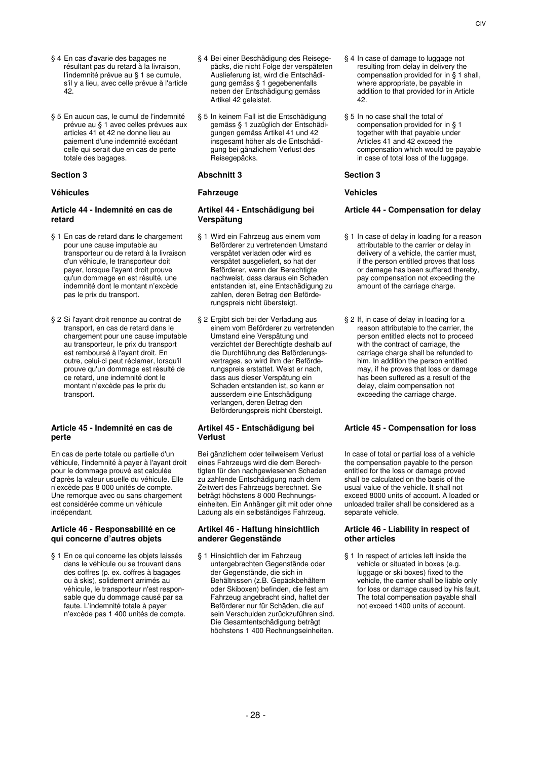- § 4 En cas d'avarie des bagages ne résultant pas du retard à la livraison, l'indemnité prévue au § 1 se cumule, s'il y a lieu, avec celle prévue à l'article 42.
- § 5 En aucun cas, le cumul de l'indemnité prévue au § 1 avec celles prévues aux articles 41 et 42 ne donne lieu au paiement d'une indemnité excédant celle qui serait due en cas de perte totale des bagages.

### **Article 44 - Indemnité en cas de retard**

- § 1 En cas de retard dans le chargement pour une cause imputable au transporteur ou de retard à la livraison d'un véhicule, le transporteur doit payer, lorsque l'ayant droit prouve qu'un dommage en est résulté, une indemnité dont le montant n'excède pas le prix du transport.
- § 2 Si l'ayant droit renonce au contrat de transport, en cas de retard dans le chargement pour une cause imputable au transporteur, le prix du transport est remboursé à l'ayant droit. En outre, celui-ci peut réclamer, lorsqu'il prouve qu'un dommage est résulté de ce retard, une indemnité dont le montant n'excède pas le prix du transport.

### **Article 45 - Indemnité en cas de perte**

En cas de perte totale ou partielle d'un véhicule, l'indemnité à payer à l'ayant droit pour le dommage prouvé est calculée d'après la valeur usuelle du véhicule. Elle n'excède pas 8 000 unités de compte. Une remorque avec ou sans chargement est considérée comme un véhicule indépendant.

### **Article 46 - Responsabilité en ce qui concerne d'autres objets**

§ 1 En ce qui concerne les objets laissés dans le véhicule ou se trouvant dans des coffres (p. ex. coffres à bagages ou à skis), solidement arrimés au véhicule, le transporteur n'est responsable que du dommage causé par sa faute. L'indemnité totale à payer n'excède pas 1 400 unités de compte.

- § 4 Bei einer Beschädigung des Reisegepäcks, die nicht Folge der verspäteten Auslieferung ist, wird die Entschädigung gemäss § 1 gegebenenfalls neben der Entschädigung gemäss Artikel 42 geleistet.
- § 5 In keinem Fall ist die Entschädigung gemäss § 1 zuzüglich der Entschädigungen gemäss Artikel 41 und 42 insgesamt höher als die Entschädigung bei gänzlichem Verlust des Reisegepäcks.

### **Section 3 Abschnitt 3 Section 3**

# **Véhicules Fahrzeuge Vehicles**

### **Artikel 44 - Entschädigung bei Verspätung**

- § 1 Wird ein Fahrzeug aus einem vom Beförderer zu vertretenden Umstand verspätet verladen oder wird es verspätet ausgeliefert, so hat der Beförderer, wenn der Berechtigte nachweist, dass daraus ein Schaden entstanden ist, eine Entschädigung zu zahlen, deren Betrag den Beförderungspreis nicht übersteigt.
- § 2 Ergibt sich bei der Verladung aus einem vom Beförderer zu vertretenden Umstand eine Verspätung und verzichtet der Berechtigte deshalb auf die Durchführung des Beförderungsvertrages, so wird ihm der Beförderungspreis erstattet. Weist er nach, dass aus dieser Verspätung ein Schaden entstanden ist, so kann er ausserdem eine Entschädigung verlangen, deren Betrag den Beförderungspreis nicht übersteigt.

### **Artikel 45 - Entschädigung bei Verlust**

Bei gänzlichem oder teilweisem Verlust eines Fahrzeugs wird die dem Berechtigten für den nachgewiesenen Schaden zu zahlende Entschädigung nach dem Zeitwert des Fahrzeugs berechnet. Sie beträgt höchstens 8 000 Rechnungseinheiten. Ein Anhänger gilt mit oder ohne Ladung als ein selbständiges Fahrzeug.

### **Artikel 46 - Haftung hinsichtlich anderer Gegenstände**

§ 1 Hinsichtlich der im Fahrzeug untergebrachten Gegenstände oder der Gegenstände, die sich in Behältnissen (z.B. Gepäckbehältern oder Skiboxen) befinden, die fest am Fahrzeug angebracht sind, haftet der Beförderer nur für Schäden, die auf sein Verschulden zurückzuführen sind. Die Gesamtentschädigung beträgt höchstens 1 400 Rechnungseinheiten.

- § 4 In case of damage to luggage not resulting from delay in delivery the compensation provided for in § 1 shall, where appropriate, be payable in addition to that provided for in Article 42.
- § 5 In no case shall the total of compensation provided for in § 1 together with that payable under Articles 41 and 42 exceed the compensation which would be payable in case of total loss of the luggage.

# **Article 44 - Compensation for delay**

- § 1 In case of delay in loading for a reason attributable to the carrier or delay in delivery of a vehicle, the carrier must, if the person entitled proves that loss or damage has been suffered thereby, pay compensation not exceeding the amount of the carriage charge.
- § 2 If, in case of delay in loading for a reason attributable to the carrier, the person entitled elects not to proceed with the contract of carriage, the carriage charge shall be refunded to him. In addition the person entitled may, if he proves that loss or damage has been suffered as a result of the delay, claim compensation not exceeding the carriage charge.

# **Article 45 - Compensation for loss**

In case of total or partial loss of a vehicle the compensation payable to the person entitled for the loss or damage proved shall be calculated on the basis of the usual value of the vehicle. It shall not exceed 8000 units of account. A loaded or unloaded trailer shall be considered as a separate vehicle.

### **Article 46 - Liability in respect of other articles**

§ 1 In respect of articles left inside the vehicle or situated in boxes (e.g. luggage or ski boxes) fixed to the vehicle, the carrier shall be liable only for loss or damage caused by his fault. The total compensation payable shall not exceed 1400 units of account.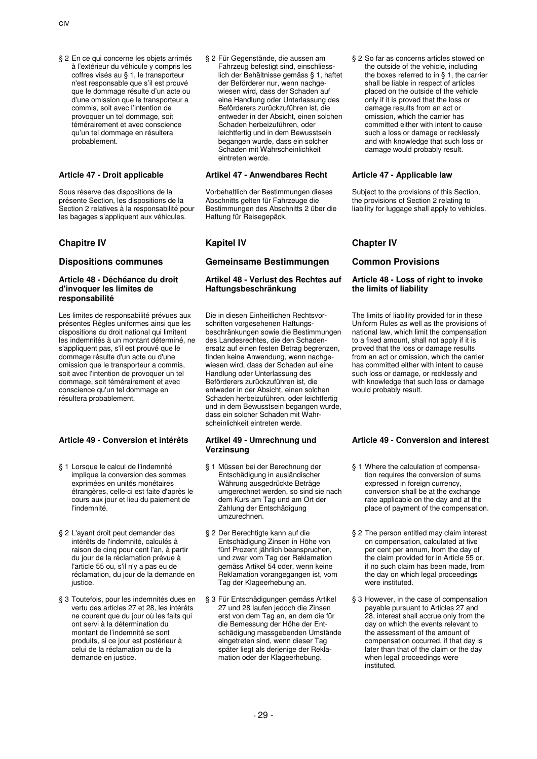§ 2 En ce qui concerne les objets arrimés à l'extérieur du véhicule y compris les coffres visés au § 1, le transporteur n'est responsable que s'il est prouvé que le dommage résulte d'un acte ou d'une omission que le transporteur a commis, soit avec l'intention de provoquer un tel dommage, soit témérairement et avec conscience qu'un tel dommage en résultera probablement.

Sous réserve des dispositions de la présente Section, les dispositions de la Section 2 relatives à la responsabilité pour les bagages s'appliquent aux véhicules.

# **Chapitre IV Kapitel IV Chapter IV**

### **Article 48 - Déchéance du droit d'invoquer les limites de responsabilité**

Les limites de responsabilité prévues aux présentes Règles uniformes ainsi que les dispositions du droit national qui limitent les indemnités à un montant déterminé, ne s'appliquent pas, s'il est prouvé que le dommage résulte d'un acte ou d'une omission que le transporteur a commis, soit avec l'intention de provoquer un tel dommage, soit témérairement et avec conscience qu'un tel dommage en résultera probablement.

# **Article 49 - Conversion et intérêts Artikel 49 - Umrechnung und**

- § 1 Lorsque le calcul de l'indemnité implique la conversion des sommes exprimées en unités monétaires étrangères, celle-ci est faite d'après le cours aux jour et lieu du paiement de l'indemnité.
- § 2 L'ayant droit peut demander des intérêts de l'indemnité, calculés à raison de cinq pour cent l'an, à partir du jour de la réclamation prévue à l'article 55 ou, s'il n'y a pas eu de réclamation, du jour de la demande en justice.
- § 3 Toutefois, pour les indemnités dues en vertu des articles 27 et 28, les intérêts ne courent que du jour où les faits qui ont servi à la détermination du montant de l'indemnité se sont produits, si ce jour est postérieur à celui de la réclamation ou de la demande en justice.

§ 2 Für Gegenstände, die aussen am Fahrzeug befestigt sind, einschliesslich der Behältnisse gemäss § 1, haftet der Beförderer nur, wenn nachgewiesen wird, dass der Schaden auf eine Handlung oder Unterlassung des Beförderers zurückzuführen ist, die entweder in der Absicht, einen solchen Schaden herbeizuführen, oder leichtfertig und in dem Bewusstsein begangen wurde, dass ein solcher Schaden mit Wahrscheinlichkeit eintreten werde.

# **Article 47 - Droit applicable Artikel 47 - Anwendbares Recht Article 47 - Applicable law**

Vorbehaltlich der Bestimmungen dieses Abschnitts gelten für Fahrzeuge die Bestimmungen des Abschnitts 2 über die Haftung für Reisegepäck.

# **Dispositions communes Gemeinsame Bestimmungen Common Provisions**

# **Artikel 48 - Verlust des Rechtes auf Haftungsbeschränkung**

Die in diesen Einheitlichen Rechtsvorschriften vorgesehenen Haftungsbeschränkungen sowie die Bestimmungen des Landesrechtes, die den Schadenersatz auf einen festen Betrag begrenzen, finden keine Anwendung, wenn nachgewiesen wird, dass der Schaden auf eine Handlung oder Unterlassung des Beförderers zurückzuführen ist, die entweder in der Absicht, einen solchen Schaden herbeizuführen, oder leichtfertig und in dem Bewusstsein begangen wurde, dass ein solcher Schaden mit Wahrscheinlichkeit eintreten werde.

# **Verzinsung**

- § 1 Müssen bei der Berechnung der Entschädigung in ausländischer Währung ausgedrückte Beträge umgerechnet werden, so sind sie nach dem Kurs am Tag und am Ort der Zahlung der Entschädigung umzurechnen.
- § 2 Der Berechtigte kann auf die Entschädigung Zinsen in Höhe von fünf Prozent jährlich beanspruchen, und zwar vom Tag der Reklamation gemäss Artikel 54 oder, wenn keine Reklamation vorangegangen ist, vom Tag der Klageerhebung an.
- § 3 Für Entschädigungen gemäss Artikel 27 und 28 laufen jedoch die Zinsen erst von dem Tag an, an dem die für die Bemessung der Höhe der Entschädigung massgebenden Umstände eingetreten sind, wenn dieser Tag später liegt als derjenige der Reklamation oder der Klageerhebung.

§ 2 So far as concerns articles stowed on the outside of the vehicle, including the boxes referred to in § 1, the carrier shall be liable in respect of articles placed on the outside of the vehicle only if it is proved that the loss or damage results from an act or omission, which the carrier has committed either with intent to cause such a loss or damage or recklessly and with knowledge that such loss or damage would probably result.

Subject to the provisions of this Section, the provisions of Section 2 relating to liability for luggage shall apply to vehicles.

# **Article 48 - Loss of right to invoke the limits of liability**

The limits of liability provided for in these Uniform Rules as well as the provisions of national law, which limit the compensation to a fixed amount, shall not apply if it is proved that the loss or damage results from an act or omission, which the carrier has committed either with intent to cause such loss or damage, or recklessly and with knowledge that such loss or damage would probably result.

# **Article 49 - Conversion and interest**

- § 1 Where the calculation of compensation requires the conversion of sums expressed in foreign currency, conversion shall be at the exchange rate applicable on the day and at the place of payment of the compensation.
- § 2 The person entitled may claim interest on compensation, calculated at five per cent per annum, from the day of the claim provided for in Article 55 or, if no such claim has been made, from the day on which legal proceedings were instituted.
- § 3 However, in the case of compensation payable pursuant to Articles 27 and 28, interest shall accrue only from the day on which the events relevant to the assessment of the amount of compensation occurred, if that day is later than that of the claim or the day when legal proceedings were instituted.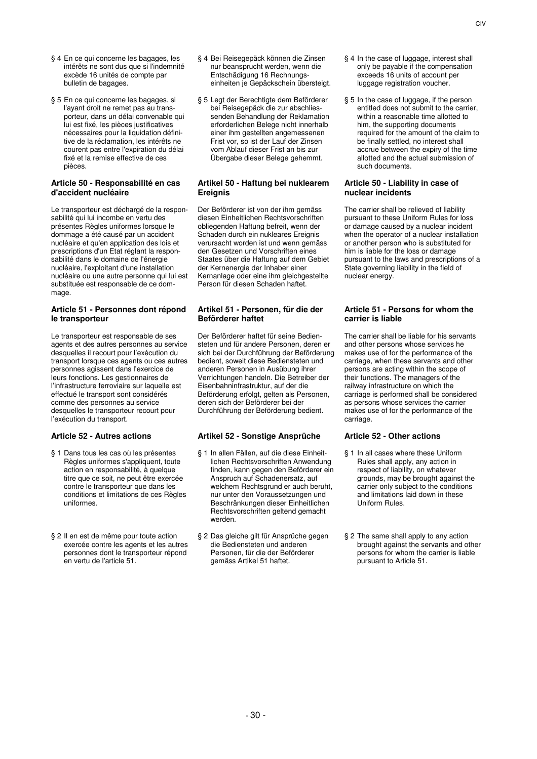- § 4 En ce qui concerne les bagages, les intérêts ne sont dus que si l'indemnité excède 16 unités de compte par bulletin de bagages.
- § 5 En ce qui concerne les bagages, si l'ayant droit ne remet pas au transporteur, dans un délai convenable qui lui est fixé, les pièces justificatives nécessaires pour la liquidation définitive de la réclamation, les intérêts ne courent pas entre l'expiration du délai fixé et la remise effective de ces pièces.

# **Article 50 - Responsabilité en cas d'accident nucléaire**

Le transporteur est déchargé de la responsabilité qui lui incombe en vertu des présentes Règles uniformes lorsque le dommage a été causé par un accident nucléaire et qu'en application des lois et prescriptions d'un Etat réglant la responsabilité dans le domaine de l'énergie nucléaire, l'exploitant d'une installation nucléaire ou une autre personne qui lui est substituée est responsable de ce dommage.

# **Article 51 - Personnes dont répond le transporteur**

Le transporteur est responsable de ses agents et des autres personnes au service desquelles il recourt pour l'exécution du transport lorsque ces agents ou ces autres personnes agissent dans l'exercice de leurs fonctions. Les gestionnaires de l'infrastructure ferroviaire sur laquelle est effectué le transport sont considérés comme des personnes au service desquelles le transporteur recourt pour l'exécution du transport.

- § 1 Dans tous les cas où les présentes Règles uniformes s'appliquent, toute action en responsabilité, à quelque titre que ce soit, ne peut être exercée contre le transporteur que dans les conditions et limitations de ces Règles uniformes.
- § 2 Il en est de même pour toute action exercée contre les agents et les autres personnes dont le transporteur répond en vertu de l'article 51.
- § 4 Bei Reisegepäck können die Zinsen nur beansprucht werden, wenn die Entschädigung 16 Rechnungseinheiten je Gepäckschein übersteigt.
- § 5 Legt der Berechtigte dem Beförderer bei Reisegepäck die zur abschliessenden Behandlung der Reklamation erforderlichen Belege nicht innerhalb einer ihm gestellten angemessenen Frist vor, so ist der Lauf der Zinsen vom Ablauf dieser Frist an bis zur Übergabe dieser Belege gehemmt.

# **Artikel 50 - Haftung bei nuklearem Ereignis**

Der Beförderer ist von der ihm gemäss diesen Einheitlichen Rechtsvorschriften obliegenden Haftung befreit, wenn der Schaden durch ein nukleares Ereignis verursacht worden ist und wenn gemäss den Gesetzen und Vorschriften eines Staates über die Haftung auf dem Gebiet der Kernenergie der Inhaber einer Kernanlage oder eine ihm gleichgestellte Person für diesen Schaden haftet.

# **Artikel 51 - Personen, für die der Beförderer haftet**

Der Beförderer haftet für seine Bediensteten und für andere Personen, deren er sich bei der Durchführung der Beförderung bedient, soweit diese Bediensteten und anderen Personen in Ausübung ihrer Verrichtungen handeln. Die Betreiber der Eisenbahninfrastruktur, auf der die Beförderung erfolgt, gelten als Personen, deren sich der Beförderer bei der Durchführung der Beförderung bedient.

# **Article 52 - Autres actions Artikel 52 - Sonstige Ansprüche Article 52 - Other actions**

- § 1 In allen Fällen, auf die diese Einheitlichen Rechtsvorschriften Anwendung finden, kann gegen den Beförderer ein Anspruch auf Schadenersatz, auf welchem Rechtsgrund er auch beruht, nur unter den Voraussetzungen und Beschränkungen dieser Einheitlichen Rechtsvorschriften geltend gemacht werden.
- § 2 Das gleiche gilt für Ansprüche gegen die Bediensteten und anderen Personen, für die der Beförderer gemäss Artikel 51 haftet.
- § 4 In the case of luggage, interest shall only be payable if the compensation exceeds 16 units of account per luggage registration voucher.
- § 5 In the case of luggage, if the person entitled does not submit to the carrier, within a reasonable time allotted to him, the supporting documents required for the amount of the claim to be finally settled, no interest shall accrue between the expiry of the time allotted and the actual submission of such documents.

### **Article 50 - Liability in case of nuclear incidents**

The carrier shall be relieved of liability pursuant to these Uniform Rules for loss or damage caused by a nuclear incident when the operator of a nuclear installation or another person who is substituted for him is liable for the loss or damage pursuant to the laws and prescriptions of a State governing liability in the field of nuclear energy.

# **Article 51 - Persons for whom the carrier is liable**

The carrier shall be liable for his servants and other persons whose services he makes use of for the performance of the carriage, when these servants and other persons are acting within the scope of their functions. The managers of the railway infrastructure on which the carriage is performed shall be considered as persons whose services the carrier makes use of for the performance of the carriage.

- § 1 In all cases where these Uniform Rules shall apply, any action in respect of liability, on whatever grounds, may be brought against the carrier only subject to the conditions and limitations laid down in these Uniform Rules.
- § 2 The same shall apply to any action brought against the servants and other persons for whom the carrier is liable pursuant to Article 51.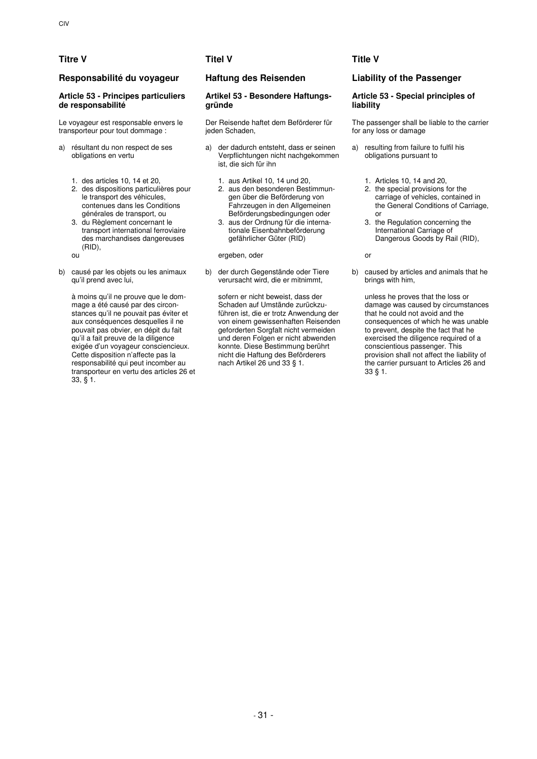# **Responsabilité du voyageur Haftung des Reisenden Liability of the Passenger**

# **Article 53 - Principes particuliers de responsabilité**

Le voyageur est responsable envers le transporteur pour tout dommage :

- a) résultant du non respect de ses obligations en vertu
	- 1. des articles 10, 14 et 20, 1. aus Artikel 10, 14 und 20, 1. Articles 10, 14 and 20,
	- 2. des dispositions particulières pour le transport des véhicules, contenues dans les Conditions générales de transport, ou
	- 3. du Règlement concernant le transport international ferroviaire des marchandises dangereuses (RID),
	-
- b) causé par les objets ou les animaux qu'il prend avec lui,

 à moins qu'il ne prouve que le dommage a été causé par des circonstances qu'il ne pouvait pas éviter et aux conséquences desquelles il ne pouvait pas obvier, en dépit du fait qu'il a fait preuve de la diligence exigée d'un voyageur consciencieux. Cette disposition n'affecte pas la responsabilité qui peut incomber au transporteur en vertu des articles 26 et 33, § 1.

### **Artikel 53 - Besondere Haftungsgründe**

Der Reisende haftet dem Beförderer für ieden Schaden.

- a) der dadurch entsteht, dass er seinen Verpflichtungen nicht nachgekommen ist, die sich für ihn
	-
	- 2. aus den besonderen Bestimmungen über die Beförderung von Fahrzeugen in den Allgemeinen Beförderungsbedingungen oder
	- 3. aus der Ordnung für die internationale Eisenbahnbeförderung gefährlicher Güter (RID)

ou ergeben, oder or

b) der durch Gegenstände oder Tiere verursacht wird, die er mitnimmt,

> sofern er nicht beweist, dass der Schaden auf Umstände zurückzuführen ist, die er trotz Anwendung der von einem gewissenhaften Reisenden geforderten Sorgfalt nicht vermeiden und deren Folgen er nicht abwenden konnte. Diese Bestimmung berührt nicht die Haftung des Beförderers nach Artikel 26 und 33 § 1.

# **Titre V Titel V Title V**

# **Article 53 - Special principles of liability**

The passenger shall be liable to the carrier for any loss or damage

- a) resulting from failure to fulfil his obligations pursuant to
	-
	- 2. the special provisions for the carriage of vehicles, contained in the General Conditions of Carriage, or
	- 3. the Regulation concerning the International Carriage of Dangerous Goods by Rail (RID),

b) caused by articles and animals that he brings with him,

 unless he proves that the loss or damage was caused by circumstances that he could not avoid and the consequences of which he was unable to prevent, despite the fact that he exercised the diligence required of a conscientious passenger. This provision shall not affect the liability of the carrier pursuant to Articles 26 and 33 § 1.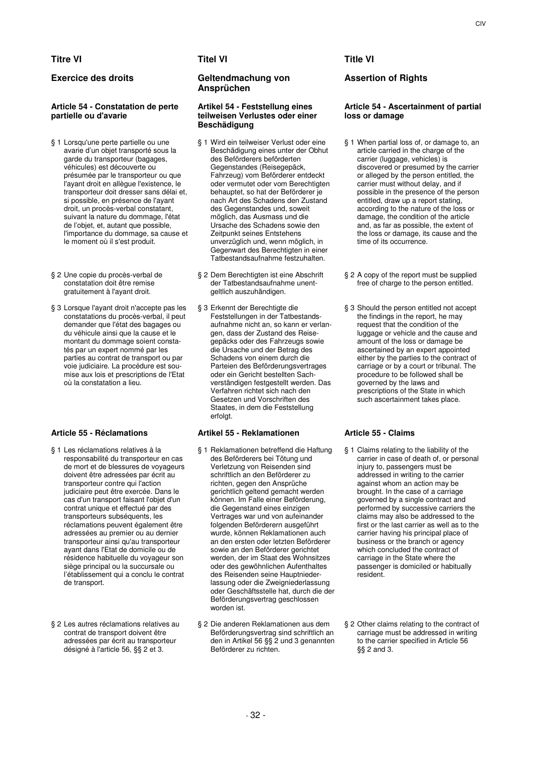# **Titre VI Titel VI Title VI**

# **Article 54 - Constatation de perte partielle ou d'avarie**

- § 1 Lorsqu'une perte partielle ou une avarie d'un objet transporté sous la garde du transporteur (bagages, véhicules) est découverte ou présumée par le transporteur ou que l'ayant droit en allègue l'existence, le transporteur doit dresser sans délai et, si possible, en présence de l'ayant droit, un procès-verbal constatant, suivant la nature du dommage, l'état de l'objet, et, autant que possible, l'importance du dommage, sa cause et le moment où il s'est produit.
- § 2 Une copie du procès-verbal de constatation doit être remise gratuitement à l'ayant droit.
- § 3 Lorsque l'ayant droit n'accepte pas les constatations du procès-verbal, il peut demander que l'état des bagages ou du véhicule ainsi que la cause et le montant du dommage soient constatés par un expert nommé par les parties au contrat de transport ou par voie judiciaire. La procédure est soumise aux lois et prescriptions de l'Etat où la constatation a lieu.

- § 1 Les réclamations relatives à la responsabilité du transporteur en cas de mort et de blessures de voyageurs doivent être adressées par écrit au transporteur contre qui l'action judiciaire peut être exercée. Dans le cas d'un transport faisant l'objet d'un contrat unique et effectué par des transporteurs subséquents, les réclamations peuvent également être adressées au premier ou au dernier transporteur ainsi qu'au transporteur ayant dans l'Etat de domicile ou de résidence habituelle du voyageur son siège principal ou la succursale ou l'établissement qui a conclu le contrat de transport.
- § 2 Les autres réclamations relatives au contrat de transport doivent être adressées par écrit au transporteur désigné à l'article 56, §§ 2 et 3.

# **Exercice des droits Geltendmachung von Ansprüchen**

### **Artikel 54 - Feststellung eines teilweisen Verlustes oder einer Beschädigung**

- § 1 Wird ein teilweiser Verlust oder eine Beschädigung eines unter der Obhut des Beförderers beförderten Gegenstandes (Reisegepäck, Fahrzeug) vom Beförderer entdeckt oder vermutet oder vom Berechtigten behauptet, so hat der Beförderer je nach Art des Schadens den Zustand des Gegenstandes und, soweit möglich, das Ausmass und die Ursache des Schadens sowie den Zeitpunkt seines Entstehens unverzüglich und, wenn möglich, in Gegenwart des Berechtigten in einer Tatbestandsaufnahme festzuhalten.
- § 2 Dem Berechtigten ist eine Abschrift der Tatbestandsaufnahme unentgeltlich auszuhändigen.
- § 3 Erkennt der Berechtigte die Feststellungen in der Tatbestandsaufnahme nicht an, so kann er verlangen, dass der Zustand des Reisegepäcks oder des Fahrzeugs sowie die Ursache und der Betrag des Schadens von einem durch die Parteien des Beförderungsvertrages oder ein Gericht bestellten Sachverständigen festgestellt werden. Das Verfahren richtet sich nach den Gesetzen und Vorschriften des Staates, in dem die Feststellung erfolgt.

# **Article 55 - Réclamations Artikel 55 - Reklamationen Article 55 - Claims**

- § 1 Reklamationen betreffend die Haftung des Beförderers bei Tötung und Verletzung von Reisenden sind schriftlich an den Beförderer zu richten, gegen den Ansprüche gerichtlich geltend gemacht werden können. Im Falle einer Beförderung, die Gegenstand eines einzigen Vertrages war und von aufeinander folgenden Beförderern ausgeführt wurde, können Reklamationen auch an den ersten oder letzten Beförderer sowie an den Beförderer gerichtet werden, der im Staat des Wohnsitzes oder des gewöhnlichen Aufenthaltes des Reisenden seine Hauptniederlassung oder die Zweigniederlassung oder Geschäftsstelle hat, durch die der Beförderungsvertrag geschlossen worden ist.
- § 2 Die anderen Reklamationen aus dem Beförderungsvertrag sind schriftlich an den in Artikel 56 §§ 2 und 3 genannten Beförderer zu richten.

# **Assertion of Rights**

# **Article 54 - Ascertainment of partial loss or damage**

- § 1 When partial loss of, or damage to, an article carried in the charge of the carrier (luggage, vehicles) is discovered or presumed by the carrier or alleged by the person entitled, the carrier must without delay, and if possible in the presence of the person entitled, draw up a report stating, according to the nature of the loss or damage, the condition of the article and, as far as possible, the extent of the loss or damage, its cause and the time of its occurrence.
- § 2 A copy of the report must be supplied free of charge to the person entitled.
- § 3 Should the person entitled not accept the findings in the report, he may request that the condition of the luggage or vehicle and the cause and amount of the loss or damage be ascertained by an expert appointed either by the parties to the contract of carriage or by a court or tribunal. The procedure to be followed shall be governed by the laws and prescriptions of the State in which such ascertainment takes place.

- § 1 Claims relating to the liability of the carrier in case of death of, or personal injury to, passengers must be addressed in writing to the carrier against whom an action may be brought. In the case of a carriage governed by a single contract and performed by successive carriers the claims may also be addressed to the first or the last carrier as well as to the carrier having his principal place of business or the branch or agency which concluded the contract of carriage in the State where the passenger is domiciled or habitually resident.
- § 2 Other claims relating to the contract of carriage must be addressed in writing to the carrier specified in Article 56 §§ 2 and 3.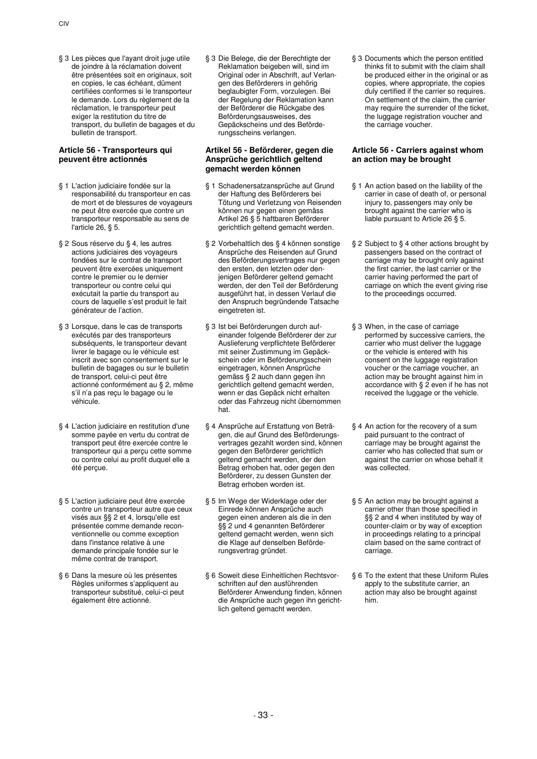§ 3 Les pièces que l'ayant droit juge utile de joindre à la réclamation doivent être présentées soit en originaux, soit en copies, le cas échéant, dûment certifiées conformes si le transporteur le demande. Lors du règlement de la réclamation, le transporteur peut exiger la restitution du titre de transport, du bulletin de bagages et du bulletin de transport.

# **Article 56 - Transporteurs qui peuvent être actionnés**

- § 1 L'action judiciaire fondée sur la responsabilité du transporteur en cas de mort et de blessures de voyageurs ne peut être exercée que contre un transporteur responsable au sens de l'article 26, § 5.
- § 2 Sous réserve du § 4, les autres actions judiciaires des voyageurs fondées sur le contrat de transport peuvent être exercées uniquement contre le premier ou le dernier transporteur ou contre celui qui exécutait la partie du transport au cours de laquelle s'est produit le fait générateur de l'action.
- § 3 Lorsque, dans le cas de transports exécutés par des transporteurs subséquents, le transporteur devant livrer le bagage ou le véhicule est inscrit avec son consentement sur le bulletin de bagages ou sur le bulletin de transport, celui-ci peut être actionné conformément au § 2, même s'il n'a pas reçu le bagage ou le véhicule.
- § 4 L'action judiciaire en restitution d'une somme payée en vertu du contrat de transport peut être exercée contre le transporteur qui a perçu cette somme ou contre celui au profit duquel elle a été perçue.
- § 5 L'action judiciaire peut être exercée contre un transporteur autre que ceux visés aux §§ 2 et 4, lorsqu'elle est présentée comme demande reconventionnelle ou comme exception dans l'instance relative à une demande principale fondée sur le même contrat de transport.
- § 6 Dans la mesure où les présentes Règles uniformes s'appliquent au transporteur substitué, celui-ci peut également être actionné.

§ 3 Die Belege, die der Berechtigte der Reklamation beigeben will, sind im Original oder in Abschrift, auf Verlangen des Beförderers in gehörig beglaubigter Form, vorzulegen. Bei der Regelung der Reklamation kann der Beförderer die Rückgabe des Beförderungsausweises, des Gepäckscheins und des Beförderungsscheins verlangen.

# **Artikel 56 - Beförderer, gegen die Ansprüche gerichtlich geltend gemacht werden können**

- § 1 Schadenersatzansprüche auf Grund der Haftung des Beförderers bei Tötung und Verletzung von Reisenden können nur gegen einen gemäss Artikel 26 § 5 haftbaren Beförderer gerichtlich geltend gemacht werden.
- § 2 Vorbehaltlich des § 4 können sonstige Ansprüche des Reisenden auf Grund des Beförderungsvertrages nur gegen den ersten, den letzten oder denjenigen Beförderer geltend gemacht werden, der den Teil der Beförderung ausgeführt hat, in dessen Verlauf die den Anspruch begründende Tatsache eingetreten ist.
- § 3 Ist bei Beförderungen durch aufeinander folgende Beförderer der zur Auslieferung verpflichtete Beförderer mit seiner Zustimmung im Gepäckschein oder im Beförderungsschein eingetragen, können Ansprüche gemäss § 2 auch dann gegen ihn gerichtlich geltend gemacht werden, wenn er das Gepäck nicht erhalten oder das Fahrzeug nicht übernommen hat.
- § 4 Ansprüche auf Erstattung von Beträgen, die auf Grund des Beförderungsvertrages gezahlt worden sind, können gegen den Beförderer gerichtlich geltend gemacht werden, der den Betrag erhoben hat, oder gegen den Beförderer, zu dessen Gunsten der Betrag erhoben worden ist.
- § 5 Im Wege der Widerklage oder der Einrede können Ansprüche auch gegen einen anderen als die in den §§ 2 und 4 genannten Beförderer geltend gemacht werden, wenn sich die Klage auf denselben Beförderungsvertrag gründet.
- § 6 Soweit diese Einheitlichen Rechtsvorschriften auf den ausführenden Beförderer Anwendung finden, können die Ansprüche auch gegen ihn gerichtlich geltend gemacht werden.

§ 3 Documents which the person entitled thinks fit to submit with the claim shall be produced either in the original or as copies, where appropriate, the copies duly certified if the carrier so requires. On settlement of the claim, the carrier may require the surrender of the ticket, the luggage registration voucher and the carriage voucher.

# **Article 56 - Carriers against whom an action may be brought**

- § 1 An action based on the liability of the carrier in case of death of, or personal injury to, passengers may only be brought against the carrier who is liable pursuant to Article 26 § 5.
- § 2 Subject to § 4 other actions brought by passengers based on the contract of carriage may be brought only against the first carrier, the last carrier or the carrier having performed the part of carriage on which the event giving rise to the proceedings occurred.
- § 3 When, in the case of carriage performed by successive carriers, the carrier who must deliver the luggage or the vehicle is entered with his consent on the luggage registration voucher or the carriage voucher, an action may be brought against him in accordance with § 2 even if he has not received the luggage or the vehicle.
- § 4 An action for the recovery of a sum paid pursuant to the contract of carriage may be brought against the carrier who has collected that sum or against the carrier on whose behalf it was collected.
- § 5 An action may be brought against a carrier other than those specified in §§ 2 and 4 when instituted by way of counter-claim or by way of exception in proceedings relating to a principal claim based on the same contract of carriage.
- § 6 To the extent that these Uniform Rules apply to the substitute carrier, an action may also be brought against him.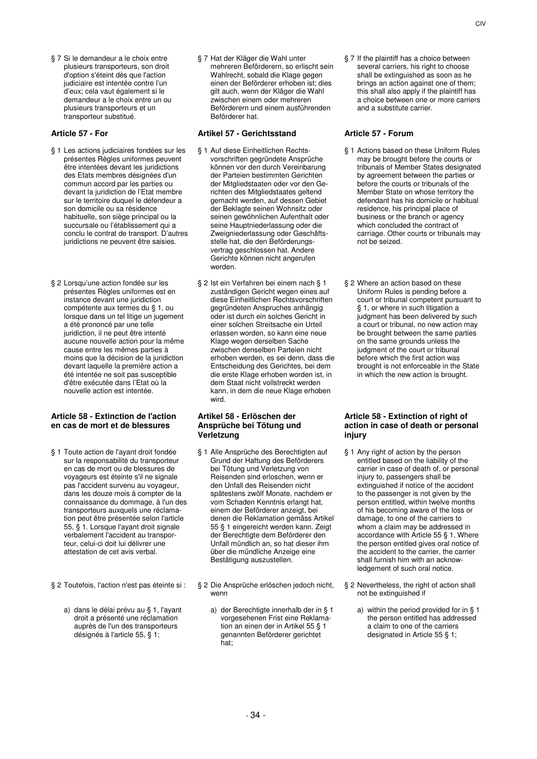§ 7 Si le demandeur a le choix entre plusieurs transporteurs, son droit d'option s'éteint dès que l'action judiciaire est intentée contre l'un d'eux; cela vaut également si le demandeur a le choix entre un ou plusieurs transporteurs et un transporteur substitué.

- § 1 Les actions judiciaires fondées sur les présentes Règles uniformes peuvent être intentées devant les juridictions des Etats membres désignées d'un commun accord par les parties ou devant la juridiction de l'Etat membre sur le territoire duquel le défendeur a son domicile ou sa résidence habituelle, son siège principal ou la succursale ou l'établissement qui a conclu le contrat de transport. D'autres juridictions ne peuvent être saisies.
- § 2 Lorsqu'une action fondée sur les présentes Règles uniformes est en instance devant une juridiction compétente aux termes du § 1, ou lorsque dans un tel litige un jugement a été prononcé par une telle juridiction, il ne peut être intenté aucune nouvelle action pour la même cause entre les mêmes parties à moins que la décision de la juridiction devant laquelle la première action a été intentée ne soit pas susceptible d'être exécutée dans l'Etat où la nouvelle action est intentée.

# **Article 58 - Extinction de l'action en cas de mort et de blessures**

- § 1 Toute action de l'ayant droit fondée sur la responsabilité du transporteur en cas de mort ou de blessures de voyageurs est éteinte s'il ne signale pas l'accident survenu au voyageur, dans les douze mois à compter de la connaissance du dommage, à l'un des transporteurs auxquels une réclamation peut être présentée selon l'article 55, § 1. Lorsque l'ayant droit signale verbalement l'accident au transporteur, celui-ci doit lui délivrer une attestation de cet avis verbal.
- - a) dans le délai prévu au § 1, l'ayant droit a présenté une réclamation auprès de l'un des transporteurs désignés à l'article 55, § 1;

§ 7 Hat der Kläger die Wahl unter mehreren Beförderern, so erlischt sein Wahlrecht, sobald die Klage gegen einen der Beförderer erhoben ist; dies gilt auch, wenn der Kläger die Wahl zwischen einem oder mehreren Beförderern und einem ausführenden Beförderer hat.

# **Article 57 - For Artikel 57 - Gerichtsstand Article 57 - Forum**

- § 1 Auf diese Einheitlichen Rechtsvorschriften gegründete Ansprüche können vor den durch Vereinbarung der Parteien bestimmten Gerichten der Mitgliedstaaten oder vor den Gerichten des Mitgliedstaates geltend gemacht werden, auf dessen Gebiet der Beklagte seinen Wohnsitz oder seinen gewöhnlichen Aufenthalt oder seine Hauptniederlassung oder die Zweigniederlassung oder Geschäftsstelle hat, die den Beförderungsvertrag geschlossen hat. Andere Gerichte können nicht angerufen werden.
- § 2 Ist ein Verfahren bei einem nach § 1 zuständigen Gericht wegen eines auf diese Einheitlichen Rechtsvorschriften gegründeten Anspruches anhängig oder ist durch ein solches Gericht in einer solchen Streitsache ein Urteil erlassen worden, so kann eine neue Klage wegen derselben Sache zwischen denselben Parteien nicht erhoben werden, es sei denn, dass die Entscheidung des Gerichtes, bei dem die erste Klage erhoben worden ist, in dem Staat nicht vollstreckt werden kann, in dem die neue Klage erhoben wird.

### **Artikel 58 - Erlöschen der Ansprüche bei Tötung und Verletzung**

- § 1 Alle Ansprüche des Berechtigten auf Grund der Haftung des Beförderers bei Tötung und Verletzung von Reisenden sind erloschen, wenn er den Unfall des Reisenden nicht spätestens zwölf Monate, nachdem er vom Schaden Kenntnis erlangt hat, einem der Beförderer anzeigt, bei denen die Reklamation gemäss Artikel 55 § 1 eingereicht werden kann. Zeigt der Berechtigte dem Beförderer den Unfall mündlich an, so hat dieser ihm über die mündliche Anzeige eine Bestätigung auszustellen.
- § 2 Toutefois, l'action n'est pas éteinte si : § 2 Die Ansprüche erlöschen jedoch nicht, wenn
	- a) der Berechtigte innerhalb der in § 1 vorgesehenen Frist eine Reklamation an einen der in Artikel 55 § 1 genannten Beförderer gerichtet hat;

§ 7 If the plaintiff has a choice between several carriers, his right to choose shall be extinguished as soon as he brings an action against one of them; this shall also apply if the plaintiff has a choice between one or more carriers and a substitute carrier.

- § 1 Actions based on these Uniform Rules may be brought before the courts or tribunals of Member States designated by agreement between the parties or before the courts or tribunals of the Member State on whose territory the defendant has his domicile or habitual residence, his principal place of business or the branch or agency which concluded the contract of carriage. Other courts or tribunals may not be seized.
- § 2 Where an action based on these Uniform Rules is pending before a court or tribunal competent pursuant to § 1, or where in such litigation a judgment has been delivered by such a court or tribunal, no new action may be brought between the same parties on the same grounds unless the judgment of the court or tribunal before which the first action was brought is not enforceable in the State in which the new action is brought.

### **Article 58 - Extinction of right of action in case of death or personal injury**

- § 1 Any right of action by the person entitled based on the liability of the carrier in case of death of, or personal injury to, passengers shall be extinguished if notice of the accident to the passenger is not given by the person entitled, within twelve months of his becoming aware of the loss or damage, to one of the carriers to whom a claim may be addressed in accordance with Article 55 § 1. Where the person entitled gives oral notice of the accident to the carrier, the carrier shall furnish him with an acknowledgement of such oral notice.
- § 2 Nevertheless, the right of action shall not be extinguished if
	- a) within the period provided for in § 1 the person entitled has addressed a claim to one of the carriers designated in Article 55 § 1;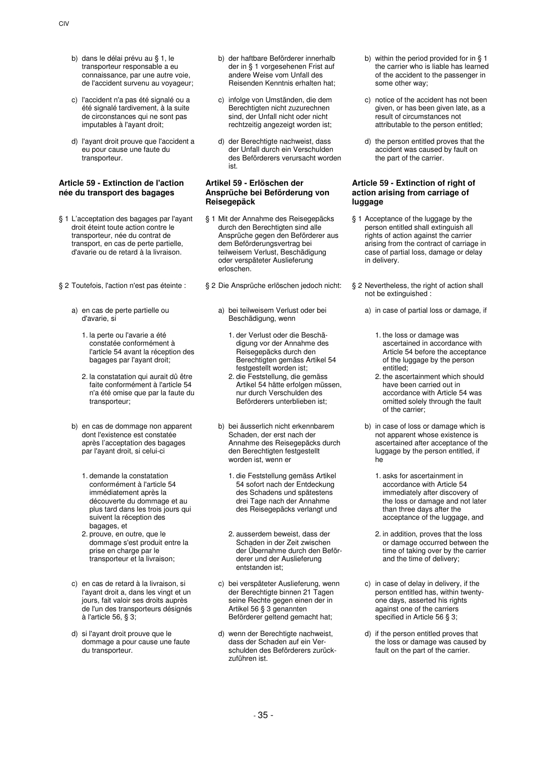- b) dans le délai prévu au § 1, le transporteur responsable a eu connaissance, par une autre voie, de l'accident survenu au voyageur;
- c) l'accident n'a pas été signalé ou a été signalé tardivement, à la suite de circonstances qui ne sont pas imputables à l'ayant droit;
- d) l'ayant droit prouve que l'accident a eu pour cause une faute du transporteur.

# **Article 59 - Extinction de l'action née du transport des bagages**

- § 1 L'acceptation des bagages par l'ayant droit éteint toute action contre le transporteur, née du contrat de transport, en cas de perte partielle, d'avarie ou de retard à la livraison.
- - a) en cas de perte partielle ou d'avarie, si
		- 1. la perte ou l'avarie a été constatée conformément à l'article 54 avant la réception des bagages par l'ayant droit;
		- 2. la constatation qui aurait dû être faite conformément à l'article 54 n'a été omise que par la faute du transporteur;
	- b) en cas de dommage non apparent dont l'existence est constatée après l'acceptation des bagages par l'ayant droit, si celui-ci
		- 1. demande la constatation conformément à l'article 54 immédiatement après la découverte du dommage et au plus tard dans les trois jours qui suivent la réception des bagages, et
		- 2. prouve, en outre, que le dommage s'est produit entre la prise en charge par le transporteur et la livraison;
	- c) en cas de retard à la livraison, si l'ayant droit a, dans les vingt et un jours, fait valoir ses droits auprès de l'un des transporteurs désignés à l'article 56, § 3;
	- d) si l'ayant droit prouve que le dommage a pour cause une faute du transporteur.
- b) der haftbare Beförderer innerhalb der in § 1 vorgesehenen Frist auf andere Weise vom Unfall des Reisenden Kenntnis erhalten hat;
- c) infolge von Umständen, die dem Berechtigten nicht zuzurechnen sind, der Unfall nicht oder nicht rechtzeitig angezeigt worden ist;
- d) der Berechtigte nachweist, dass der Unfall durch ein Verschulden des Beförderers verursacht worden ist.

### **Artikel 59 - Erlöschen der Ansprüche bei Beförderung von Reisegepäck**

- § 1 Mit der Annahme des Reisegepäcks durch den Berechtigten sind alle Ansprüche gegen den Beförderer aus dem Beförderungsvertrag bei teilweisem Verlust, Beschädigung oder verspäteter Auslieferung erloschen.
- § 2 Toutefois, l'action n'est pas éteinte : § 2 Die Ansprüche erlöschen jedoch nicht: § 2 Nevertheless, the right of action shall
	- a) bei teilweisem Verlust oder bei Beschädigung, wenn
		- 1. der Verlust oder die Beschädigung vor der Annahme des Reisegepäcks durch den Berechtigten gemäss Artikel 54 festgestellt worden ist;
		- 2. die Feststellung, die gemäss Artikel 54 hätte erfolgen müssen, nur durch Verschulden des Beförderers unterblieben ist;
	- b) bei äusserlich nicht erkennbarem Schaden, der erst nach der Annahme des Reisegepäcks durch den Berechtigten festgestellt worden ist, wenn er
		- 1. die Feststellung gemäss Artikel 54 sofort nach der Entdeckung des Schadens und spätestens drei Tage nach der Annahme des Reisegepäcks verlangt und
		- 2. ausserdem beweist, dass der Schaden in der Zeit zwischen der Übernahme durch den Beförderer und der Auslieferung entstanden ist;
	- c) bei verspäteter Auslieferung, wenn der Berechtigte binnen 21 Tagen seine Rechte gegen einen der in Artikel 56 § 3 genannten Beförderer geltend gemacht hat;
	- d) wenn der Berechtigte nachweist, dass der Schaden auf ein Verschulden des Beförderers zurückzuführen ist.
- b) within the period provided for in § 1 the carrier who is liable has learned of the accident to the passenger in some other way;
- c) notice of the accident has not been given, or has been given late, as a result of circumstances not attributable to the person entitled;
- d) the person entitled proves that the accident was caused by fault on the part of the carrier.

# **Article 59 - Extinction of right of action arising from carriage of luggage**

- § 1 Acceptance of the luggage by the person entitled shall extinguish all rights of action against the carrier arising from the contract of carriage in case of partial loss, damage or delay in delivery.
- not be extinguished :
	- a) in case of partial loss or damage, if
		- 1. the loss or damage was ascertained in accordance with Article 54 before the acceptance of the luggage by the person entitled;
		- 2. the ascertainment which should have been carried out in accordance with Article 54 was omitted solely through the fault of the carrier;
	- b) in case of loss or damage which is not apparent whose existence is ascertained after acceptance of the luggage by the person entitled, if he
		- 1. asks for ascertainment in accordance with Article 54 immediately after discovery of the loss or damage and not later than three days after the acceptance of the luggage, and
		- 2. in addition, proves that the loss or damage occurred between the time of taking over by the carrier and the time of delivery;
	- c) in case of delay in delivery, if the person entitled has, within twentyone days, asserted his rights against one of the carriers specified in Article 56 § 3;
	- d) if the person entitled proves that the loss or damage was caused by fault on the part of the carrier.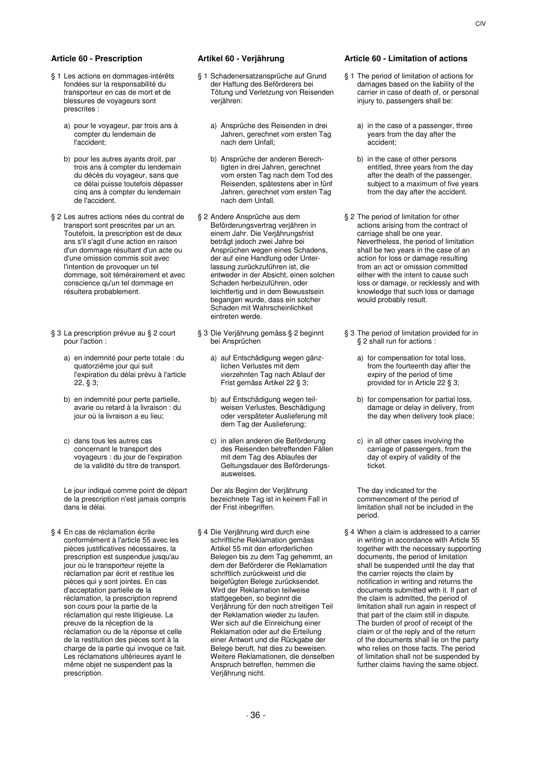- § 1 Les actions en dommages-intérêts fondées sur la responsabilité du transporteur en cas de mort et de blessures de voyageurs sont prescrites :
	- a) pour le voyageur, par trois ans à compter du lendemain de l'accident;
	- b) pour les autres ayants droit, par trois ans à compter du lendemain du décès du voyageur, sans que ce délai puisse toutefois dépasser cinq ans à compter du lendemain de l'accident.
- § 2 Les autres actions nées du contrat de transport sont prescrites par un an. Toutefois, la prescription est de deux ans s'il s'agit d'une action en raison d'un dommage résultant d'un acte ou d'une omission commis soit avec l'intention de provoquer un tel dommage, soit témérairement et avec conscience qu'un tel dommage en résultera probablement.
- § 3 La prescription prévue au § 2 court pour l'action :
	- a) en indemnité pour perte totale : du quatorzième jour qui suit l'expiration du délai prévu à l'article 22, § 3;
	- b) en indemnité pour perte partielle, avarie ou retard à la livraison : du jour où la livraison a eu lieu;
	- c) dans tous les autres cas concernant le transport des voyageurs : du jour de l'expiration de la validité du titre de transport.

 Le jour indiqué comme point de départ de la prescription n'est jamais compris dans le délai.

§ 4 En cas de réclamation écrite conformément à l'article 55 avec les pièces justificatives nécessaires, la prescription est suspendue jusqu'au jour où le transporteur rejette la réclamation par écrit et restitue les pièces qui y sont jointes. En cas d'acceptation partielle de la réclamation, la prescription reprend son cours pour la partie de la réclamation qui reste litigieuse. La preuve de la réception de la réclamation ou de la réponse et celle de la restitution des pièces sont à la charge de la partie qui invoque ce fait. Les réclamations ultérieures ayant le même objet ne suspendent pas la prescription.

- § 1 Schadenersatzansprüche auf Grund der Haftung des Beförderers bei Tötung und Verletzung von Reisenden verjähren:
	- a) Ansprüche des Reisenden in drei Jahren, gerechnet vom ersten Tag nach dem Unfall;
	- b) Ansprüche der anderen Berechtigten in drei Jahren, gerechnet vom ersten Tag nach dem Tod des Reisenden, spätestens aber in fünf Jahren, gerechnet vom ersten Tag nach dem Unfall.
- § 2 Andere Ansprüche aus dem Beförderungsvertrag verjähren in einem Jahr. Die Verjährungsfrist beträgt jedoch zwei Jahre bei Ansprüchen wegen eines Schadens, der auf eine Handlung oder Unterlassung zurückzuführen ist, die entweder in der Absicht, einen solchen Schaden herbeizuführen, oder leichtfertig und in dem Bewusstsein begangen wurde, dass ein solcher Schaden mit Wahrscheinlichkeit eintreten werde.
- § 3 Die Verjährung gemäss § 2 beginnt bei Ansprüchen
	- a) auf Entschädigung wegen gänzlichen Verlustes mit dem vierzehnten Tag nach Ablauf der Frist gemäss Artikel 22 § 3;
	- b) auf Entschädigung wegen teilweisen Verlustes, Beschädigung oder verspäteter Auslieferung mit dem Tag der Auslieferung;
	- c) in allen anderen die Beförderung des Reisenden betreffenden Fällen mit dem Tag des Ablaufes der Geltungsdauer des Beförderungsausweises.

 Der als Beginn der Verjährung bezeichnete Tag ist in keinem Fall in der Frist inbegriffen.

§ 4 Die Verjährung wird durch eine schriftliche Reklamation gemäss Artikel 55 mit den erforderlichen Belegen bis zu dem Tag gehemmt, an dem der Beförderer die Reklamation schriftlich zurückweist und die beigefügten Belege zurücksendet. Wird der Reklamation teilweise stattgegeben, so beginnt die Verjährung für den noch streitigen Teil der Reklamation wieder zu laufen. Wer sich auf die Einreichung einer Reklamation oder auf die Erteilung einer Antwort und die Rückgabe der Belege beruft, hat dies zu beweisen. Weitere Reklamationen, die denselben Anspruch betreffen, hemmen die Verjährung nicht.

### **Article 60 - Prescription Artikel 60 - Verjährung Article 60 - Limitation of actions**

- § 1 The period of limitation of actions for damages based on the liability of the carrier in case of death of, or personal injury to, passengers shall be:
	- a) in the case of a passenger, three years from the day after the accident;
	- b) in the case of other persons entitled, three years from the day after the death of the passenger, subject to a maximum of five years from the day after the accident.
- § 2 The period of limitation for other actions arising from the contract of carriage shall be one year. Nevertheless, the period of limitation shall be two years in the case of an action for loss or damage resulting from an act or omission committed either with the intent to cause such loss or damage, or recklessly and with knowledge that such loss or damage would probably result.
- § 3 The period of limitation provided for in § 2 shall run for actions :
	- a) for compensation for total loss, from the fourteenth day after the expiry of the period of time provided for in Article 22 § 3;
	- b) for compensation for partial loss, damage or delay in delivery, from the day when delivery took place;
	- c) in all other cases involving the carriage of passengers, from the day of expiry of validity of the ticket.

 The day indicated for the commencement of the period of limitation shall not be included in the period.

§ 4 When a claim is addressed to a carrier in writing in accordance with Article 55 together with the necessary supporting documents, the period of limitation shall be suspended until the day that the carrier rejects the claim by notification in writing and returns the documents submitted with it. If part of the claim is admitted, the period of limitation shall run again in respect of that part of the claim still in dispute. The burden of proof of receipt of the claim or of the reply and of the return of the documents shall lie on the party who relies on those facts. The period of limitation shall not be suspended by further claims having the same object.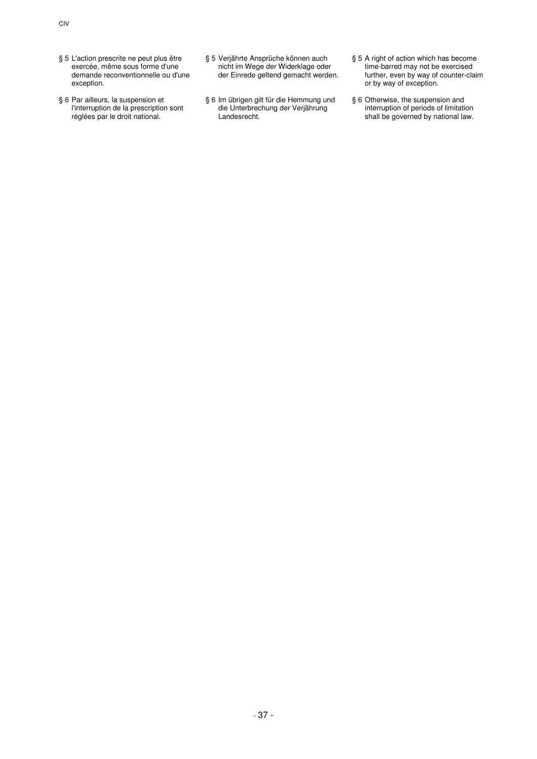- § 5 L'action prescrite ne peut plus être exercée, même sous forme d'une demande reconventionnelle ou d'une exception.
- § 6 Par ailleurs, la suspension et l'interruption de la prescription sont réglées par le droit national.
- § 5 Verjährte Ansprüche können auch nicht im Wege der Widerklage oder der Einrede geltend gemacht werden.
- § 6 Im übrigen gilt für die Hemmung und die Unterbrechung der Verjährung Landesrecht.
- § 5 A right of action which has become time-barred may not be exercised further, even by way of counter-claim or by way of exception.
- § 6 Otherwise, the suspension and interruption of periods of limitation shall be governed by national law.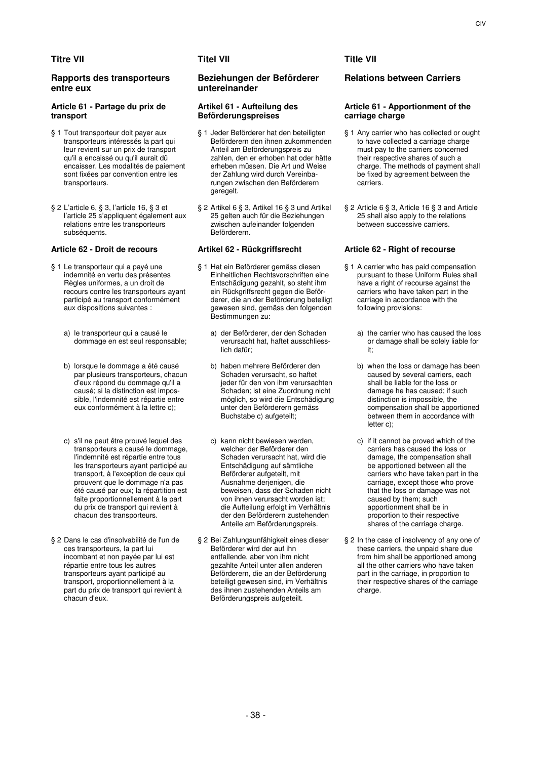# **Titre VII Titel VII Title VII**

# **Rapports des transporteurs entre eux**

# **Article 61 - Partage du prix de transport**

- § 1 Tout transporteur doit payer aux transporteurs intéressés la part qui leur revient sur un prix de transport qu'il a encaissé ou qu'il aurait dû encaisser. Les modalités de paiement sont fixées par convention entre les transporteurs.
- § 2 L'article 6, § 3, l'article 16, § 3 et l'article 25 s'appliquent également aux relations entre les transporteurs subséquents.

- § 1 Le transporteur qui a payé une indemnité en vertu des présentes Règles uniformes, a un droit de recours contre les transporteurs ayant participé au transport conformément aux dispositions suivantes :
	- a) le transporteur qui a causé le dommage en est seul responsable;
	- b) lorsque le dommage a été causé par plusieurs transporteurs, chacun d'eux répond du dommage qu'il a causé; si la distinction est impossible, l'indemnité est répartie entre eux conformément à la lettre c);
	- c) s'il ne peut être prouvé lequel des transporteurs a causé le dommage, l'indemnité est répartie entre tous les transporteurs ayant participé au transport, à l'exception de ceux qui prouvent que le dommage n'a pas été causé par eux; la répartition est faite proportionnellement à la part du prix de transport qui revient à chacun des transporteurs.
- § 2 Dans le cas d'insolvabilité de l'un de ces transporteurs, la part lui incombant et non payée par lui est répartie entre tous les autres transporteurs ayant participé au transport, proportionnellement à la part du prix de transport qui revient à chacun d'eux.

# **Beziehungen der Beförderer untereinander**

### **Artikel 61 - Aufteilung des Beförderungspreises**

- § 1 Jeder Beförderer hat den beteiligten Beförderern den ihnen zukommenden Anteil am Beförderungspreis zu zahlen, den er erhoben hat oder hätte erheben müssen. Die Art und Weise der Zahlung wird durch Vereinbarungen zwischen den Beförderern geregelt.
- § 2 Artikel 6 § 3, Artikel 16 § 3 und Artikel 25 gelten auch für die Beziehungen zwischen aufeinander folgenden Beförderern.

- § 1 Hat ein Beförderer gemäss diesen Einheitlichen Rechtsvorschriften eine Entschädigung gezahlt, so steht ihm ein Rückgriffsrecht gegen die Beförderer, die an der Beförderung beteiligt gewesen sind, gemäss den folgenden Bestimmungen zu:
	- a) der Beförderer, der den Schaden verursacht hat, haftet ausschliesslich dafür;
	- b) haben mehrere Beförderer den Schaden verursacht, so haftet jeder für den von ihm verursachten Schaden; ist eine Zuordnung nicht möglich, so wird die Entschädigung unter den Beförderern gemäss Buchstabe c) aufgeteilt;
	- c) kann nicht bewiesen werden, welcher der Beförderer den Schaden verursacht hat, wird die Entschädigung auf sämtliche Beförderer aufgeteilt, mit Ausnahme derjenigen, die beweisen, dass der Schaden nicht von ihnen verursacht worden ist; die Aufteilung erfolgt im Verhältnis der den Beförderern zustehenden Anteile am Beförderungspreis.
- § 2 Bei Zahlungsunfähigkeit eines dieser Beförderer wird der auf ihn entfallende, aber von ihm nicht gezahlte Anteil unter allen anderen Beförderern, die an der Beförderung beteiligt gewesen sind, im Verhältnis des ihnen zustehenden Anteils am Beförderungspreis aufgeteilt.

# **Relations between Carriers**

# **Article 61 - Apportionment of the carriage charge**

- § 1 Any carrier who has collected or ought to have collected a carriage charge must pay to the carriers concerned their respective shares of such a charge. The methods of payment shall be fixed by agreement between the carriers.
- § 2 Article 6 § 3, Article 16 § 3 and Article 25 shall also apply to the relations between successive carriers.

# **Article 62 - Droit de recours Artikel 62 - Rückgriffsrecht Article 62 - Right of recourse**

- § 1 A carrier who has paid compensation pursuant to these Uniform Rules shall .<br>have a right of recourse against the carriers who have taken part in the carriage in accordance with the following provisions:
	- a) the carrier who has caused the loss or damage shall be solely liable for it;
	- b) when the loss or damage has been caused by several carriers, each shall be liable for the loss or damage he has caused; if such distinction is impossible, the compensation shall be apportioned between them in accordance with letter c);
	- c) if it cannot be proved which of the carriers has caused the loss or damage, the compensation shall be apportioned between all the carriers who have taken part in the carriage, except those who prove that the loss or damage was not caused by them; such apportionment shall be in proportion to their respective shares of the carriage charge.
- § 2 In the case of insolvency of any one of these carriers, the unpaid share due from him shall be apportioned among all the other carriers who have taken part in the carriage, in proportion to their respective shares of the carriage charge.